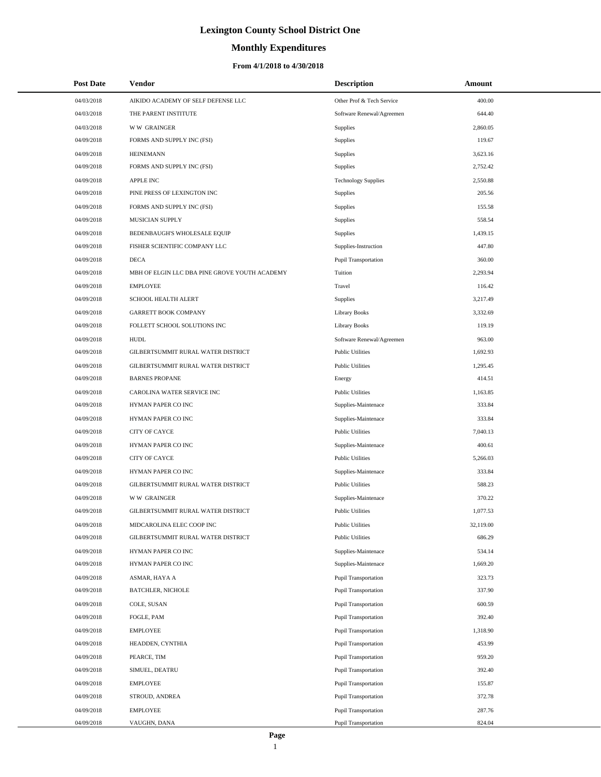# **Monthly Expenditures**

| <b>Post Date</b> | Vendor                                        | <b>Description</b>          | Amount    |
|------------------|-----------------------------------------------|-----------------------------|-----------|
| 04/03/2018       | AIKIDO ACADEMY OF SELF DEFENSE LLC            | Other Prof & Tech Service   | 400.00    |
| 04/03/2018       | THE PARENT INSTITUTE                          | Software Renewal/Agreemen   | 644.40    |
| 04/03/2018       | <b>WW GRAINGER</b>                            | Supplies                    | 2,860.05  |
| 04/09/2018       | FORMS AND SUPPLY INC (FSI)                    | Supplies                    | 119.67    |
| 04/09/2018       | <b>HEINEMANN</b>                              | Supplies                    | 3,623.16  |
| 04/09/2018       | FORMS AND SUPPLY INC (FSI)                    | Supplies                    | 2,752.42  |
| 04/09/2018       | <b>APPLE INC</b>                              | <b>Technology Supplies</b>  | 2,550.88  |
| 04/09/2018       | PINE PRESS OF LEXINGTON INC                   | Supplies                    | 205.56    |
| 04/09/2018       | FORMS AND SUPPLY INC (FSI)                    | Supplies                    | 155.58    |
| 04/09/2018       | MUSICIAN SUPPLY                               | Supplies                    | 558.54    |
| 04/09/2018       | BEDENBAUGH'S WHOLESALE EQUIP                  | Supplies                    | 1,439.15  |
| 04/09/2018       | FISHER SCIENTIFIC COMPANY LLC                 | Supplies-Instruction        | 447.80    |
| 04/09/2018       | <b>DECA</b>                                   | Pupil Transportation        | 360.00    |
| 04/09/2018       | MBH OF ELGIN LLC DBA PINE GROVE YOUTH ACADEMY | Tuition                     | 2,293.94  |
| 04/09/2018       | <b>EMPLOYEE</b>                               | Travel                      | 116.42    |
| 04/09/2018       | SCHOOL HEALTH ALERT                           | Supplies                    | 3,217.49  |
| 04/09/2018       | <b>GARRETT BOOK COMPANY</b>                   | <b>Library Books</b>        | 3,332.69  |
| 04/09/2018       | FOLLETT SCHOOL SOLUTIONS INC                  | <b>Library Books</b>        | 119.19    |
| 04/09/2018       | <b>HUDL</b>                                   | Software Renewal/Agreemen   | 963.00    |
| 04/09/2018       | GILBERTSUMMIT RURAL WATER DISTRICT            | <b>Public Utilities</b>     | 1,692.93  |
| 04/09/2018       | GILBERTSUMMIT RURAL WATER DISTRICT            | <b>Public Utilities</b>     | 1,295.45  |
| 04/09/2018       | <b>BARNES PROPANE</b>                         | Energy                      | 414.51    |
| 04/09/2018       | CAROLINA WATER SERVICE INC                    | <b>Public Utilities</b>     | 1,163.85  |
| 04/09/2018       | HYMAN PAPER CO INC                            | Supplies-Maintenace         | 333.84    |
| 04/09/2018       | HYMAN PAPER CO INC                            | Supplies-Maintenace         | 333.84    |
| 04/09/2018       | <b>CITY OF CAYCE</b>                          | <b>Public Utilities</b>     | 7,040.13  |
| 04/09/2018       | HYMAN PAPER CO INC                            | Supplies-Maintenace         | 400.61    |
| 04/09/2018       | <b>CITY OF CAYCE</b>                          | <b>Public Utilities</b>     | 5,266.03  |
| 04/09/2018       | HYMAN PAPER CO INC                            | Supplies-Maintenace         | 333.84    |
| 04/09/2018       | GILBERTSUMMIT RURAL WATER DISTRICT            | <b>Public Utilities</b>     | 588.23    |
| 04/09/2018       | <b>WW GRAINGER</b>                            | Supplies-Maintenace         | 370.22    |
| 04/09/2018       | GILBERTSUMMIT RURAL WATER DISTRICT            | <b>Public Utilities</b>     | 1,077.53  |
| 04/09/2018       | MIDCAROLINA ELEC COOP INC                     | <b>Public Utilities</b>     | 32,119.00 |
| 04/09/2018       | GILBERTSUMMIT RURAL WATER DISTRICT            | <b>Public Utilities</b>     | 686.29    |
| 04/09/2018       | HYMAN PAPER CO INC                            | Supplies-Maintenace         | 534.14    |
| 04/09/2018       | HYMAN PAPER CO INC                            | Supplies-Maintenace         | 1,669.20  |
| 04/09/2018       | ASMAR, HAYA A                                 | Pupil Transportation        | 323.73    |
| 04/09/2018       | <b>BATCHLER, NICHOLE</b>                      | Pupil Transportation        | 337.90    |
| 04/09/2018       | COLE, SUSAN                                   | <b>Pupil Transportation</b> | 600.59    |
| 04/09/2018       | FOGLE, PAM                                    | Pupil Transportation        | 392.40    |
| 04/09/2018       | <b>EMPLOYEE</b>                               | Pupil Transportation        | 1,318.90  |
| 04/09/2018       | HEADDEN, CYNTHIA                              | Pupil Transportation        | 453.99    |
| 04/09/2018       | PEARCE, TIM                                   | Pupil Transportation        | 959.20    |
| 04/09/2018       | SIMUEL, DEATRU                                | Pupil Transportation        | 392.40    |
| 04/09/2018       | <b>EMPLOYEE</b>                               | Pupil Transportation        | 155.87    |
| 04/09/2018       | STROUD, ANDREA                                | Pupil Transportation        | 372.78    |
| 04/09/2018       | <b>EMPLOYEE</b>                               | Pupil Transportation        | 287.76    |
| 04/09/2018       | VAUGHN, DANA                                  | Pupil Transportation        | 824.04    |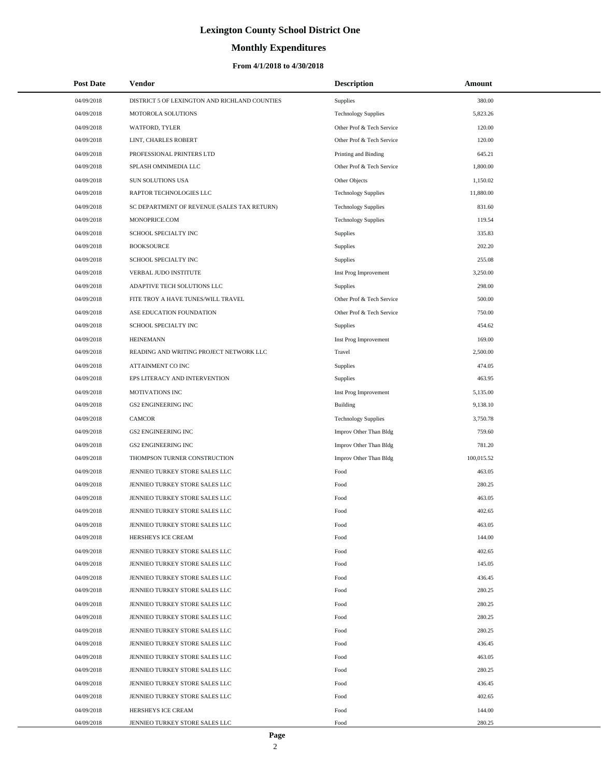# **Monthly Expenditures**

### **From 4/1/2018 to 4/30/2018**

| <b>Post Date</b> | <b>Vendor</b>                                 | <b>Description</b>         | Amount     |
|------------------|-----------------------------------------------|----------------------------|------------|
| 04/09/2018       | DISTRICT 5 OF LEXINGTON AND RICHLAND COUNTIES | Supplies                   | 380.00     |
| 04/09/2018       | MOTOROLA SOLUTIONS                            | <b>Technology Supplies</b> | 5,823.26   |
| 04/09/2018       | WATFORD, TYLER                                | Other Prof & Tech Service  | 120.00     |
| 04/09/2018       | LINT, CHARLES ROBERT                          | Other Prof & Tech Service  | 120.00     |
| 04/09/2018       | PROFESSIONAL PRINTERS LTD                     | Printing and Binding       | 645.21     |
| 04/09/2018       | SPLASH OMNIMEDIA LLC                          | Other Prof & Tech Service  | 1,800.00   |
| 04/09/2018       | <b>SUN SOLUTIONS USA</b>                      | Other Objects              | 1,150.02   |
| 04/09/2018       | RAPTOR TECHNOLOGIES LLC                       | <b>Technology Supplies</b> | 11,880.00  |
| 04/09/2018       | SC DEPARTMENT OF REVENUE (SALES TAX RETURN)   | <b>Technology Supplies</b> | 831.60     |
| 04/09/2018       | MONOPRICE.COM                                 | <b>Technology Supplies</b> | 119.54     |
| 04/09/2018       | SCHOOL SPECIALTY INC                          | Supplies                   | 335.83     |
| 04/09/2018       | <b>BOOKSOURCE</b>                             | Supplies                   | 202.20     |
| 04/09/2018       | SCHOOL SPECIALTY INC                          | <b>Supplies</b>            | 255.08     |
| 04/09/2018       | VERBAL JUDO INSTITUTE                         | Inst Prog Improvement      | 3,250.00   |
| 04/09/2018       | ADAPTIVE TECH SOLUTIONS LLC                   | <b>Supplies</b>            | 298.00     |
| 04/09/2018       | FITE TROY A HAVE TUNES/WILL TRAVEL            | Other Prof & Tech Service  | 500.00     |
| 04/09/2018       | ASE EDUCATION FOUNDATION                      | Other Prof & Tech Service  | 750.00     |
| 04/09/2018       | SCHOOL SPECIALTY INC                          | Supplies                   | 454.62     |
| 04/09/2018       | <b>HEINEMANN</b>                              | Inst Prog Improvement      | 169.00     |
| 04/09/2018       | READING AND WRITING PROJECT NETWORK LLC       | Travel                     | 2,500.00   |
| 04/09/2018       | ATTAINMENT CO INC                             | Supplies                   | 474.05     |
| 04/09/2018       | EPS LITERACY AND INTERVENTION                 | <b>Supplies</b>            | 463.95     |
| 04/09/2018       | MOTIVATIONS INC                               | Inst Prog Improvement      | 5,135.00   |
| 04/09/2018       | <b>GS2 ENGINEERING INC</b>                    | Building                   | 9,138.10   |
| 04/09/2018       | <b>CAMCOR</b>                                 | <b>Technology Supplies</b> | 3,750.78   |
| 04/09/2018       | <b>GS2 ENGINEERING INC</b>                    | Improv Other Than Bldg     | 759.60     |
| 04/09/2018       | <b>GS2 ENGINEERING INC</b>                    | Improv Other Than Bldg     | 781.20     |
| 04/09/2018       | THOMPSON TURNER CONSTRUCTION                  | Improv Other Than Bldg     | 100,015.52 |
| 04/09/2018       | JENNIEO TURKEY STORE SALES LLC                | Food                       | 463.05     |
| 04/09/2018       | JENNIEO TURKEY STORE SALES LLC                | Food                       | 280.25     |
| 04/09/2018       | JENNIEO TURKEY STORE SALES LLC                | Food                       | 463.05     |
| 04/09/2018       | JENNIEO TURKEY STORE SALES LLC                | Food                       | 402.65     |
| 04/09/2018       | JENNIEO TURKEY STORE SALES LLC                | Food                       | 463.05     |
| 04/09/2018       | HERSHEYS ICE CREAM                            | Food                       | 144.00     |
| 04/09/2018       | JENNIEO TURKEY STORE SALES LLC                | Food                       | 402.65     |
| 04/09/2018       | JENNIEO TURKEY STORE SALES LLC                | Food                       | 145.05     |
| 04/09/2018       | JENNIEO TURKEY STORE SALES LLC                | Food                       | 436.45     |
| 04/09/2018       | JENNIEO TURKEY STORE SALES LLC                | Food                       | 280.25     |
| 04/09/2018       | JENNIEO TURKEY STORE SALES LLC                | Food                       | 280.25     |
| 04/09/2018       | JENNIEO TURKEY STORE SALES LLC                | Food                       | 280.25     |
| 04/09/2018       | JENNIEO TURKEY STORE SALES LLC                | Food                       | 280.25     |
| 04/09/2018       | JENNIEO TURKEY STORE SALES LLC                | Food                       | 436.45     |
| 04/09/2018       | JENNIEO TURKEY STORE SALES LLC                | Food                       | 463.05     |
| 04/09/2018       | JENNIEO TURKEY STORE SALES LLC                | Food                       | 280.25     |
| 04/09/2018       | JENNIEO TURKEY STORE SALES LLC                | Food                       | 436.45     |
| 04/09/2018       | JENNIEO TURKEY STORE SALES LLC                | Food                       | 402.65     |
| 04/09/2018       | HERSHEYS ICE CREAM                            | Food                       | 144.00     |
| 04/09/2018       | JENNIEO TURKEY STORE SALES LLC                | Food                       | 280.25     |

 $\overline{a}$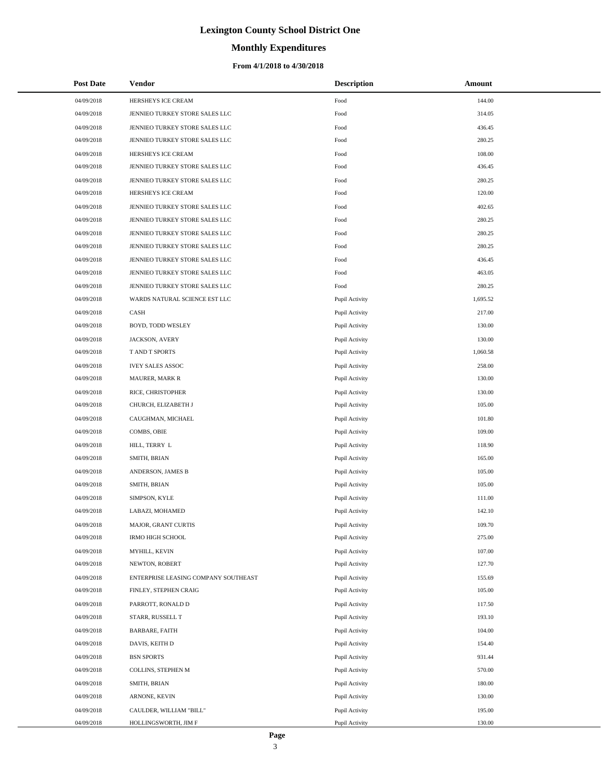### **Monthly Expenditures**

| <b>Post Date</b> | <b>Vendor</b>                        | <b>Description</b> | Amount   |
|------------------|--------------------------------------|--------------------|----------|
| 04/09/2018       | HERSHEYS ICE CREAM                   | Food               | 144.00   |
| 04/09/2018       | JENNIEO TURKEY STORE SALES LLC       | Food               | 314.05   |
| 04/09/2018       | JENNIEO TURKEY STORE SALES LLC       | Food               | 436.45   |
| 04/09/2018       | JENNIEO TURKEY STORE SALES LLC       | Food               | 280.25   |
| 04/09/2018       | HERSHEYS ICE CREAM                   | Food               | 108.00   |
| 04/09/2018       | JENNIEO TURKEY STORE SALES LLC       | Food               | 436.45   |
| 04/09/2018       | JENNIEO TURKEY STORE SALES LLC       | Food               | 280.25   |
| 04/09/2018       | HERSHEYS ICE CREAM                   | Food               | 120.00   |
| 04/09/2018       | JENNIEO TURKEY STORE SALES LLC       | Food               | 402.65   |
| 04/09/2018       | JENNIEO TURKEY STORE SALES LLC       | Food               | 280.25   |
| 04/09/2018       | JENNIEO TURKEY STORE SALES LLC       | Food               | 280.25   |
| 04/09/2018       | JENNIEO TURKEY STORE SALES LLC       | Food               | 280.25   |
| 04/09/2018       | JENNIEO TURKEY STORE SALES LLC       | Food               | 436.45   |
| 04/09/2018       | JENNIEO TURKEY STORE SALES LLC       | Food               | 463.05   |
| 04/09/2018       | JENNIEO TURKEY STORE SALES LLC       | Food               | 280.25   |
| 04/09/2018       | WARDS NATURAL SCIENCE EST LLC        | Pupil Activity     | 1,695.52 |
| 04/09/2018       | CASH                                 | Pupil Activity     | 217.00   |
| 04/09/2018       | BOYD, TODD WESLEY                    | Pupil Activity     | 130.00   |
| 04/09/2018       | JACKSON, AVERY                       | Pupil Activity     | 130.00   |
| 04/09/2018       | T AND T SPORTS                       | Pupil Activity     | 1,060.58 |
| 04/09/2018       | <b>IVEY SALES ASSOC</b>              | Pupil Activity     | 258.00   |
| 04/09/2018       | <b>MAURER, MARK R</b>                | Pupil Activity     | 130.00   |
| 04/09/2018       | RICE, CHRISTOPHER                    | Pupil Activity     | 130.00   |
| 04/09/2018       | CHURCH, ELIZABETH J                  | Pupil Activity     | 105.00   |
| 04/09/2018       | CAUGHMAN, MICHAEL                    | Pupil Activity     | 101.80   |
| 04/09/2018       | COMBS, OBIE                          | Pupil Activity     | 109.00   |
| 04/09/2018       | HILL, TERRY L                        | Pupil Activity     | 118.90   |
| 04/09/2018       | SMITH, BRIAN                         | Pupil Activity     | 165.00   |
| 04/09/2018       | ANDERSON, JAMES B                    | Pupil Activity     | 105.00   |
| 04/09/2018       | SMITH, BRIAN                         | Pupil Activity     | 105.00   |
| 04/09/2018       | SIMPSON, KYLE                        | Pupil Activity     | 111.00   |
| 04/09/2018       | LABAZI, MOHAMED                      | Pupil Activity     | 142.10   |
| 04/09/2018       | MAJOR, GRANT CURTIS                  | Pupil Activity     | 109.70   |
| 04/09/2018       | IRMO HIGH SCHOOL                     | Pupil Activity     | 275.00   |
| 04/09/2018       | MYHILL, KEVIN                        | Pupil Activity     | 107.00   |
| 04/09/2018       | NEWTON, ROBERT                       | Pupil Activity     | 127.70   |
| 04/09/2018       | ENTERPRISE LEASING COMPANY SOUTHEAST | Pupil Activity     | 155.69   |
| 04/09/2018       | FINLEY, STEPHEN CRAIG                | Pupil Activity     | 105.00   |
| 04/09/2018       | PARROTT, RONALD D                    | Pupil Activity     | 117.50   |
| 04/09/2018       | STARR, RUSSELL T                     | Pupil Activity     | 193.10   |
| 04/09/2018       | <b>BARBARE, FAITH</b>                | Pupil Activity     | 104.00   |
| 04/09/2018       | DAVIS, KEITH D                       | Pupil Activity     | 154.40   |
| 04/09/2018       | <b>BSN SPORTS</b>                    | Pupil Activity     | 931.44   |
| 04/09/2018       | COLLINS, STEPHEN M                   | Pupil Activity     | 570.00   |
| 04/09/2018       | SMITH, BRIAN                         | Pupil Activity     | 180.00   |
| 04/09/2018       | ARNONE, KEVIN                        | Pupil Activity     | 130.00   |
| 04/09/2018       | CAULDER, WILLIAM "BILL"              | Pupil Activity     | 195.00   |
| 04/09/2018       | HOLLINGSWORTH, JIM F                 | Pupil Activity     | 130.00   |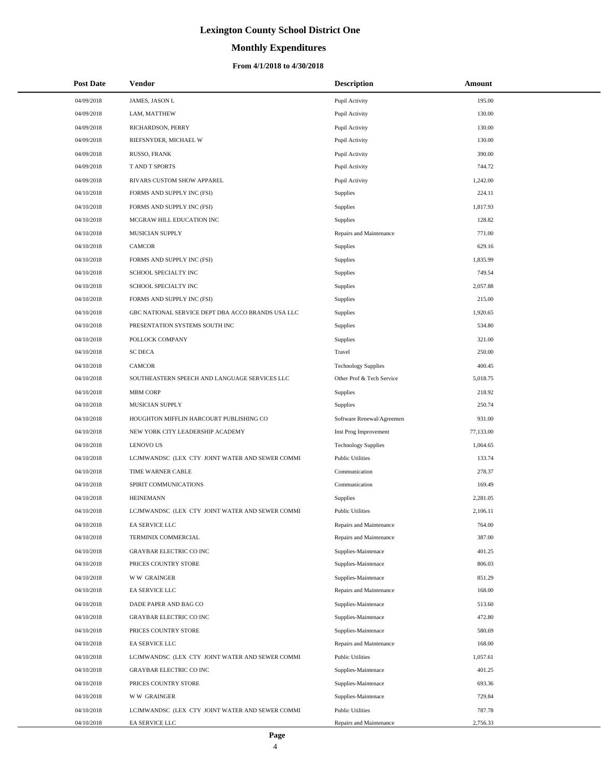# **Monthly Expenditures**

| <b>Post Date</b> | Vendor                                            | <b>Description</b>         | Amount    |  |
|------------------|---------------------------------------------------|----------------------------|-----------|--|
| 04/09/2018       | JAMES, JASON L                                    | Pupil Activity             | 195.00    |  |
| 04/09/2018       | LAM, MATTHEW                                      | Pupil Activity             | 130.00    |  |
| 04/09/2018       | RICHARDSON, PERRY                                 | Pupil Activity             | 130.00    |  |
| 04/09/2018       | RIEFSNYDER, MICHAEL W                             | Pupil Activity             | 130.00    |  |
| 04/09/2018       | RUSSO, FRANK                                      | Pupil Activity             | 390.00    |  |
| 04/09/2018       | T AND T SPORTS                                    | Pupil Activity             | 744.72    |  |
| 04/09/2018       | RIVARS CUSTOM SHOW APPAREL                        | Pupil Activity             | 1,242.00  |  |
| 04/10/2018       | FORMS AND SUPPLY INC (FSI)                        | Supplies                   | 224.11    |  |
| 04/10/2018       | FORMS AND SUPPLY INC (FSI)                        | <b>Supplies</b>            | 1.817.93  |  |
| 04/10/2018       | MCGRAW HILL EDUCATION INC                         | Supplies                   | 128.82    |  |
| 04/10/2018       | MUSICIAN SUPPLY                                   | Repairs and Maintenance    | 771.00    |  |
| 04/10/2018       | <b>CAMCOR</b>                                     | Supplies                   | 629.16    |  |
| 04/10/2018       | FORMS AND SUPPLY INC (FSI)                        | Supplies                   | 1,835.99  |  |
| 04/10/2018       | SCHOOL SPECIALTY INC                              | <b>Supplies</b>            | 749.54    |  |
| 04/10/2018       | SCHOOL SPECIALTY INC                              | Supplies                   | 2,057.88  |  |
| 04/10/2018       | FORMS AND SUPPLY INC (FSI)                        | Supplies                   | 215.00    |  |
| 04/10/2018       | GBC NATIONAL SERVICE DEPT DBA ACCO BRANDS USA LLC | <b>Supplies</b>            | 1,920.65  |  |
| 04/10/2018       | PRESENTATION SYSTEMS SOUTH INC                    | Supplies                   | 534.80    |  |
| 04/10/2018       | POLLOCK COMPANY                                   | Supplies                   | 321.00    |  |
| 04/10/2018       | <b>SC DECA</b>                                    | Travel                     | 250.00    |  |
| 04/10/2018       | <b>CAMCOR</b>                                     | <b>Technology Supplies</b> | 400.45    |  |
| 04/10/2018       | SOUTHEASTERN SPEECH AND LANGUAGE SERVICES LLC     | Other Prof & Tech Service  | 5,018.75  |  |
| 04/10/2018       | <b>MBM CORP</b>                                   | <b>Supplies</b>            | 218.92    |  |
| 04/10/2018       | MUSICIAN SUPPLY                                   | Supplies                   | 250.74    |  |
| 04/10/2018       | HOUGHTON MIFFLIN HARCOURT PUBLISHING CO           | Software Renewal/Agreemen  | 931.00    |  |
| 04/10/2018       | NEW YORK CITY LEADERSHIP ACADEMY                  | Inst Prog Improvement      | 77,133.00 |  |
| 04/10/2018       | <b>LENOVO US</b>                                  | <b>Technology Supplies</b> | 1,064.65  |  |
| 04/10/2018       | LCJMWANDSC (LEX CTY JOINT WATER AND SEWER COMMI   | <b>Public Utilities</b>    | 133.74    |  |
| 04/10/2018       | TIME WARNER CABLE                                 | Communication              | 278.37    |  |
| 04/10/2018       | SPIRIT COMMUNICATIONS                             | Communication              | 169.49    |  |
| 04/10/2018       | <b>HEINEMANN</b>                                  | Supplies                   | 2,281.05  |  |
| 04/10/2018       | LCJMWANDSC (LEX CTY JOINT WATER AND SEWER COMMI   | <b>Public Utilities</b>    | 2,106.11  |  |
| 04/10/2018       | EA SERVICE LLC                                    | Repairs and Maintenance    | 764.00    |  |
| 04/10/2018       | TERMINIX COMMERCIAL                               | Repairs and Maintenance    | 387.00    |  |
| 04/10/2018       | <b>GRAYBAR ELECTRIC CO INC</b>                    | Supplies-Maintenace        | 401.25    |  |
| 04/10/2018       | PRICES COUNTRY STORE                              | Supplies-Maintenace        | 806.03    |  |
| 04/10/2018       | <b>WW GRAINGER</b>                                | Supplies-Maintenace        | 851.29    |  |
| 04/10/2018       | EA SERVICE LLC                                    | Repairs and Maintenance    | 168.00    |  |
| 04/10/2018       | DADE PAPER AND BAG CO                             | Supplies-Maintenace        | 513.60    |  |
| 04/10/2018       | GRAYBAR ELECTRIC CO INC                           | Supplies-Maintenace        | 472.80    |  |
| 04/10/2018       | PRICES COUNTRY STORE                              | Supplies-Maintenace        | 580.69    |  |
| 04/10/2018       | EA SERVICE LLC                                    | Repairs and Maintenance    | 168.00    |  |
| 04/10/2018       | LCJMWANDSC (LEX CTY JOINT WATER AND SEWER COMMI   | <b>Public Utilities</b>    | 1,057.61  |  |
| 04/10/2018       | <b>GRAYBAR ELECTRIC CO INC</b>                    | Supplies-Maintenace        | 401.25    |  |
| 04/10/2018       | PRICES COUNTRY STORE                              | Supplies-Maintenace        | 693.36    |  |
| 04/10/2018       | <b>WW GRAINGER</b>                                | Supplies-Maintenace        | 729.84    |  |
| 04/10/2018       | LCJMWANDSC (LEX CTY JOINT WATER AND SEWER COMMI   | <b>Public Utilities</b>    | 787.78    |  |
| 04/10/2018       | EA SERVICE LLC                                    | Repairs and Maintenance    | 2,756.33  |  |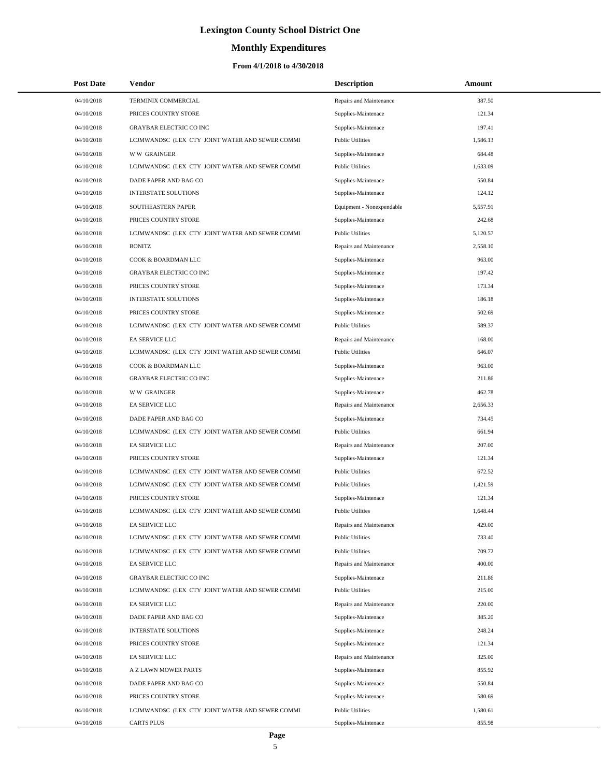# **Monthly Expenditures**

| <b>Post Date</b> | Vendor                                          | <b>Description</b>        | Amount   |
|------------------|-------------------------------------------------|---------------------------|----------|
| 04/10/2018       | TERMINIX COMMERCIAL                             | Repairs and Maintenance   | 387.50   |
| 04/10/2018       | PRICES COUNTRY STORE                            | Supplies-Maintenace       | 121.34   |
| 04/10/2018       | <b>GRAYBAR ELECTRIC CO INC</b>                  | Supplies-Maintenace       | 197.41   |
| 04/10/2018       | LCJMWANDSC (LEX CTY JOINT WATER AND SEWER COMMI | <b>Public Utilities</b>   | 1,586.13 |
| 04/10/2018       | <b>WW GRAINGER</b>                              | Supplies-Maintenace       | 684.48   |
| 04/10/2018       | LCJMWANDSC (LEX CTY JOINT WATER AND SEWER COMMI | <b>Public Utilities</b>   | 1,633.09 |
| 04/10/2018       | DADE PAPER AND BAG CO                           | Supplies-Maintenace       | 550.84   |
| 04/10/2018       | <b>INTERSTATE SOLUTIONS</b>                     | Supplies-Maintenace       | 124.12   |
| 04/10/2018       | SOUTHEASTERN PAPER                              | Equipment - Nonexpendable | 5,557.91 |
| 04/10/2018       | PRICES COUNTRY STORE                            | Supplies-Maintenace       | 242.68   |
| 04/10/2018       | LCJMWANDSC (LEX CTY JOINT WATER AND SEWER COMMI | <b>Public Utilities</b>   | 5,120.57 |
| 04/10/2018       | <b>BONITZ</b>                                   | Repairs and Maintenance   | 2,558.10 |
| 04/10/2018       | COOK & BOARDMAN LLC                             | Supplies-Maintenace       | 963.00   |
| 04/10/2018       | GRAYBAR ELECTRIC CO INC                         | Supplies-Maintenace       | 197.42   |
| 04/10/2018       | PRICES COUNTRY STORE                            | Supplies-Maintenace       | 173.34   |
| 04/10/2018       | <b>INTERSTATE SOLUTIONS</b>                     | Supplies-Maintenace       | 186.18   |
| 04/10/2018       | PRICES COUNTRY STORE                            | Supplies-Maintenace       | 502.69   |
| 04/10/2018       | LCJMWANDSC (LEX CTY JOINT WATER AND SEWER COMMI | <b>Public Utilities</b>   | 589.37   |
| 04/10/2018       | EA SERVICE LLC                                  | Repairs and Maintenance   | 168.00   |
| 04/10/2018       | LCJMWANDSC (LEX CTY JOINT WATER AND SEWER COMMI | <b>Public Utilities</b>   | 646.07   |
| 04/10/2018       | COOK & BOARDMAN LLC                             | Supplies-Maintenace       | 963.00   |
| 04/10/2018       | <b>GRAYBAR ELECTRIC CO INC</b>                  | Supplies-Maintenace       | 211.86   |
| 04/10/2018       | <b>WW GRAINGER</b>                              | Supplies-Maintenace       | 462.78   |
| 04/10/2018       | EA SERVICE LLC                                  | Repairs and Maintenance   | 2,656.33 |
| 04/10/2018       | DADE PAPER AND BAG CO                           | Supplies-Maintenace       | 734.45   |
| 04/10/2018       | LCJMWANDSC (LEX CTY JOINT WATER AND SEWER COMMI | <b>Public Utilities</b>   | 661.94   |
| 04/10/2018       | EA SERVICE LLC                                  | Repairs and Maintenance   | 207.00   |
| 04/10/2018       | PRICES COUNTRY STORE                            | Supplies-Maintenace       | 121.34   |
| 04/10/2018       | LCJMWANDSC (LEX CTY JOINT WATER AND SEWER COMMI | <b>Public Utilities</b>   | 672.52   |
| 04/10/2018       | LCJMWANDSC (LEX CTY JOINT WATER AND SEWER COMMI | <b>Public Utilities</b>   | 1,421.59 |
| 04/10/2018       | PRICES COUNTRY STORE                            | Supplies-Maintenace       | 121.34   |
| 04/10/2018       | LCJMWANDSC (LEX CTY JOINT WATER AND SEWER COMMI | <b>Public Utilities</b>   | 1,648.44 |
| 04/10/2018       | EA SERVICE LLC                                  | Repairs and Maintenance   | 429.00   |
| 04/10/2018       | LCJMWANDSC (LEX CTY JOINT WATER AND SEWER COMMI | <b>Public Utilities</b>   | 733.40   |
| 04/10/2018       | LCJMWANDSC (LEX CTY JOINT WATER AND SEWER COMMI | <b>Public Utilities</b>   | 709.72   |
| 04/10/2018       | EA SERVICE LLC                                  | Repairs and Maintenance   | 400.00   |
| 04/10/2018       | <b>GRAYBAR ELECTRIC CO INC</b>                  | Supplies-Maintenace       | 211.86   |
| 04/10/2018       | LCJMWANDSC (LEX CTY JOINT WATER AND SEWER COMMI | <b>Public Utilities</b>   | 215.00   |
| 04/10/2018       | EA SERVICE LLC                                  | Repairs and Maintenance   | 220.00   |
| 04/10/2018       | DADE PAPER AND BAG CO                           | Supplies-Maintenace       | 385.20   |
| 04/10/2018       | <b>INTERSTATE SOLUTIONS</b>                     | Supplies-Maintenace       | 248.24   |
| 04/10/2018       | PRICES COUNTRY STORE                            | Supplies-Maintenace       | 121.34   |
| 04/10/2018       | EA SERVICE LLC                                  | Repairs and Maintenance   | 325.00   |
| 04/10/2018       | A Z LAWN MOWER PARTS                            | Supplies-Maintenace       | 855.92   |
| 04/10/2018       | DADE PAPER AND BAG CO                           | Supplies-Maintenace       | 550.84   |
| 04/10/2018       | PRICES COUNTRY STORE                            | Supplies-Maintenace       | 580.69   |
| 04/10/2018       | LCJMWANDSC (LEX CTY JOINT WATER AND SEWER COMMI | <b>Public Utilities</b>   | 1,580.61 |
| 04/10/2018       | CARTS PLUS                                      | Supplies-Maintenace       | 855.98   |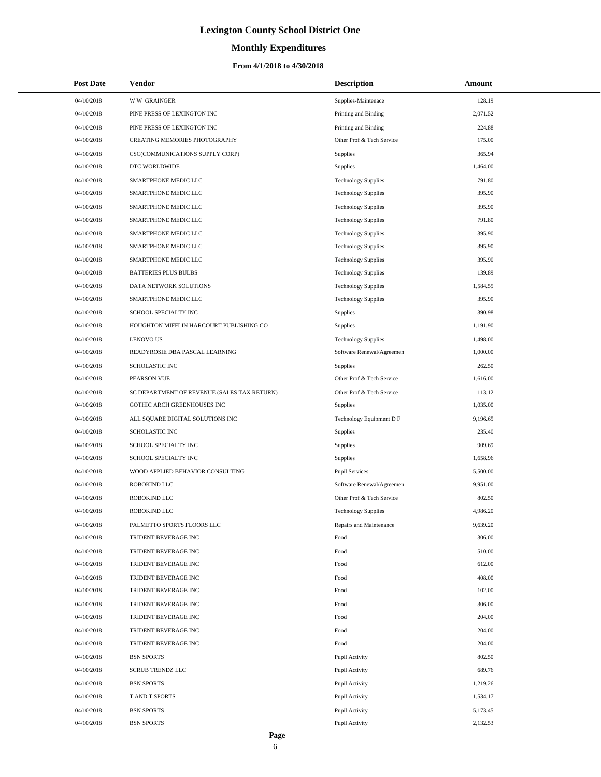# **Monthly Expenditures**

### **From 4/1/2018 to 4/30/2018**

| <b>Post Date</b> | Vendor                                      | <b>Description</b>         | Amount   |
|------------------|---------------------------------------------|----------------------------|----------|
| 04/10/2018       | <b>WW GRAINGER</b>                          | Supplies-Maintenace        | 128.19   |
| 04/10/2018       | PINE PRESS OF LEXINGTON INC                 | Printing and Binding       | 2,071.52 |
| 04/10/2018       | PINE PRESS OF LEXINGTON INC                 | Printing and Binding       | 224.88   |
| 04/10/2018       | CREATING MEMORIES PHOTOGRAPHY               | Other Prof & Tech Service  | 175.00   |
| 04/10/2018       | CSC(COMMUNICATIONS SUPPLY CORP)             | Supplies                   | 365.94   |
| 04/10/2018       | DTC WORLDWIDE                               | Supplies                   | 1,464.00 |
| 04/10/2018       | SMARTPHONE MEDIC LLC                        | <b>Technology Supplies</b> | 791.80   |
| 04/10/2018       | SMARTPHONE MEDIC LLC                        | <b>Technology Supplies</b> | 395.90   |
| 04/10/2018       | SMARTPHONE MEDIC LLC                        | <b>Technology Supplies</b> | 395.90   |
| 04/10/2018       | SMARTPHONE MEDIC LLC                        | <b>Technology Supplies</b> | 791.80   |
| 04/10/2018       | SMARTPHONE MEDIC LLC                        | <b>Technology Supplies</b> | 395.90   |
| 04/10/2018       | SMARTPHONE MEDIC LLC                        | <b>Technology Supplies</b> | 395.90   |
| 04/10/2018       | SMARTPHONE MEDIC LLC                        | <b>Technology Supplies</b> | 395.90   |
| 04/10/2018       | <b>BATTERIES PLUS BULBS</b>                 | <b>Technology Supplies</b> | 139.89   |
| 04/10/2018       | DATA NETWORK SOLUTIONS                      | <b>Technology Supplies</b> | 1,584.55 |
| 04/10/2018       | SMARTPHONE MEDIC LLC                        | <b>Technology Supplies</b> | 395.90   |
| 04/10/2018       | SCHOOL SPECIALTY INC                        | Supplies                   | 390.98   |
| 04/10/2018       | HOUGHTON MIFFLIN HARCOURT PUBLISHING CO     | Supplies                   | 1,191.90 |
| 04/10/2018       | <b>LENOVO US</b>                            | <b>Technology Supplies</b> | 1,498.00 |
| 04/10/2018       | READYROSIE DBA PASCAL LEARNING              | Software Renewal/Agreemen  | 1,000.00 |
| 04/10/2018       | SCHOLASTIC INC                              | Supplies                   | 262.50   |
| 04/10/2018       | PEARSON VUE                                 | Other Prof & Tech Service  | 1,616.00 |
| 04/10/2018       | SC DEPARTMENT OF REVENUE (SALES TAX RETURN) | Other Prof & Tech Service  | 113.12   |
| 04/10/2018       | GOTHIC ARCH GREENHOUSES INC                 | Supplies                   | 1,035.00 |
| 04/10/2018       | ALL SQUARE DIGITAL SOLUTIONS INC            | Technology Equipment D F   | 9,196.65 |
| 04/10/2018       | <b>SCHOLASTIC INC</b>                       | Supplies                   | 235.40   |
| 04/10/2018       | SCHOOL SPECIALTY INC                        | Supplies                   | 909.69   |
| 04/10/2018       | SCHOOL SPECIALTY INC                        | Supplies                   | 1,658.96 |
| 04/10/2018       | WOOD APPLIED BEHAVIOR CONSULTING            | <b>Pupil Services</b>      | 5,500.00 |
| 04/10/2018       | ROBOKIND LLC                                | Software Renewal/Agreemen  | 9,951.00 |
| 04/10/2018       | ROBOKIND LLC                                | Other Prof & Tech Service  | 802.50   |
| 04/10/2018       | ROBOKIND LLC                                | <b>Technology Supplies</b> | 4,986.20 |
| 04/10/2018       | PALMETTO SPORTS FLOORS LLC                  | Repairs and Maintenance    | 9,639.20 |
| 04/10/2018       | TRIDENT BEVERAGE INC                        | Food                       | 306.00   |
| 04/10/2018       | TRIDENT BEVERAGE INC                        | Food                       | 510.00   |
| 04/10/2018       | TRIDENT BEVERAGE INC                        | Food                       | 612.00   |
| 04/10/2018       | TRIDENT BEVERAGE INC                        | Food                       | 408.00   |
| 04/10/2018       | TRIDENT BEVERAGE INC                        | Food                       | 102.00   |
| 04/10/2018       | TRIDENT BEVERAGE INC                        | Food                       | 306.00   |
| 04/10/2018       | TRIDENT BEVERAGE INC                        | Food                       | 204.00   |
| 04/10/2018       | TRIDENT BEVERAGE INC                        | Food                       | 204.00   |
| 04/10/2018       | TRIDENT BEVERAGE INC                        | Food                       | 204.00   |
| 04/10/2018       | <b>BSN SPORTS</b>                           | Pupil Activity             | 802.50   |
| 04/10/2018       | <b>SCRUB TRENDZ LLC</b>                     | Pupil Activity             | 689.76   |
| 04/10/2018       | <b>BSN SPORTS</b>                           | Pupil Activity             | 1,219.26 |
| 04/10/2018       | T AND T SPORTS                              | Pupil Activity             | 1,534.17 |
| 04/10/2018       | <b>BSN SPORTS</b>                           | Pupil Activity             | 5,173.45 |
| 04/10/2018       | <b>BSN SPORTS</b>                           | Pupil Activity             | 2,132.53 |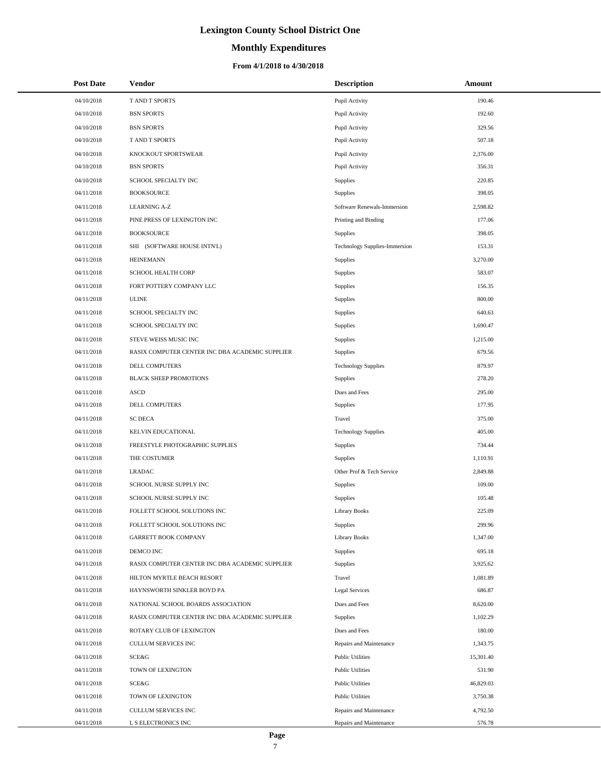# **Monthly Expenditures**

### **From 4/1/2018 to 4/30/2018**

| <b>Post Date</b> | Vendor                                          | <b>Description</b>            | <b>Amount</b> |  |
|------------------|-------------------------------------------------|-------------------------------|---------------|--|
| 04/10/2018       | T AND T SPORTS                                  | Pupil Activity                | 190.46        |  |
| 04/10/2018       | <b>BSN SPORTS</b>                               | Pupil Activity                | 192.60        |  |
| 04/10/2018       | <b>BSN SPORTS</b>                               | Pupil Activity                | 329.56        |  |
| 04/10/2018       | <b>TAND T SPORTS</b>                            | Pupil Activity                | 507.18        |  |
| 04/10/2018       | KNOCKOUT SPORTSWEAR                             | Pupil Activity                | 2,376.00      |  |
| 04/10/2018       | <b>BSN SPORTS</b>                               | Pupil Activity                | 356.31        |  |
| 04/10/2018       | SCHOOL SPECIALTY INC                            | Supplies                      | 220.85        |  |
| 04/11/2018       | <b>BOOKSOURCE</b>                               | <b>Supplies</b>               | 398.05        |  |
| 04/11/2018       | <b>LEARNING A-Z</b>                             | Software Renewals-Immersion   | 2,598.82      |  |
| 04/11/2018       | PINE PRESS OF LEXINGTON INC                     | Printing and Binding          | 177.06        |  |
| 04/11/2018       | <b>BOOKSOURCE</b>                               | Supplies                      | 398.05        |  |
| 04/11/2018       | SHI (SOFTWARE HOUSE INTN'L)                     | Technology Supplies-Immersion | 153.31        |  |
| 04/11/2018       | <b>HEINEMANN</b>                                | <b>Supplies</b>               | 3,270.00      |  |
| 04/11/2018       | SCHOOL HEALTH CORP                              | Supplies                      | 583.07        |  |
| 04/11/2018       | FORT POTTERY COMPANY LLC                        | Supplies                      | 156.35        |  |
| 04/11/2018       | <b>ULINE</b>                                    | <b>Supplies</b>               | 800.00        |  |
| 04/11/2018       | SCHOOL SPECIALTY INC                            | <b>Supplies</b>               | 640.63        |  |
| 04/11/2018       | SCHOOL SPECIALTY INC                            | Supplies                      | 1,690.47      |  |
| 04/11/2018       | STEVE WEISS MUSIC INC                           | Supplies                      | 1,215.00      |  |
| 04/11/2018       | RASIX COMPUTER CENTER INC DBA ACADEMIC SUPPLIER | <b>Supplies</b>               | 679.56        |  |
| 04/11/2018       | <b>DELL COMPUTERS</b>                           | <b>Technology Supplies</b>    | 879.97        |  |
| 04/11/2018       | <b>BLACK SHEEP PROMOTIONS</b>                   | <b>Supplies</b>               | 278.20        |  |
| 04/11/2018       | <b>ASCD</b>                                     | Dues and Fees                 | 295.00        |  |
| 04/11/2018       | DELL COMPUTERS                                  | <b>Supplies</b>               | 177.95        |  |
| 04/11/2018       | <b>SC DECA</b>                                  | Travel                        | 375.00        |  |
| 04/11/2018       | KELVIN EDUCATIONAL                              | <b>Technology Supplies</b>    | 405.00        |  |
| 04/11/2018       | FREESTYLE PHOTOGRAPHIC SUPPLIES                 | Supplies                      | 734.44        |  |
| 04/11/2018       | THE COSTUMER                                    | <b>Supplies</b>               | 1,110.91      |  |
| 04/11/2018       | <b>LRADAC</b>                                   | Other Prof & Tech Service     | 2,849.88      |  |
| 04/11/2018       | SCHOOL NURSE SUPPLY INC                         | Supplies                      | 109.00        |  |
| 04/11/2018       | SCHOOL NURSE SUPPLY INC                         | <b>Supplies</b>               | 105.48        |  |
| 04/11/2018       | FOLLETT SCHOOL SOLUTIONS INC                    | <b>Library Books</b>          | 225.09        |  |
| 04/11/2018       | FOLLETT SCHOOL SOLUTIONS INC                    | Supplies                      | 299.96        |  |
| 04/11/2018       | <b>GARRETT BOOK COMPANY</b>                     | <b>Library Books</b>          | 1,347.00      |  |
| 04/11/2018       | DEMCO INC                                       | Supplies                      | 695.18        |  |
| 04/11/2018       | RASIX COMPUTER CENTER INC DBA ACADEMIC SUPPLIER | <b>Supplies</b>               | 3,925.62      |  |
| 04/11/2018       | HILTON MYRTLE BEACH RESORT                      | Travel                        | 1,081.89      |  |
| 04/11/2018       | HAYNSWORTH SINKLER BOYD PA                      | <b>Legal Services</b>         | 686.87        |  |
| 04/11/2018       | NATIONAL SCHOOL BOARDS ASSOCIATION              | Dues and Fees                 | 8,620.00      |  |
| 04/11/2018       | RASIX COMPUTER CENTER INC DBA ACADEMIC SUPPLIER | <b>Supplies</b>               | 1,102.29      |  |
| 04/11/2018       | ROTARY CLUB OF LEXINGTON                        | Dues and Fees                 | 180.00        |  |
| 04/11/2018       | CULLUM SERVICES INC                             | Repairs and Maintenance       | 1,343.75      |  |
| 04/11/2018       | SCE&G                                           | <b>Public Utilities</b>       | 15,301.40     |  |
| 04/11/2018       | TOWN OF LEXINGTON                               | <b>Public Utilities</b>       | 531.90        |  |
| 04/11/2018       | SCE&G                                           | <b>Public Utilities</b>       | 46,829.03     |  |
| 04/11/2018       | TOWN OF LEXINGTON                               | <b>Public Utilities</b>       | 3,750.38      |  |
| 04/11/2018       | CULLUM SERVICES INC                             | Repairs and Maintenance       | 4,792.50      |  |
| 04/11/2018       | L S ELECTRONICS INC                             | Repairs and Maintenance       | 576.78        |  |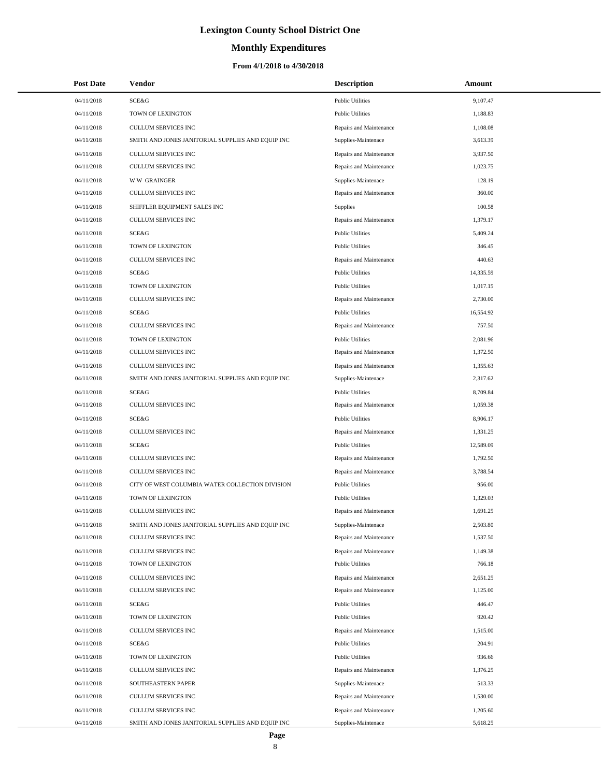# **Monthly Expenditures**

| <b>Post Date</b> | Vendor                                            | <b>Description</b>      | Amount    |
|------------------|---------------------------------------------------|-------------------------|-----------|
| 04/11/2018       | SCE&G                                             | <b>Public Utilities</b> | 9,107.47  |
| 04/11/2018       | TOWN OF LEXINGTON                                 | <b>Public Utilities</b> | 1,188.83  |
| 04/11/2018       | CULLUM SERVICES INC                               | Repairs and Maintenance | 1,108.08  |
| 04/11/2018       | SMITH AND JONES JANITORIAL SUPPLIES AND EQUIP INC | Supplies-Maintenace     | 3,613.39  |
| 04/11/2018       | <b>CULLUM SERVICES INC</b>                        | Repairs and Maintenance | 3,937.50  |
| 04/11/2018       | CULLUM SERVICES INC                               | Repairs and Maintenance | 1,023.75  |
| 04/11/2018       | <b>WW GRAINGER</b>                                | Supplies-Maintenace     | 128.19    |
| 04/11/2018       | CULLUM SERVICES INC                               | Repairs and Maintenance | 360.00    |
| 04/11/2018       | SHIFFLER EQUIPMENT SALES INC                      | <b>Supplies</b>         | 100.58    |
| 04/11/2018       | CULLUM SERVICES INC                               | Repairs and Maintenance | 1,379.17  |
| 04/11/2018       | SCE&G                                             | <b>Public Utilities</b> | 5,409.24  |
| 04/11/2018       | TOWN OF LEXINGTON                                 | <b>Public Utilities</b> | 346.45    |
| 04/11/2018       | <b>CULLUM SERVICES INC</b>                        | Repairs and Maintenance | 440.63    |
| 04/11/2018       | SCE&G                                             | <b>Public Utilities</b> | 14,335.59 |
| 04/11/2018       | TOWN OF LEXINGTON                                 | <b>Public Utilities</b> | 1,017.15  |
| 04/11/2018       | <b>CULLUM SERVICES INC</b>                        | Repairs and Maintenance | 2,730.00  |
| 04/11/2018       | SCE&G                                             | <b>Public Utilities</b> | 16,554.92 |
| 04/11/2018       | <b>CULLUM SERVICES INC</b>                        | Repairs and Maintenance | 757.50    |
| 04/11/2018       | TOWN OF LEXINGTON                                 | <b>Public Utilities</b> | 2,081.96  |
| 04/11/2018       | CULLUM SERVICES INC                               | Repairs and Maintenance | 1,372.50  |
| 04/11/2018       | <b>CULLUM SERVICES INC</b>                        | Repairs and Maintenance | 1,355.63  |
| 04/11/2018       | SMITH AND JONES JANITORIAL SUPPLIES AND EQUIP INC | Supplies-Maintenace     | 2,317.62  |
| 04/11/2018       | SCE&G                                             | <b>Public Utilities</b> | 8,709.84  |
| 04/11/2018       | CULLUM SERVICES INC                               | Repairs and Maintenance | 1,059.38  |
| 04/11/2018       | SCE&G                                             | <b>Public Utilities</b> | 8,906.17  |
| 04/11/2018       | CULLUM SERVICES INC                               | Repairs and Maintenance | 1,331.25  |
| 04/11/2018       | SCE&G                                             | <b>Public Utilities</b> | 12,589.09 |
| 04/11/2018       | <b>CULLUM SERVICES INC</b>                        | Repairs and Maintenance | 1,792.50  |
| 04/11/2018       | CULLUM SERVICES INC                               | Repairs and Maintenance | 3,788.54  |
| 04/11/2018       | CITY OF WEST COLUMBIA WATER COLLECTION DIVISION   | <b>Public Utilities</b> | 956.00    |
| 04/11/2018       | TOWN OF LEXINGTON                                 | <b>Public Utilities</b> | 1,329.03  |
| 04/11/2018       | CULLUM SERVICES INC                               | Repairs and Maintenance | 1,691.25  |
| 04/11/2018       | SMITH AND JONES JANITORIAL SUPPLIES AND EQUIP INC | Supplies-Maintenace     | 2,503.80  |
| 04/11/2018       | <b>CULLUM SERVICES INC</b>                        | Repairs and Maintenance | 1,537.50  |
| 04/11/2018       | CULLUM SERVICES INC                               | Repairs and Maintenance | 1,149.38  |
| 04/11/2018       | TOWN OF LEXINGTON                                 | <b>Public Utilities</b> | 766.18    |
| 04/11/2018       | CULLUM SERVICES INC                               | Repairs and Maintenance | 2,651.25  |
| 04/11/2018       | CULLUM SERVICES INC                               | Repairs and Maintenance | 1,125.00  |
| 04/11/2018       | SCE&G                                             | <b>Public Utilities</b> | 446.47    |
| 04/11/2018       | TOWN OF LEXINGTON                                 | <b>Public Utilities</b> | 920.42    |
| 04/11/2018       | CULLUM SERVICES INC                               | Repairs and Maintenance | 1,515.00  |
| 04/11/2018       | SCE&G                                             | <b>Public Utilities</b> | 204.91    |
| 04/11/2018       | TOWN OF LEXINGTON                                 | <b>Public Utilities</b> | 936.66    |
| 04/11/2018       | CULLUM SERVICES INC                               | Repairs and Maintenance | 1,376.25  |
| 04/11/2018       | SOUTHEASTERN PAPER                                | Supplies-Maintenace     | 513.33    |
| 04/11/2018       | CULLUM SERVICES INC                               | Repairs and Maintenance | 1,530.00  |
| 04/11/2018       | CULLUM SERVICES INC                               | Repairs and Maintenance | 1,205.60  |
| 04/11/2018       | SMITH AND JONES JANITORIAL SUPPLIES AND EQUIP INC | Supplies-Maintenace     | 5,618.25  |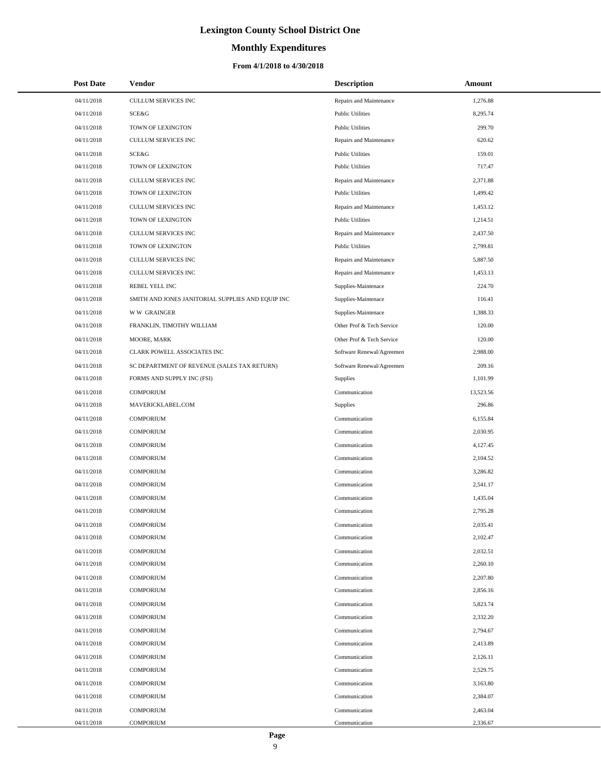### **Monthly Expenditures**

### **From 4/1/2018 to 4/30/2018**

| <b>Post Date</b> | <b>Vendor</b>                                     | <b>Description</b>        | Amount    |
|------------------|---------------------------------------------------|---------------------------|-----------|
| 04/11/2018       | CULLUM SERVICES INC                               | Repairs and Maintenance   | 1,276.88  |
| 04/11/2018       | SCE&G                                             | <b>Public Utilities</b>   | 8,295.74  |
| 04/11/2018       | TOWN OF LEXINGTON                                 | <b>Public Utilities</b>   | 299.70    |
| 04/11/2018       | <b>CULLUM SERVICES INC</b>                        | Repairs and Maintenance   | 620.62    |
| 04/11/2018       | SCE&G                                             | <b>Public Utilities</b>   | 159.01    |
| 04/11/2018       | TOWN OF LEXINGTON                                 | <b>Public Utilities</b>   | 717.47    |
| 04/11/2018       | CULLUM SERVICES INC                               | Repairs and Maintenance   | 2,371.88  |
| 04/11/2018       | TOWN OF LEXINGTON                                 | <b>Public Utilities</b>   | 1,499.42  |
| 04/11/2018       | CULLUM SERVICES INC                               | Repairs and Maintenance   | 1,453.12  |
| 04/11/2018       | TOWN OF LEXINGTON                                 | <b>Public Utilities</b>   | 1,214.51  |
| 04/11/2018       | CULLUM SERVICES INC                               | Repairs and Maintenance   | 2,437.50  |
| 04/11/2018       | TOWN OF LEXINGTON                                 | <b>Public Utilities</b>   | 2,799.81  |
| 04/11/2018       | CULLUM SERVICES INC                               | Repairs and Maintenance   | 5,887.50  |
| 04/11/2018       | CULLUM SERVICES INC                               | Repairs and Maintenance   | 1,453.13  |
| 04/11/2018       | REBEL YELL INC                                    | Supplies-Maintenace       | 224.70    |
| 04/11/2018       | SMITH AND JONES JANITORIAL SUPPLIES AND EQUIP INC | Supplies-Maintenace       | 116.41    |
| 04/11/2018       | <b>WW GRAINGER</b>                                | Supplies-Maintenace       | 1,388.33  |
| 04/11/2018       | FRANKLIN, TIMOTHY WILLIAM                         | Other Prof & Tech Service | 120.00    |
| 04/11/2018       | MOORE, MARK                                       | Other Prof & Tech Service | 120.00    |
| 04/11/2018       | CLARK POWELL ASSOCIATES INC                       | Software Renewal/Agreemen | 2,988.00  |
| 04/11/2018       | SC DEPARTMENT OF REVENUE (SALES TAX RETURN)       | Software Renewal/Agreemen | 209.16    |
| 04/11/2018       | FORMS AND SUPPLY INC (FSI)                        | Supplies                  | 1,101.99  |
| 04/11/2018       | <b>COMPORIUM</b>                                  | Communication             | 13,523.56 |
| 04/11/2018       | MAVERICKLABEL.COM                                 | Supplies                  | 296.86    |
| 04/11/2018       | <b>COMPORIUM</b>                                  | Communication             | 6,155.84  |
| 04/11/2018       | <b>COMPORIUM</b>                                  | Communication             | 2,030.95  |
| 04/11/2018       | <b>COMPORIUM</b>                                  | Communication             | 4,127.45  |
| 04/11/2018       | <b>COMPORIUM</b>                                  | Communication             | 2,104.52  |
| 04/11/2018       | <b>COMPORIUM</b>                                  | Communication             | 3.286.82  |
| 04/11/2018       | <b>COMPORIUM</b>                                  | Communication             | 2,541.17  |
| 04/11/2018       | <b>COMPORIUM</b>                                  | Communication             | 1,435.04  |
| 04/11/2018       | <b>COMPORIUM</b>                                  | Communication             | 2,795.28  |
| 04/11/2018       | COMPORIUM                                         | Communication             | 2,035.41  |
| 04/11/2018       | <b>COMPORIUM</b>                                  | Communication             | 2,102.47  |
| 04/11/2018       | <b>COMPORIUM</b>                                  | Communication             | 2,032.51  |
| 04/11/2018       | <b>COMPORIUM</b>                                  | Communication             | 2,260.10  |
| 04/11/2018       | <b>COMPORIUM</b>                                  | Communication             | 2,207.80  |
| 04/11/2018       | <b>COMPORIUM</b>                                  | Communication             | 2,856.16  |
| 04/11/2018       | <b>COMPORIUM</b>                                  | Communication             | 5,823.74  |
| 04/11/2018       | <b>COMPORIUM</b>                                  | Communication             | 2,332.20  |
| 04/11/2018       | <b>COMPORIUM</b>                                  | Communication             | 2,794.67  |
| 04/11/2018       | <b>COMPORIUM</b>                                  | Communication             | 2,413.89  |
| 04/11/2018       | <b>COMPORIUM</b>                                  | Communication             | 2,126.11  |
| 04/11/2018       | <b>COMPORIUM</b>                                  | Communication             | 2,529.75  |
| 04/11/2018       | <b>COMPORIUM</b>                                  | Communication             | 3,163.80  |
| 04/11/2018       | <b>COMPORIUM</b>                                  | Communication             | 2,384.07  |
| 04/11/2018       | <b>COMPORIUM</b>                                  | Communication             | 2,463.04  |
| 04/11/2018       | <b>COMPORIUM</b>                                  | Communication             | 2,336.67  |

L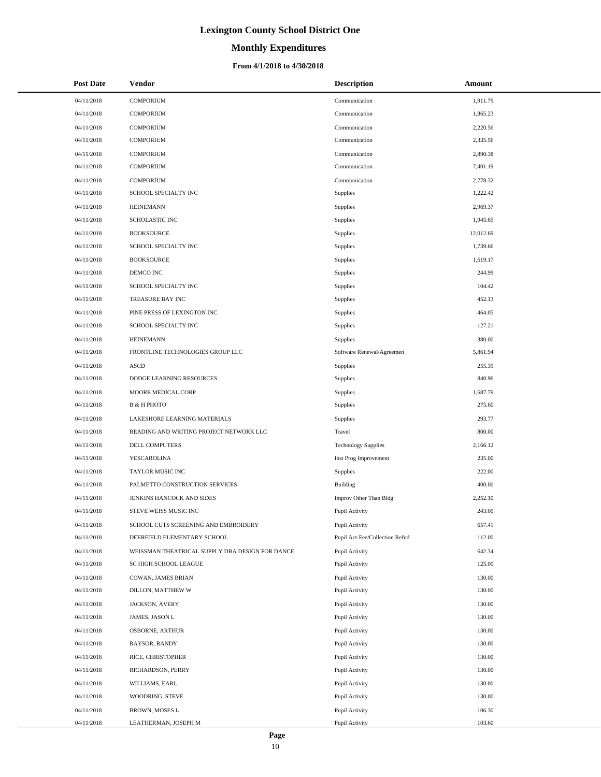# **Monthly Expenditures**

| <b>Post Date</b> | <b>Vendor</b>                                   | <b>Description</b>             | Amount    |
|------------------|-------------------------------------------------|--------------------------------|-----------|
| 04/11/2018       | <b>COMPORIUM</b>                                | Communication                  | 1,911.79  |
| 04/11/2018       | <b>COMPORIUM</b>                                | Communication                  | 1,865.23  |
| 04/11/2018       | <b>COMPORIUM</b>                                | Communication                  | 2,220.56  |
| 04/11/2018       | <b>COMPORIUM</b>                                | Communication                  | 2,335.56  |
| 04/11/2018       | <b>COMPORIUM</b>                                | Communication                  | 2,890.38  |
| 04/11/2018       | <b>COMPORIUM</b>                                | Communication                  | 7,401.19  |
| 04/11/2018       | <b>COMPORIUM</b>                                | Communication                  | 2,778.32  |
| 04/11/2018       | SCHOOL SPECIALTY INC                            | <b>Supplies</b>                | 1,222.42  |
| 04/11/2018       | <b>HEINEMANN</b>                                | Supplies                       | 2,969.37  |
| 04/11/2018       | SCHOLASTIC INC                                  | Supplies                       | 1,945.65  |
| 04/11/2018       | <b>BOOKSOURCE</b>                               | Supplies                       | 12,012.69 |
| 04/11/2018       | SCHOOL SPECIALTY INC                            | Supplies                       | 1,739.66  |
| 04/11/2018       | <b>BOOKSOURCE</b>                               | Supplies                       | 1,619.17  |
| 04/11/2018       | DEMCO INC                                       | Supplies                       | 244.99    |
| 04/11/2018       | SCHOOL SPECIALTY INC                            | Supplies                       | 104.42    |
| 04/11/2018       | TREASURE BAY INC                                | Supplies                       | 452.13    |
| 04/11/2018       | PINE PRESS OF LEXINGTON INC                     | Supplies                       | 464.05    |
| 04/11/2018       | SCHOOL SPECIALTY INC                            | Supplies                       | 127.21    |
| 04/11/2018       | <b>HEINEMANN</b>                                | Supplies                       | 380.00    |
| 04/11/2018       | FRONTLINE TECHNOLOGIES GROUP LLC                | Software Renewal/Agreemen      | 5,861.94  |
| 04/11/2018       | <b>ASCD</b>                                     | Supplies                       | 255.39    |
| 04/11/2018       | DODGE LEARNING RESOURCES                        | <b>Supplies</b>                | 840.96    |
| 04/11/2018       | MOORE MEDICAL CORP                              | Supplies                       | 1,687.79  |
| 04/11/2018       | <b>B &amp; H PHOTO</b>                          | Supplies                       | 275.60    |
| 04/11/2018       | LAKESHORE LEARNING MATERIALS                    | Supplies                       | 293.77    |
| 04/11/2018       | READING AND WRITING PROJECT NETWORK LLC         | Travel                         | 800.00    |
| 04/11/2018       | DELL COMPUTERS                                  | <b>Technology Supplies</b>     | 2,166.12  |
| 04/11/2018       | YESCAROLINA                                     | Inst Prog Improvement          | 235.00    |
| 04/11/2018       | TAYLOR MUSIC INC                                | Supplies                       | 222.00    |
| 04/11/2018       | PALMETTO CONSTRUCTION SERVICES                  | Building                       | 400.00    |
| 04/11/2018       | JENKINS HANCOCK AND SIDES                       | Improv Other Than Bldg         | 2,252.10  |
| 04/11/2018       | STEVE WEISS MUSIC INC                           | Pupil Activity                 | 243.00    |
| 04/11/2018       | SCHOOL CUTS SCREENING AND EMBROIDERY            | Pupil Activity                 | 657.41    |
| 04/11/2018       | DEERFIELD ELEMENTARY SCHOOL                     | Pupil Act-Fee/Collection Refnd | 112.00    |
| 04/11/2018       | WEISSMAN THEATRICAL SUPPLY DBA DESIGN FOR DANCE | Pupil Activity                 | 642.34    |
| 04/11/2018       | SC HIGH SCHOOL LEAGUE                           | Pupil Activity                 | 125.00    |
| 04/11/2018       | COWAN, JAMES BRIAN                              | Pupil Activity                 | 130.00    |
| 04/11/2018       | DILLON, MATTHEW W                               | Pupil Activity                 | 130.00    |
| 04/11/2018       | JACKSON, AVERY                                  | Pupil Activity                 | 130.00    |
| 04/11/2018       | JAMES, JASON L                                  | Pupil Activity                 | 130.00    |
| 04/11/2018       | OSBORNE, ARTHUR                                 | Pupil Activity                 | 130.00    |
| 04/11/2018       | RAYSOR, RANDY                                   | Pupil Activity                 | 130.00    |
| 04/11/2018       | RICE, CHRISTOPHER                               | Pupil Activity                 | 130.00    |
| 04/11/2018       | RICHARDSON, PERRY                               | Pupil Activity                 | 130.00    |
| 04/11/2018       | WILLIAMS, EARL                                  | Pupil Activity                 | 130.00    |
| 04/11/2018       | WOODRING, STEVE                                 | Pupil Activity                 | 130.00    |
| 04/11/2018       | BROWN, MOSES L                                  | Pupil Activity                 | 106.30    |
| 04/11/2018       | LEATHERMAN, JOSEPH M                            | Pupil Activity                 | 103.60    |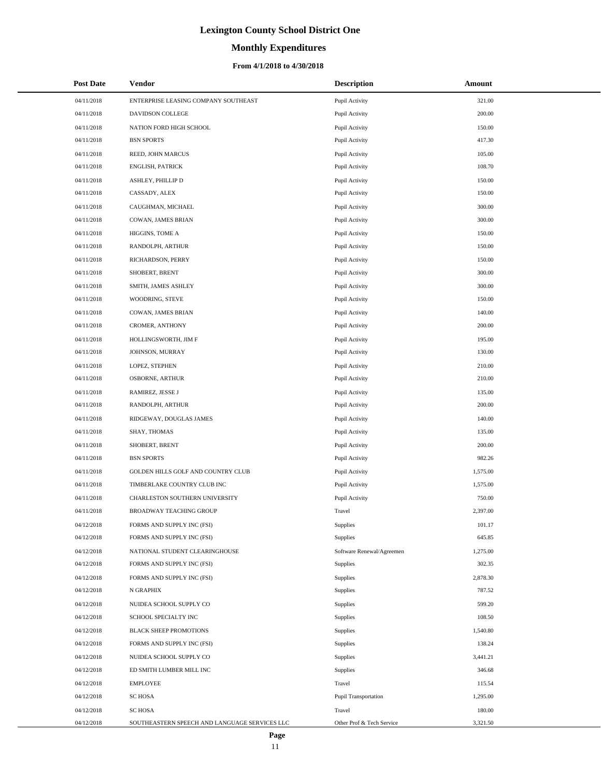# **Monthly Expenditures**

### **From 4/1/2018 to 4/30/2018**

| <b>Post Date</b> | Vendor                                        | <b>Description</b>        | Amount   |
|------------------|-----------------------------------------------|---------------------------|----------|
| 04/11/2018       | ENTERPRISE LEASING COMPANY SOUTHEAST          | Pupil Activity            | 321.00   |
| 04/11/2018       | DAVIDSON COLLEGE                              | Pupil Activity            | 200.00   |
| 04/11/2018       | NATION FORD HIGH SCHOOL                       | Pupil Activity            | 150.00   |
| 04/11/2018       | <b>BSN SPORTS</b>                             | Pupil Activity            | 417.30   |
| 04/11/2018       | REED, JOHN MARCUS                             | Pupil Activity            | 105.00   |
| 04/11/2018       | ENGLISH, PATRICK                              | Pupil Activity            | 108.70   |
| 04/11/2018       | ASHLEY, PHILLIP D                             | Pupil Activity            | 150.00   |
| 04/11/2018       | CASSADY, ALEX                                 | Pupil Activity            | 150.00   |
| 04/11/2018       | CAUGHMAN, MICHAEL                             | Pupil Activity            | 300.00   |
| 04/11/2018       | COWAN, JAMES BRIAN                            | Pupil Activity            | 300.00   |
| 04/11/2018       | HIGGINS, TOME A                               | Pupil Activity            | 150.00   |
| 04/11/2018       | RANDOLPH, ARTHUR                              | Pupil Activity            | 150.00   |
| 04/11/2018       | RICHARDSON, PERRY                             | Pupil Activity            | 150.00   |
| 04/11/2018       | SHOBERT, BRENT                                | Pupil Activity            | 300.00   |
| 04/11/2018       | SMITH, JAMES ASHLEY                           | Pupil Activity            | 300.00   |
| 04/11/2018       | WOODRING, STEVE                               | Pupil Activity            | 150.00   |
| 04/11/2018       | <b>COWAN, JAMES BRIAN</b>                     | Pupil Activity            | 140.00   |
| 04/11/2018       | CROMER, ANTHONY                               | Pupil Activity            | 200.00   |
| 04/11/2018       | HOLLINGSWORTH, JIM F                          | Pupil Activity            | 195.00   |
| 04/11/2018       | JOHNSON, MURRAY                               | Pupil Activity            | 130.00   |
| 04/11/2018       | LOPEZ, STEPHEN                                | Pupil Activity            | 210.00   |
| 04/11/2018       | OSBORNE, ARTHUR                               | Pupil Activity            | 210.00   |
| 04/11/2018       | RAMIREZ, JESSE J                              | Pupil Activity            | 135.00   |
| 04/11/2018       | RANDOLPH, ARTHUR                              | Pupil Activity            | 200.00   |
| 04/11/2018       | RIDGEWAY, DOUGLAS JAMES                       | Pupil Activity            | 140.00   |
| 04/11/2018       | SHAY, THOMAS                                  | Pupil Activity            | 135.00   |
| 04/11/2018       | SHOBERT, BRENT                                | Pupil Activity            | 200.00   |
| 04/11/2018       | <b>BSN SPORTS</b>                             | Pupil Activity            | 982.26   |
| 04/11/2018       | GOLDEN HILLS GOLF AND COUNTRY CLUB            | Pupil Activity            | 1,575.00 |
| 04/11/2018       | TIMBERLAKE COUNTRY CLUB INC                   | Pupil Activity            | 1,575.00 |
| 04/11/2018       | CHARLESTON SOUTHERN UNIVERSITY                | Pupil Activity            | 750.00   |
| 04/11/2018       | <b>BROADWAY TEACHING GROUP</b>                | Travel                    | 2,397.00 |
| 04/12/2018       | FORMS AND SUPPLY INC (FSI)                    | Supplies                  | 101.17   |
| 04/12/2018       | FORMS AND SUPPLY INC (FSI)                    | Supplies                  | 645.85   |
| 04/12/2018       | NATIONAL STUDENT CLEARINGHOUSE                | Software Renewal/Agreemen | 1,275.00 |
| 04/12/2018       | FORMS AND SUPPLY INC (FSI)                    | Supplies                  | 302.35   |
| 04/12/2018       | FORMS AND SUPPLY INC (FSI)                    | Supplies                  | 2,878.30 |
| 04/12/2018       | N GRAPHIX                                     | Supplies                  | 787.52   |
| 04/12/2018       | NUIDEA SCHOOL SUPPLY CO                       | Supplies                  | 599.20   |
| 04/12/2018       | SCHOOL SPECIALTY INC                          | Supplies                  | 108.50   |
| 04/12/2018       | <b>BLACK SHEEP PROMOTIONS</b>                 | Supplies                  | 1,540.80 |
| 04/12/2018       | FORMS AND SUPPLY INC (FSI)                    | Supplies                  | 138.24   |
| 04/12/2018       | NUIDEA SCHOOL SUPPLY CO                       | Supplies                  | 3,441.21 |
| 04/12/2018       | ED SMITH LUMBER MILL INC                      | Supplies                  | 346.68   |
| 04/12/2018       | <b>EMPLOYEE</b>                               | Travel                    | 115.54   |
| 04/12/2018       | <b>SC HOSA</b>                                | Pupil Transportation      | 1,295.00 |
| 04/12/2018       | <b>SC HOSA</b>                                | Travel                    | 180.00   |
| 04/12/2018       | SOUTHEASTERN SPEECH AND LANGUAGE SERVICES LLC | Other Prof & Tech Service | 3,321.50 |

 $\overline{a}$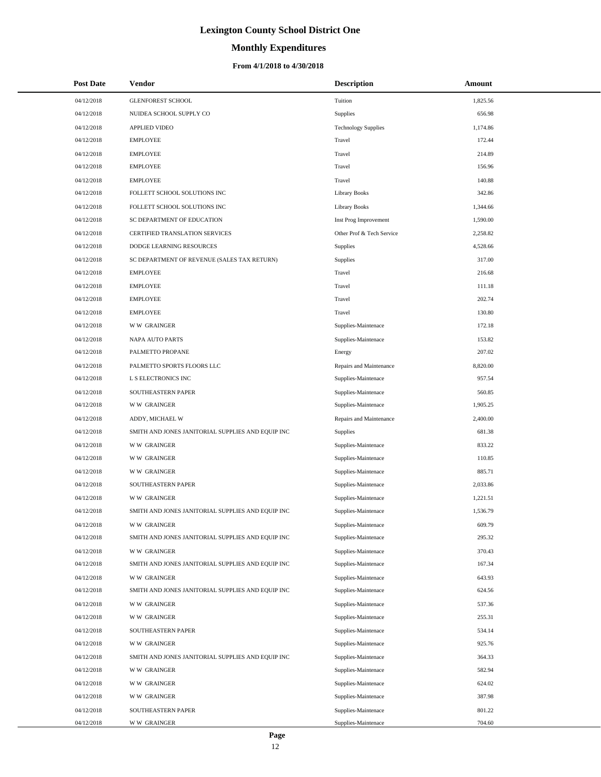# **Monthly Expenditures**

### **From 4/1/2018 to 4/30/2018**

| <b>Post Date</b> | Vendor                                            | <b>Description</b>         | Amount   |
|------------------|---------------------------------------------------|----------------------------|----------|
| 04/12/2018       | <b>GLENFOREST SCHOOL</b>                          | Tuition                    | 1,825.56 |
| 04/12/2018       | NUIDEA SCHOOL SUPPLY CO                           | <b>Supplies</b>            | 656.98   |
| 04/12/2018       | <b>APPLIED VIDEO</b>                              | <b>Technology Supplies</b> | 1,174.86 |
| 04/12/2018       | <b>EMPLOYEE</b>                                   | Travel                     | 172.44   |
| 04/12/2018       | <b>EMPLOYEE</b>                                   | Travel                     | 214.89   |
| 04/12/2018       | <b>EMPLOYEE</b>                                   | Travel                     | 156.96   |
| 04/12/2018       | <b>EMPLOYEE</b>                                   | Travel                     | 140.88   |
| 04/12/2018       | FOLLETT SCHOOL SOLUTIONS INC                      | <b>Library Books</b>       | 342.86   |
| 04/12/2018       | FOLLETT SCHOOL SOLUTIONS INC                      | <b>Library Books</b>       | 1,344.66 |
| 04/12/2018       | SC DEPARTMENT OF EDUCATION                        | Inst Prog Improvement      | 1,590.00 |
| 04/12/2018       | CERTIFIED TRANSLATION SERVICES                    | Other Prof & Tech Service  | 2,258.82 |
| 04/12/2018       | DODGE LEARNING RESOURCES                          | Supplies                   | 4,528.66 |
| 04/12/2018       | SC DEPARTMENT OF REVENUE (SALES TAX RETURN)       | <b>Supplies</b>            | 317.00   |
| 04/12/2018       | <b>EMPLOYEE</b>                                   | Travel                     | 216.68   |
| 04/12/2018       | <b>EMPLOYEE</b>                                   | Travel                     | 111.18   |
| 04/12/2018       | <b>EMPLOYEE</b>                                   | Travel                     | 202.74   |
| 04/12/2018       | <b>EMPLOYEE</b>                                   | Travel                     | 130.80   |
| 04/12/2018       | <b>WW GRAINGER</b>                                | Supplies-Maintenace        | 172.18   |
| 04/12/2018       | NAPA AUTO PARTS                                   | Supplies-Maintenace        | 153.82   |
| 04/12/2018       | PALMETTO PROPANE                                  | Energy                     | 207.02   |
| 04/12/2018       | PALMETTO SPORTS FLOORS LLC                        | Repairs and Maintenance    | 8,820.00 |
| 04/12/2018       | L S ELECTRONICS INC                               | Supplies-Maintenace        | 957.54   |
| 04/12/2018       | SOUTHEASTERN PAPER                                | Supplies-Maintenace        | 560.85   |
| 04/12/2018       | <b>WW GRAINGER</b>                                | Supplies-Maintenace        | 1,905.25 |
| 04/12/2018       | ADDY, MICHAEL W                                   | Repairs and Maintenance    | 2,400.00 |
| 04/12/2018       | SMITH AND JONES JANITORIAL SUPPLIES AND EQUIP INC | Supplies                   | 681.38   |
| 04/12/2018       | <b>WW GRAINGER</b>                                | Supplies-Maintenace        | 833.22   |
| 04/12/2018       | <b>WW GRAINGER</b>                                | Supplies-Maintenace        | 110.85   |
| 04/12/2018       | <b>WW GRAINGER</b>                                | Supplies-Maintenace        | 885.71   |
| 04/12/2018       | SOUTHEASTERN PAPER                                | Supplies-Maintenace        | 2,033.86 |
| 04/12/2018       | <b>WW GRAINGER</b>                                | Supplies-Maintenace        | 1,221.51 |
| 04/12/2018       | SMITH AND JONES JANITORIAL SUPPLIES AND EQUIP INC | Supplies-Maintenace        | 1,536.79 |
| 04/12/2018       | <b>WW GRAINGER</b>                                | Supplies-Maintenace        | 609.79   |
| 04/12/2018       | SMITH AND JONES JANITORIAL SUPPLIES AND EQUIP INC | Supplies-Maintenace        | 295.32   |
| 04/12/2018       | <b>WW GRAINGER</b>                                | Supplies-Maintenace        | 370.43   |
| 04/12/2018       | SMITH AND JONES JANITORIAL SUPPLIES AND EQUIP INC | Supplies-Maintenace        | 167.34   |
| 04/12/2018       | <b>WW GRAINGER</b>                                | Supplies-Maintenace        | 643.93   |
| 04/12/2018       | SMITH AND JONES JANITORIAL SUPPLIES AND EQUIP INC | Supplies-Maintenace        | 624.56   |
| 04/12/2018       | <b>WW GRAINGER</b>                                | Supplies-Maintenace        | 537.36   |
| 04/12/2018       | <b>WW GRAINGER</b>                                | Supplies-Maintenace        | 255.31   |
| 04/12/2018       | SOUTHEASTERN PAPER                                | Supplies-Maintenace        | 534.14   |
| 04/12/2018       | <b>WW GRAINGER</b>                                | Supplies-Maintenace        | 925.76   |
| 04/12/2018       | SMITH AND JONES JANITORIAL SUPPLIES AND EQUIP INC | Supplies-Maintenace        | 364.33   |
| 04/12/2018       | <b>WW GRAINGER</b>                                | Supplies-Maintenace        | 582.94   |
| 04/12/2018       | <b>WW GRAINGER</b>                                | Supplies-Maintenace        | 624.02   |
| 04/12/2018       | <b>WW GRAINGER</b>                                | Supplies-Maintenace        | 387.98   |
| 04/12/2018       | SOUTHEASTERN PAPER                                | Supplies-Maintenace        | 801.22   |
| 04/12/2018       | <b>WW GRAINGER</b>                                | Supplies-Maintenace        | 704.60   |

÷.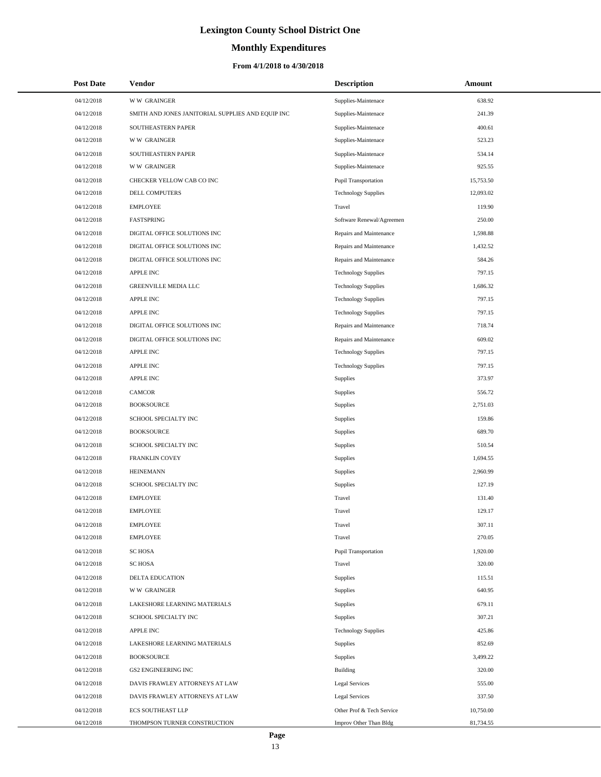# **Monthly Expenditures**

### **From 4/1/2018 to 4/30/2018**

| <b>Post Date</b> | Vendor                                            | <b>Description</b>         | Amount    |
|------------------|---------------------------------------------------|----------------------------|-----------|
| 04/12/2018       | <b>WW GRAINGER</b>                                | Supplies-Maintenace        | 638.92    |
| 04/12/2018       | SMITH AND JONES JANITORIAL SUPPLIES AND EQUIP INC | Supplies-Maintenace        | 241.39    |
| 04/12/2018       | SOUTHEASTERN PAPER                                | Supplies-Maintenace        | 400.61    |
| 04/12/2018       | <b>WW GRAINGER</b>                                | Supplies-Maintenace        | 523.23    |
| 04/12/2018       | SOUTHEASTERN PAPER                                | Supplies-Maintenace        | 534.14    |
| 04/12/2018       | <b>WW GRAINGER</b>                                | Supplies-Maintenace        | 925.55    |
| 04/12/2018       | CHECKER YELLOW CAB CO INC                         | Pupil Transportation       | 15,753.50 |
| 04/12/2018       | DELL COMPUTERS                                    | <b>Technology Supplies</b> | 12,093.02 |
| 04/12/2018       | <b>EMPLOYEE</b>                                   | Travel                     | 119.90    |
| 04/12/2018       | FASTSPRING                                        | Software Renewal/Agreemen  | 250.00    |
| 04/12/2018       | DIGITAL OFFICE SOLUTIONS INC                      | Repairs and Maintenance    | 1,598.88  |
| 04/12/2018       | DIGITAL OFFICE SOLUTIONS INC                      | Repairs and Maintenance    | 1,432.52  |
| 04/12/2018       | DIGITAL OFFICE SOLUTIONS INC                      | Repairs and Maintenance    | 584.26    |
| 04/12/2018       | <b>APPLE INC</b>                                  | <b>Technology Supplies</b> | 797.15    |
| 04/12/2018       | GREENVILLE MEDIA LLC                              | <b>Technology Supplies</b> | 1,686.32  |
| 04/12/2018       | <b>APPLE INC</b>                                  | <b>Technology Supplies</b> | 797.15    |
| 04/12/2018       | <b>APPLE INC</b>                                  | <b>Technology Supplies</b> | 797.15    |
| 04/12/2018       | DIGITAL OFFICE SOLUTIONS INC                      | Repairs and Maintenance    | 718.74    |
| 04/12/2018       | DIGITAL OFFICE SOLUTIONS INC                      | Repairs and Maintenance    | 609.02    |
| 04/12/2018       | <b>APPLE INC</b>                                  | <b>Technology Supplies</b> | 797.15    |
| 04/12/2018       | <b>APPLE INC</b>                                  | <b>Technology Supplies</b> | 797.15    |
| 04/12/2018       | <b>APPLE INC</b>                                  | Supplies                   | 373.97    |
| 04/12/2018       | <b>CAMCOR</b>                                     | Supplies                   | 556.72    |
| 04/12/2018       | <b>BOOKSOURCE</b>                                 | Supplies                   | 2,751.03  |
| 04/12/2018       | SCHOOL SPECIALTY INC                              | Supplies                   | 159.86    |
| 04/12/2018       | <b>BOOKSOURCE</b>                                 | Supplies                   | 689.70    |
| 04/12/2018       | SCHOOL SPECIALTY INC                              | Supplies                   | 510.54    |
| 04/12/2018       | FRANKLIN COVEY                                    | Supplies                   | 1,694.55  |
| 04/12/2018       | <b>HEINEMANN</b>                                  | Supplies                   | 2,960.99  |
| 04/12/2018       | SCHOOL SPECIALTY INC                              | Supplies                   | 127.19    |
| 04/12/2018       | <b>EMPLOYEE</b>                                   | Travel                     | 131.40    |
| 04/12/2018       | <b>EMPLOYEE</b>                                   | Travel                     | 129.17    |
| 04/12/2018       | <b>EMPLOYEE</b>                                   | Travel                     | 307.11    |
| 04/12/2018       | <b>EMPLOYEE</b>                                   | Travel                     | 270.05    |
| 04/12/2018       | <b>SC HOSA</b>                                    | Pupil Transportation       | 1,920.00  |
| 04/12/2018       | <b>SC HOSA</b>                                    | Travel                     | 320.00    |
| 04/12/2018       | <b>DELTA EDUCATION</b>                            | Supplies                   | 115.51    |
| 04/12/2018       | <b>WW GRAINGER</b>                                | Supplies                   | 640.95    |
| 04/12/2018       | LAKESHORE LEARNING MATERIALS                      | Supplies                   | 679.11    |
| 04/12/2018       | SCHOOL SPECIALTY INC                              | Supplies                   | 307.21    |
| 04/12/2018       | APPLE INC                                         | <b>Technology Supplies</b> | 425.86    |
| 04/12/2018       | LAKESHORE LEARNING MATERIALS                      | Supplies                   | 852.69    |
| 04/12/2018       | <b>BOOKSOURCE</b>                                 | Supplies                   | 3,499.22  |
| 04/12/2018       | <b>GS2 ENGINEERING INC</b>                        | Building                   | 320.00    |
| 04/12/2018       | DAVIS FRAWLEY ATTORNEYS AT LAW                    | Legal Services             | 555.00    |
| 04/12/2018       | DAVIS FRAWLEY ATTORNEYS AT LAW                    | <b>Legal Services</b>      | 337.50    |
| 04/12/2018       | <b>ECS SOUTHEAST LLP</b>                          | Other Prof & Tech Service  | 10,750.00 |
| 04/12/2018       | THOMPSON TURNER CONSTRUCTION                      | Improv Other Than Bldg     | 81,734.55 |

L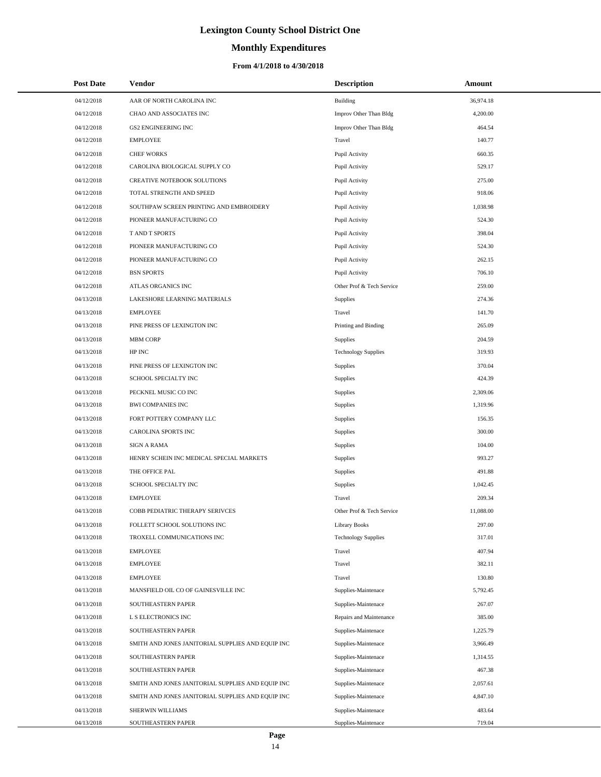# **Monthly Expenditures**

| <b>Post Date</b> | Vendor                                            | <b>Description</b>         | Amount    |
|------------------|---------------------------------------------------|----------------------------|-----------|
| 04/12/2018       | AAR OF NORTH CAROLINA INC                         | <b>Building</b>            | 36,974.18 |
| 04/12/2018       | CHAO AND ASSOCIATES INC                           | Improv Other Than Bldg     | 4,200.00  |
| 04/12/2018       | <b>GS2 ENGINEERING INC</b>                        | Improv Other Than Bldg     | 464.54    |
| 04/12/2018       | <b>EMPLOYEE</b>                                   | Travel                     | 140.77    |
| 04/12/2018       | <b>CHEF WORKS</b>                                 | Pupil Activity             | 660.35    |
| 04/12/2018       | CAROLINA BIOLOGICAL SUPPLY CO                     | Pupil Activity             | 529.17    |
| 04/12/2018       | CREATIVE NOTEBOOK SOLUTIONS                       | Pupil Activity             | 275.00    |
| 04/12/2018       | TOTAL STRENGTH AND SPEED                          | Pupil Activity             | 918.06    |
| 04/12/2018       | SOUTHPAW SCREEN PRINTING AND EMBROIDERY           | Pupil Activity             | 1,038.98  |
| 04/12/2018       | PIONEER MANUFACTURING CO                          | Pupil Activity             | 524.30    |
| 04/12/2018       | T AND T SPORTS                                    | Pupil Activity             | 398.04    |
| 04/12/2018       | PIONEER MANUFACTURING CO                          | Pupil Activity             | 524.30    |
| 04/12/2018       | PIONEER MANUFACTURING CO                          | Pupil Activity             | 262.15    |
| 04/12/2018       | <b>BSN SPORTS</b>                                 | Pupil Activity             | 706.10    |
| 04/12/2018       | ATLAS ORGANICS INC                                | Other Prof & Tech Service  | 259.00    |
| 04/13/2018       | LAKESHORE LEARNING MATERIALS                      | Supplies                   | 274.36    |
| 04/13/2018       | <b>EMPLOYEE</b>                                   | Travel                     | 141.70    |
| 04/13/2018       | PINE PRESS OF LEXINGTON INC                       | Printing and Binding       | 265.09    |
| 04/13/2018       | <b>MBM CORP</b>                                   | Supplies                   | 204.59    |
| 04/13/2018       | HP INC                                            | <b>Technology Supplies</b> | 319.93    |
| 04/13/2018       | PINE PRESS OF LEXINGTON INC                       | Supplies                   | 370.04    |
| 04/13/2018       | SCHOOL SPECIALTY INC                              | Supplies                   | 424.39    |
| 04/13/2018       | PECKNEL MUSIC CO INC                              | Supplies                   | 2,309.06  |
| 04/13/2018       | <b>BWI COMPANIES INC</b>                          | Supplies                   | 1,319.96  |
| 04/13/2018       | FORT POTTERY COMPANY LLC                          | Supplies                   | 156.35    |
| 04/13/2018       | CAROLINA SPORTS INC                               | Supplies                   | 300.00    |
| 04/13/2018       | <b>SIGN A RAMA</b>                                | Supplies                   | 104.00    |
| 04/13/2018       | HENRY SCHEIN INC MEDICAL SPECIAL MARKETS          | Supplies                   | 993.27    |
| 04/13/2018       | THE OFFICE PAL                                    | Supplies                   | 491.88    |
| 04/13/2018       | SCHOOL SPECIALTY INC                              | Supplies                   | 1,042.45  |
| 04/13/2018       | <b>EMPLOYEE</b>                                   | Travel                     | 209.34    |
| 04/13/2018       | COBB PEDIATRIC THERAPY SERIVCES                   | Other Prof & Tech Service  | 11,088.00 |
| 04/13/2018       | FOLLETT SCHOOL SOLUTIONS INC                      | <b>Library Books</b>       | 297.00    |
| 04/13/2018       | TROXELL COMMUNICATIONS INC                        | <b>Technology Supplies</b> | 317.01    |
| 04/13/2018       | <b>EMPLOYEE</b>                                   | Travel                     | 407.94    |
| 04/13/2018       | <b>EMPLOYEE</b>                                   | Travel                     | 382.11    |
| 04/13/2018       | <b>EMPLOYEE</b>                                   | Travel                     | 130.80    |
| 04/13/2018       | MANSFIELD OIL CO OF GAINESVILLE INC               | Supplies-Maintenace        | 5,792.45  |
| 04/13/2018       | SOUTHEASTERN PAPER                                | Supplies-Maintenace        | 267.07    |
| 04/13/2018       | L S ELECTRONICS INC                               | Repairs and Maintenance    | 385.00    |
| 04/13/2018       | SOUTHEASTERN PAPER                                | Supplies-Maintenace        | 1,225.79  |
| 04/13/2018       | SMITH AND JONES JANITORIAL SUPPLIES AND EQUIP INC | Supplies-Maintenace        | 3,966.49  |
| 04/13/2018       | SOUTHEASTERN PAPER                                | Supplies-Maintenace        | 1,314.55  |
| 04/13/2018       | SOUTHEASTERN PAPER                                | Supplies-Maintenace        | 467.38    |
| 04/13/2018       | SMITH AND JONES JANITORIAL SUPPLIES AND EQUIP INC | Supplies-Maintenace        | 2,057.61  |
| 04/13/2018       | SMITH AND JONES JANITORIAL SUPPLIES AND EQUIP INC | Supplies-Maintenace        | 4,847.10  |
| 04/13/2018       | SHERWIN WILLIAMS                                  | Supplies-Maintenace        | 483.64    |
| 04/13/2018       | SOUTHEASTERN PAPER                                | Supplies-Maintenace        | 719.04    |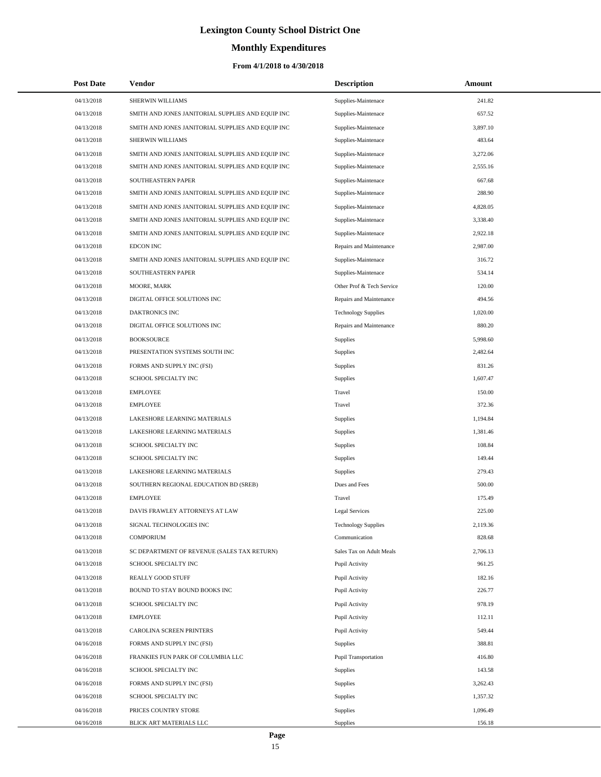# **Monthly Expenditures**

| <b>Post Date</b> | Vendor                                            | <b>Description</b>         | Amount   |
|------------------|---------------------------------------------------|----------------------------|----------|
| 04/13/2018       | SHERWIN WILLIAMS                                  | Supplies-Maintenace        | 241.82   |
| 04/13/2018       | SMITH AND JONES JANITORIAL SUPPLIES AND EQUIP INC | Supplies-Maintenace        | 657.52   |
| 04/13/2018       | SMITH AND JONES JANITORIAL SUPPLIES AND EQUIP INC | Supplies-Maintenace        | 3,897.10 |
| 04/13/2018       | SHERWIN WILLIAMS                                  | Supplies-Maintenace        | 483.64   |
| 04/13/2018       | SMITH AND JONES JANITORIAL SUPPLIES AND EQUIP INC | Supplies-Maintenace        | 3,272.06 |
| 04/13/2018       | SMITH AND JONES JANITORIAL SUPPLIES AND EQUIP INC | Supplies-Maintenace        | 2,555.16 |
| 04/13/2018       | SOUTHEASTERN PAPER                                | Supplies-Maintenace        | 667.68   |
| 04/13/2018       | SMITH AND JONES JANITORIAL SUPPLIES AND EQUIP INC | Supplies-Maintenace        | 288.90   |
| 04/13/2018       | SMITH AND JONES JANITORIAL SUPPLIES AND EQUIP INC | Supplies-Maintenace        | 4,828.05 |
| 04/13/2018       | SMITH AND JONES JANITORIAL SUPPLIES AND EQUIP INC | Supplies-Maintenace        | 3,338.40 |
| 04/13/2018       | SMITH AND JONES JANITORIAL SUPPLIES AND EQUIP INC | Supplies-Maintenace        | 2,922.18 |
| 04/13/2018       | <b>EDCON INC</b>                                  | Repairs and Maintenance    | 2,987.00 |
| 04/13/2018       | SMITH AND JONES JANITORIAL SUPPLIES AND EQUIP INC | Supplies-Maintenace        | 316.72   |
| 04/13/2018       | SOUTHEASTERN PAPER                                | Supplies-Maintenace        | 534.14   |
| 04/13/2018       | MOORE, MARK                                       | Other Prof & Tech Service  | 120.00   |
| 04/13/2018       | DIGITAL OFFICE SOLUTIONS INC                      | Repairs and Maintenance    | 494.56   |
| 04/13/2018       | DAKTRONICS INC                                    | <b>Technology Supplies</b> | 1,020.00 |
| 04/13/2018       | DIGITAL OFFICE SOLUTIONS INC                      | Repairs and Maintenance    | 880.20   |
| 04/13/2018       | <b>BOOKSOURCE</b>                                 | Supplies                   | 5,998.60 |
| 04/13/2018       | PRESENTATION SYSTEMS SOUTH INC                    | Supplies                   | 2,482.64 |
| 04/13/2018       | FORMS AND SUPPLY INC (FSI)                        | Supplies                   | 831.26   |
| 04/13/2018       | SCHOOL SPECIALTY INC                              | Supplies                   | 1,607.47 |
| 04/13/2018       | <b>EMPLOYEE</b>                                   | Travel                     | 150.00   |
| 04/13/2018       | <b>EMPLOYEE</b>                                   | Travel                     | 372.36   |
| 04/13/2018       | LAKESHORE LEARNING MATERIALS                      | Supplies                   | 1,194.84 |
| 04/13/2018       | LAKESHORE LEARNING MATERIALS                      | Supplies                   | 1,381.46 |
| 04/13/2018       | SCHOOL SPECIALTY INC                              | Supplies                   | 108.84   |
| 04/13/2018       | SCHOOL SPECIALTY INC                              | Supplies                   | 149.44   |
| 04/13/2018       | LAKESHORE LEARNING MATERIALS                      | Supplies                   | 279.43   |
| 04/13/2018       | SOUTHERN REGIONAL EDUCATION BD (SREB)             | Dues and Fees              | 500.00   |
| 04/13/2018       | <b>EMPLOYEE</b>                                   | Travel                     | 175.49   |
| 04/13/2018       | DAVIS FRAWLEY ATTORNEYS AT LAW                    | <b>Legal Services</b>      | 225.00   |
| 04/13/2018       | SIGNAL TECHNOLOGIES INC                           | <b>Technology Supplies</b> | 2,119.36 |
| 04/13/2018       | <b>COMPORIUM</b>                                  | Communication              | 828.68   |
| 04/13/2018       | SC DEPARTMENT OF REVENUE (SALES TAX RETURN)       | Sales Tax on Adult Meals   | 2,706.13 |
| 04/13/2018       | SCHOOL SPECIALTY INC                              | Pupil Activity             | 961.25   |
| 04/13/2018       | REALLY GOOD STUFF                                 | Pupil Activity             | 182.16   |
| 04/13/2018       | BOUND TO STAY BOUND BOOKS INC                     | Pupil Activity             | 226.77   |
| 04/13/2018       | SCHOOL SPECIALTY INC                              | Pupil Activity             | 978.19   |
| 04/13/2018       | <b>EMPLOYEE</b>                                   | Pupil Activity             | 112.11   |
| 04/13/2018       | CAROLINA SCREEN PRINTERS                          | Pupil Activity             | 549.44   |
| 04/16/2018       | FORMS AND SUPPLY INC (FSI)                        | Supplies                   | 388.81   |
| 04/16/2018       | FRANKIES FUN PARK OF COLUMBIA LLC                 | Pupil Transportation       | 416.80   |
| 04/16/2018       | SCHOOL SPECIALTY INC                              | Supplies                   | 143.58   |
| 04/16/2018       | FORMS AND SUPPLY INC (FSI)                        | Supplies                   | 3,262.43 |
| 04/16/2018       | SCHOOL SPECIALTY INC                              | Supplies                   | 1,357.32 |
| 04/16/2018       | PRICES COUNTRY STORE                              | Supplies                   | 1,096.49 |
| 04/16/2018       | BLICK ART MATERIALS LLC                           | Supplies                   | 156.18   |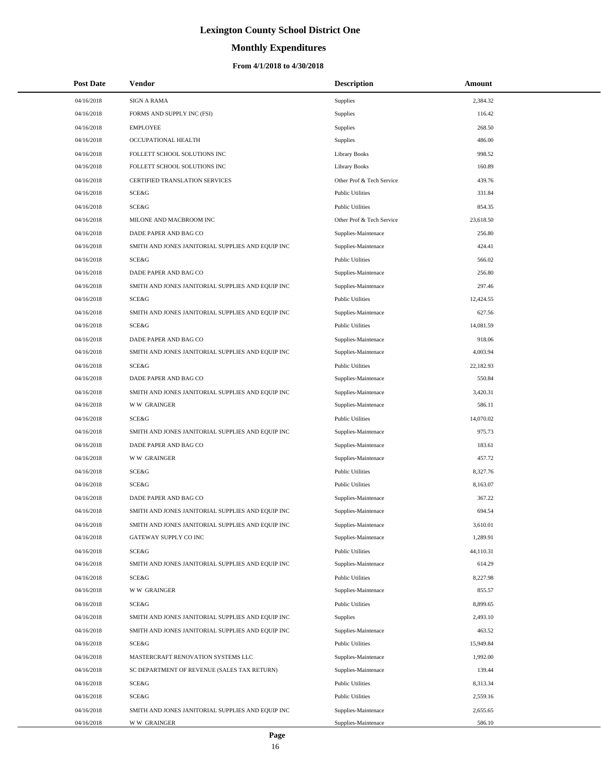# **Monthly Expenditures**

| <b>Post Date</b> | Vendor                                            | <b>Description</b>        | Amount    |
|------------------|---------------------------------------------------|---------------------------|-----------|
| 04/16/2018       | <b>SIGN A RAMA</b>                                | <b>Supplies</b>           | 2,384.32  |
| 04/16/2018       | FORMS AND SUPPLY INC (FSI)                        | Supplies                  | 116.42    |
| 04/16/2018       | <b>EMPLOYEE</b>                                   | <b>Supplies</b>           | 268.50    |
| 04/16/2018       | OCCUPATIONAL HEALTH                               | <b>Supplies</b>           | 486.00    |
| 04/16/2018       | FOLLETT SCHOOL SOLUTIONS INC                      | <b>Library Books</b>      | 998.52    |
| 04/16/2018       | FOLLETT SCHOOL SOLUTIONS INC                      | <b>Library Books</b>      | 160.89    |
| 04/16/2018       | <b>CERTIFIED TRANSLATION SERVICES</b>             | Other Prof & Tech Service | 439.76    |
| 04/16/2018       | SCE&G                                             | <b>Public Utilities</b>   | 331.84    |
| 04/16/2018       | SCE&G                                             | <b>Public Utilities</b>   | 854.35    |
| 04/16/2018       | MILONE AND MACBROOM INC                           | Other Prof & Tech Service | 23,618.50 |
| 04/16/2018       | DADE PAPER AND BAG CO                             | Supplies-Maintenace       | 256.80    |
| 04/16/2018       | SMITH AND JONES JANITORIAL SUPPLIES AND EQUIP INC | Supplies-Maintenace       | 424.41    |
| 04/16/2018       | SCE&G                                             | <b>Public Utilities</b>   | 566.02    |
| 04/16/2018       | DADE PAPER AND BAG CO                             | Supplies-Maintenace       | 256.80    |
| 04/16/2018       | SMITH AND JONES JANITORIAL SUPPLIES AND EQUIP INC | Supplies-Maintenace       | 297.46    |
| 04/16/2018       | SCE&G                                             | <b>Public Utilities</b>   | 12,424.55 |
| 04/16/2018       | SMITH AND JONES JANITORIAL SUPPLIES AND EQUIP INC | Supplies-Maintenace       | 627.56    |
| 04/16/2018       | SCE&G                                             | <b>Public Utilities</b>   | 14,081.59 |
| 04/16/2018       | DADE PAPER AND BAG CO                             | Supplies-Maintenace       | 918.06    |
| 04/16/2018       | SMITH AND JONES JANITORIAL SUPPLIES AND EQUIP INC | Supplies-Maintenace       | 4,003.94  |
| 04/16/2018       | SCE&G                                             | <b>Public Utilities</b>   | 22,182.93 |
| 04/16/2018       | DADE PAPER AND BAG CO                             | Supplies-Maintenace       | 550.84    |
| 04/16/2018       | SMITH AND JONES JANITORIAL SUPPLIES AND EQUIP INC | Supplies-Maintenace       | 3,420.31  |
| 04/16/2018       | <b>WW GRAINGER</b>                                | Supplies-Maintenace       | 586.11    |
| 04/16/2018       | SCE&G                                             | <b>Public Utilities</b>   | 14,070.02 |
| 04/16/2018       | SMITH AND JONES JANITORIAL SUPPLIES AND EQUIP INC | Supplies-Maintenace       | 975.73    |
| 04/16/2018       | DADE PAPER AND BAG CO                             | Supplies-Maintenace       | 183.61    |
| 04/16/2018       | <b>WW GRAINGER</b>                                | Supplies-Maintenace       | 457.72    |
| 04/16/2018       | SCE&G                                             | <b>Public Utilities</b>   | 8,327.76  |
| 04/16/2018       | SCE&G                                             | <b>Public Utilities</b>   | 8,163.07  |
| 04/16/2018       | DADE PAPER AND BAG CO                             | Supplies-Maintenace       | 367.22    |
| 04/16/2018       | SMITH AND JONES JANITORIAL SUPPLIES AND EQUIP INC | Supplies-Maintenace       | 694.54    |
| 04/16/2018       | SMITH AND JONES JANITORIAL SUPPLIES AND EQUIP INC | Supplies-Maintenace       | 3,610.01  |
| 04/16/2018       | GATEWAY SUPPLY CO INC                             | Supplies-Maintenace       | 1,289.91  |
| 04/16/2018       | SCE&G                                             | <b>Public Utilities</b>   | 44,110.31 |
| 04/16/2018       | SMITH AND JONES JANITORIAL SUPPLIES AND EQUIP INC | Supplies-Maintenace       | 614.29    |
| 04/16/2018       | SCE&G                                             | <b>Public Utilities</b>   | 8,227.98  |
| 04/16/2018       | <b>WW GRAINGER</b>                                | Supplies-Maintenace       | 855.57    |
| 04/16/2018       | <b>SCE&amp;G</b>                                  | <b>Public Utilities</b>   | 8,899.65  |
| 04/16/2018       | SMITH AND JONES JANITORIAL SUPPLIES AND EQUIP INC | <b>Supplies</b>           | 2,493.10  |
| 04/16/2018       | SMITH AND JONES JANITORIAL SUPPLIES AND EQUIP INC | Supplies-Maintenace       | 463.52    |
| 04/16/2018       | SCE&G                                             | <b>Public Utilities</b>   | 15,949.84 |
| 04/16/2018       | MASTERCRAFT RENOVATION SYSTEMS LLC                | Supplies-Maintenace       | 1,992.00  |
| 04/16/2018       | SC DEPARTMENT OF REVENUE (SALES TAX RETURN)       | Supplies-Maintenace       | 139.44    |
| 04/16/2018       | SCE&G                                             | <b>Public Utilities</b>   | 8,313.34  |
| 04/16/2018       | SCE&G                                             | <b>Public Utilities</b>   | 2,559.16  |
| 04/16/2018       | SMITH AND JONES JANITORIAL SUPPLIES AND EQUIP INC | Supplies-Maintenace       | 2,655.65  |
| 04/16/2018       | <b>WW GRAINGER</b>                                | Supplies-Maintenace       | 586.10    |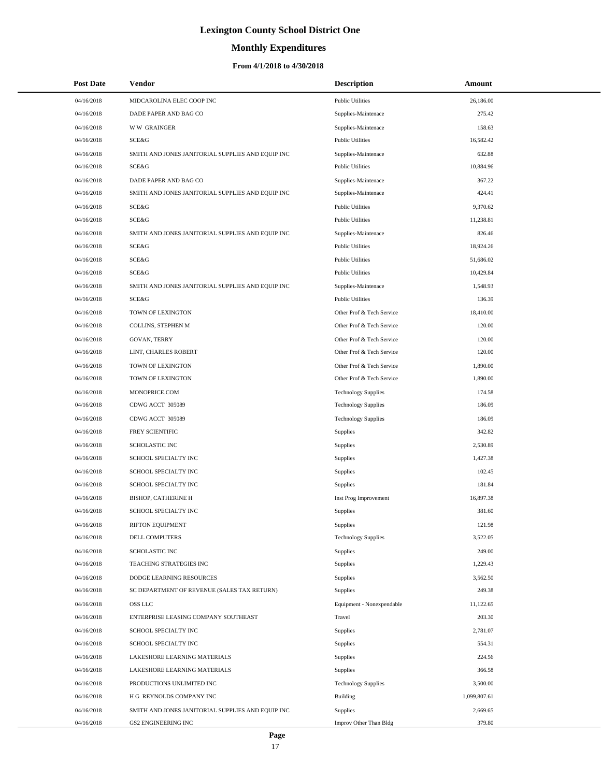# **Monthly Expenditures**

### **From 4/1/2018 to 4/30/2018**

| <b>Post Date</b> | Vendor                                            | <b>Description</b>         | Amount       |
|------------------|---------------------------------------------------|----------------------------|--------------|
| 04/16/2018       | MIDCAROLINA ELEC COOP INC                         | <b>Public Utilities</b>    | 26,186.00    |
| 04/16/2018       | DADE PAPER AND BAG CO                             | Supplies-Maintenace        | 275.42       |
| 04/16/2018       | <b>WW GRAINGER</b>                                | Supplies-Maintenace        | 158.63       |
| 04/16/2018       | SCE&G                                             | <b>Public Utilities</b>    | 16,582.42    |
| 04/16/2018       | SMITH AND JONES JANITORIAL SUPPLIES AND EQUIP INC | Supplies-Maintenace        | 632.88       |
| 04/16/2018       | SCE&G                                             | <b>Public Utilities</b>    | 10,884.96    |
| 04/16/2018       | DADE PAPER AND BAG CO                             | Supplies-Maintenace        | 367.22       |
| 04/16/2018       | SMITH AND JONES JANITORIAL SUPPLIES AND EQUIP INC | Supplies-Maintenace        | 424.41       |
| 04/16/2018       | SCE&G                                             | <b>Public Utilities</b>    | 9,370.62     |
| 04/16/2018       | SCE&G                                             | <b>Public Utilities</b>    | 11,238.81    |
| 04/16/2018       | SMITH AND JONES JANITORIAL SUPPLIES AND EQUIP INC | Supplies-Maintenace        | 826.46       |
| 04/16/2018       | SCE&G                                             | <b>Public Utilities</b>    | 18,924.26    |
| 04/16/2018       | SCE&G                                             | <b>Public Utilities</b>    | 51,686.02    |
| 04/16/2018       | SCE&G                                             | <b>Public Utilities</b>    | 10,429.84    |
| 04/16/2018       | SMITH AND JONES JANITORIAL SUPPLIES AND EQUIP INC | Supplies-Maintenace        | 1,548.93     |
| 04/16/2018       | SCE&G                                             | <b>Public Utilities</b>    | 136.39       |
| 04/16/2018       | TOWN OF LEXINGTON                                 | Other Prof & Tech Service  | 18,410.00    |
| 04/16/2018       | COLLINS, STEPHEN M                                | Other Prof & Tech Service  | 120.00       |
| 04/16/2018       | <b>GOVAN, TERRY</b>                               | Other Prof & Tech Service  | 120.00       |
| 04/16/2018       | LINT, CHARLES ROBERT                              | Other Prof & Tech Service  | 120.00       |
| 04/16/2018       | TOWN OF LEXINGTON                                 | Other Prof & Tech Service  | 1,890.00     |
| 04/16/2018       | TOWN OF LEXINGTON                                 | Other Prof & Tech Service  | 1,890.00     |
| 04/16/2018       | MONOPRICE.COM                                     | <b>Technology Supplies</b> | 174.58       |
| 04/16/2018       | CDWG ACCT 305089                                  | <b>Technology Supplies</b> | 186.09       |
| 04/16/2018       | CDWG ACCT 305089                                  | <b>Technology Supplies</b> | 186.09       |
| 04/16/2018       | FREY SCIENTIFIC                                   | Supplies                   | 342.82       |
| 04/16/2018       | <b>SCHOLASTIC INC</b>                             | Supplies                   | 2,530.89     |
| 04/16/2018       | SCHOOL SPECIALTY INC                              | Supplies                   | 1,427.38     |
| 04/16/2018       | SCHOOL SPECIALTY INC                              | Supplies                   | 102.45       |
| 04/16/2018       | SCHOOL SPECIALTY INC                              | Supplies                   | 181.84       |
| 04/16/2018       | <b>BISHOP, CATHERINE H</b>                        | Inst Prog Improvement      | 16,897.38    |
| 04/16/2018       | SCHOOL SPECIALTY INC                              | Supplies                   | 381.60       |
| 04/16/2018       | RIFTON EQUIPMENT                                  | Supplies                   | 121.98       |
| 04/16/2018       | DELL COMPUTERS                                    | <b>Technology Supplies</b> | 3,522.05     |
| 04/16/2018       | SCHOLASTIC INC                                    | Supplies                   | 249.00       |
| 04/16/2018       | TEACHING STRATEGIES INC                           | Supplies                   | 1,229.43     |
| 04/16/2018       | DODGE LEARNING RESOURCES                          | Supplies                   | 3,562.50     |
| 04/16/2018       | SC DEPARTMENT OF REVENUE (SALES TAX RETURN)       | Supplies                   | 249.38       |
| 04/16/2018       | OSS LLC                                           | Equipment - Nonexpendable  | 11,122.65    |
| 04/16/2018       | ENTERPRISE LEASING COMPANY SOUTHEAST              | Travel                     | 203.30       |
| 04/16/2018       | SCHOOL SPECIALTY INC                              | Supplies                   | 2,781.07     |
| 04/16/2018       | SCHOOL SPECIALTY INC                              | Supplies                   | 554.31       |
| 04/16/2018       | LAKESHORE LEARNING MATERIALS                      | Supplies                   | 224.56       |
| 04/16/2018       | LAKESHORE LEARNING MATERIALS                      | Supplies                   | 366.58       |
| 04/16/2018       | PRODUCTIONS UNLIMITED INC                         | <b>Technology Supplies</b> | 3,500.00     |
| 04/16/2018       | H G REYNOLDS COMPANY INC                          | <b>Building</b>            | 1,099,807.61 |
| 04/16/2018       | SMITH AND JONES JANITORIAL SUPPLIES AND EQUIP INC | Supplies                   | 2,669.65     |
| 04/16/2018       | <b>GS2 ENGINEERING INC</b>                        | Improv Other Than Bldg     | 379.80       |

÷.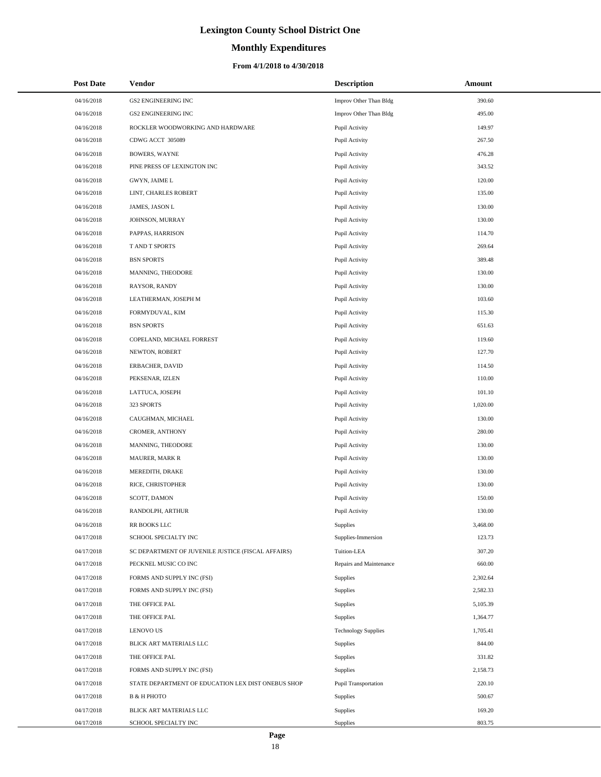# **Monthly Expenditures**

### **From 4/1/2018 to 4/30/2018**

| <b>Post Date</b> | <b>Vendor</b>                                      | <b>Description</b>         | Amount   |
|------------------|----------------------------------------------------|----------------------------|----------|
| 04/16/2018       | <b>GS2 ENGINEERING INC</b>                         | Improv Other Than Bldg     | 390.60   |
| 04/16/2018       | <b>GS2 ENGINEERING INC</b>                         | Improv Other Than Bldg     | 495.00   |
| 04/16/2018       | ROCKLER WOODWORKING AND HARDWARE                   | Pupil Activity             | 149.97   |
| 04/16/2018       | CDWG ACCT 305089                                   | Pupil Activity             | 267.50   |
| 04/16/2018       | <b>BOWERS, WAYNE</b>                               | Pupil Activity             | 476.28   |
| 04/16/2018       | PINE PRESS OF LEXINGTON INC                        | Pupil Activity             | 343.52   |
| 04/16/2018       | GWYN, JAIME L                                      | Pupil Activity             | 120.00   |
| 04/16/2018       | LINT, CHARLES ROBERT                               | Pupil Activity             | 135.00   |
| 04/16/2018       | JAMES, JASON L                                     | Pupil Activity             | 130.00   |
| 04/16/2018       | JOHNSON, MURRAY                                    | Pupil Activity             | 130.00   |
| 04/16/2018       | PAPPAS, HARRISON                                   | Pupil Activity             | 114.70   |
| 04/16/2018       | T AND T SPORTS                                     | Pupil Activity             | 269.64   |
| 04/16/2018       | <b>BSN SPORTS</b>                                  | Pupil Activity             | 389.48   |
| 04/16/2018       | MANNING, THEODORE                                  | Pupil Activity             | 130.00   |
| 04/16/2018       | RAYSOR, RANDY                                      | Pupil Activity             | 130.00   |
| 04/16/2018       | LEATHERMAN, JOSEPH M                               | Pupil Activity             | 103.60   |
| 04/16/2018       | FORMYDUVAL, KIM                                    | Pupil Activity             | 115.30   |
| 04/16/2018       | <b>BSN SPORTS</b>                                  | Pupil Activity             | 651.63   |
| 04/16/2018       | COPELAND, MICHAEL FORREST                          | Pupil Activity             | 119.60   |
| 04/16/2018       | NEWTON, ROBERT                                     | Pupil Activity             | 127.70   |
| 04/16/2018       | ERBACHER, DAVID                                    | Pupil Activity             | 114.50   |
| 04/16/2018       | PEKSENAR, IZLEN                                    | Pupil Activity             | 110.00   |
| 04/16/2018       | LATTUCA, JOSEPH                                    | Pupil Activity             | 101.10   |
| 04/16/2018       | 323 SPORTS                                         | Pupil Activity             | 1,020.00 |
| 04/16/2018       | CAUGHMAN, MICHAEL                                  | Pupil Activity             | 130.00   |
| 04/16/2018       | CROMER, ANTHONY                                    | Pupil Activity             | 280.00   |
| 04/16/2018       | MANNING, THEODORE                                  | Pupil Activity             | 130.00   |
| 04/16/2018       | MAURER, MARK R                                     | Pupil Activity             | 130.00   |
| 04/16/2018       | MEREDITH, DRAKE                                    | Pupil Activity             | 130.00   |
| 04/16/2018       | RICE, CHRISTOPHER                                  | Pupil Activity             | 130.00   |
| 04/16/2018       | SCOTT, DAMON                                       | Pupil Activity             | 150.00   |
| 04/16/2018       | RANDOLPH, ARTHUR                                   | Pupil Activity             | 130.00   |
| 04/16/2018       | RR BOOKS LLC                                       | Supplies                   | 3,468.00 |
| 04/17/2018       | SCHOOL SPECIALTY INC                               | Supplies-Immersion         | 123.73   |
| 04/17/2018       | SC DEPARTMENT OF JUVENILE JUSTICE (FISCAL AFFAIRS) | Tuition-LEA                | 307.20   |
| 04/17/2018       | PECKNEL MUSIC CO INC                               | Repairs and Maintenance    | 660.00   |
| 04/17/2018       | FORMS AND SUPPLY INC (FSI)                         | Supplies                   | 2,302.64 |
| 04/17/2018       | FORMS AND SUPPLY INC (FSI)                         | Supplies                   | 2,582.33 |
| 04/17/2018       | THE OFFICE PAL                                     | Supplies                   | 5,105.39 |
| 04/17/2018       | THE OFFICE PAL                                     | Supplies                   | 1,364.77 |
| 04/17/2018       | <b>LENOVO US</b>                                   | <b>Technology Supplies</b> | 1,705.41 |
| 04/17/2018       | BLICK ART MATERIALS LLC                            | Supplies                   | 844.00   |
| 04/17/2018       | THE OFFICE PAL                                     | Supplies                   | 331.82   |
| 04/17/2018       | FORMS AND SUPPLY INC (FSI)                         | Supplies                   | 2,158.73 |
| 04/17/2018       | STATE DEPARTMENT OF EDUCATION LEX DIST ONEBUS SHOP | Pupil Transportation       | 220.10   |
| 04/17/2018       | <b>B &amp; H PHOTO</b>                             | Supplies                   | 500.67   |
| 04/17/2018       | BLICK ART MATERIALS LLC                            | Supplies                   | 169.20   |
| 04/17/2018       | SCHOOL SPECIALTY INC                               | Supplies                   | 803.75   |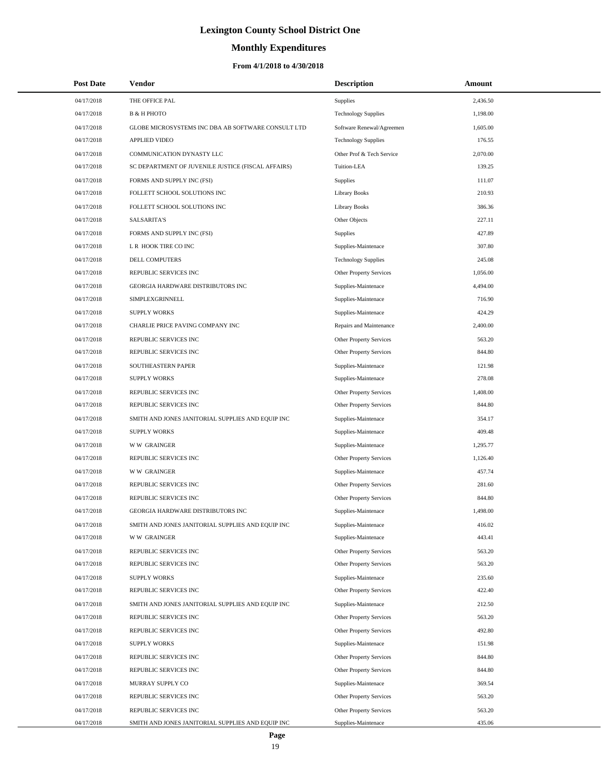# **Monthly Expenditures**

| <b>Post Date</b> | Vendor                                             | <b>Description</b>         | Amount   |
|------------------|----------------------------------------------------|----------------------------|----------|
| 04/17/2018       | THE OFFICE PAL                                     | <b>Supplies</b>            | 2,436.50 |
| 04/17/2018       | В & Н РНОТО                                        | <b>Technology Supplies</b> | 1,198.00 |
| 04/17/2018       | GLOBE MICROSYSTEMS INC DBA AB SOFTWARE CONSULT LTD | Software Renewal/Agreemen  | 1,605.00 |
| 04/17/2018       | <b>APPLIED VIDEO</b>                               | <b>Technology Supplies</b> | 176.55   |
| 04/17/2018       | COMMUNICATION DYNASTY LLC                          | Other Prof & Tech Service  | 2,070.00 |
| 04/17/2018       | SC DEPARTMENT OF JUVENILE JUSTICE (FISCAL AFFAIRS) | Tuition-LEA                | 139.25   |
| 04/17/2018       | FORMS AND SUPPLY INC (FSI)                         | <b>Supplies</b>            | 111.07   |
| 04/17/2018       | FOLLETT SCHOOL SOLUTIONS INC                       | <b>Library Books</b>       | 210.93   |
| 04/17/2018       | FOLLETT SCHOOL SOLUTIONS INC                       | <b>Library Books</b>       | 386.36   |
| 04/17/2018       | <b>SALSARITA'S</b>                                 | Other Objects              | 227.11   |
| 04/17/2018       | FORMS AND SUPPLY INC (FSI)                         | <b>Supplies</b>            | 427.89   |
| 04/17/2018       | L R HOOK TIRE CO INC                               | Supplies-Maintenace        | 307.80   |
| 04/17/2018       | DELL COMPUTERS                                     | <b>Technology Supplies</b> | 245.08   |
| 04/17/2018       | REPUBLIC SERVICES INC                              | Other Property Services    | 1,056.00 |
| 04/17/2018       | GEORGIA HARDWARE DISTRIBUTORS INC                  | Supplies-Maintenace        | 4,494.00 |
| 04/17/2018       | SIMPLEXGRINNELL                                    | Supplies-Maintenace        | 716.90   |
| 04/17/2018       | <b>SUPPLY WORKS</b>                                | Supplies-Maintenace        | 424.29   |
| 04/17/2018       | CHARLIE PRICE PAVING COMPANY INC                   | Repairs and Maintenance    | 2,400.00 |
| 04/17/2018       | REPUBLIC SERVICES INC                              | Other Property Services    | 563.20   |
| 04/17/2018       | REPUBLIC SERVICES INC                              | Other Property Services    | 844.80   |
| 04/17/2018       | SOUTHEASTERN PAPER                                 | Supplies-Maintenace        | 121.98   |
| 04/17/2018       | <b>SUPPLY WORKS</b>                                | Supplies-Maintenace        | 278.08   |
| 04/17/2018       | REPUBLIC SERVICES INC                              | Other Property Services    | 1,408.00 |
| 04/17/2018       | REPUBLIC SERVICES INC                              | Other Property Services    | 844.80   |
| 04/17/2018       | SMITH AND JONES JANITORIAL SUPPLIES AND EQUIP INC  | Supplies-Maintenace        | 354.17   |
| 04/17/2018       | <b>SUPPLY WORKS</b>                                | Supplies-Maintenace        | 409.48   |
| 04/17/2018       | <b>WW GRAINGER</b>                                 | Supplies-Maintenace        | 1,295.77 |
| 04/17/2018       | REPUBLIC SERVICES INC                              | Other Property Services    | 1,126.40 |
| 04/17/2018       | <b>WW GRAINGER</b>                                 | Supplies-Maintenace        | 457.74   |
| 04/17/2018       | REPUBLIC SERVICES INC                              | Other Property Services    | 281.60   |
| 04/17/2018       | REPUBLIC SERVICES INC                              | Other Property Services    | 844.80   |
| 04/17/2018       | GEORGIA HARDWARE DISTRIBUTORS INC                  | Supplies-Maintenace        | 1,498.00 |
| 04/17/2018       | SMITH AND JONES JANITORIAL SUPPLIES AND EQUIP INC  | Supplies-Maintenace        | 416.02   |
| 04/17/2018       | <b>WW GRAINGER</b>                                 | Supplies-Maintenace        | 443.41   |
| 04/17/2018       | REPUBLIC SERVICES INC                              | Other Property Services    | 563.20   |
| 04/17/2018       | REPUBLIC SERVICES INC                              | Other Property Services    | 563.20   |
| 04/17/2018       | <b>SUPPLY WORKS</b>                                | Supplies-Maintenace        | 235.60   |
| 04/17/2018       | REPUBLIC SERVICES INC                              | Other Property Services    | 422.40   |
| 04/17/2018       | SMITH AND JONES JANITORIAL SUPPLIES AND EQUIP INC  | Supplies-Maintenace        | 212.50   |
| 04/17/2018       | REPUBLIC SERVICES INC                              | Other Property Services    | 563.20   |
| 04/17/2018       | REPUBLIC SERVICES INC                              | Other Property Services    | 492.80   |
| 04/17/2018       | <b>SUPPLY WORKS</b>                                | Supplies-Maintenace        | 151.98   |
| 04/17/2018       | REPUBLIC SERVICES INC                              | Other Property Services    | 844.80   |
| 04/17/2018       | REPUBLIC SERVICES INC                              | Other Property Services    | 844.80   |
| 04/17/2018       | MURRAY SUPPLY CO                                   | Supplies-Maintenace        | 369.54   |
| 04/17/2018       | REPUBLIC SERVICES INC                              | Other Property Services    | 563.20   |
| 04/17/2018       | REPUBLIC SERVICES INC                              | Other Property Services    | 563.20   |
| 04/17/2018       | SMITH AND JONES JANITORIAL SUPPLIES AND EQUIP INC  | Supplies-Maintenace        | 435.06   |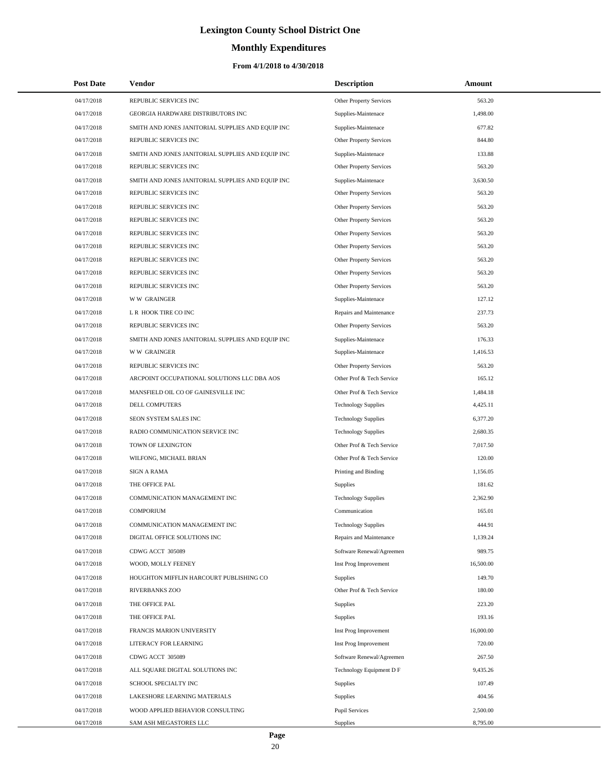# **Monthly Expenditures**

### **From 4/1/2018 to 4/30/2018**

| <b>Post Date</b> | Vendor                                            | <b>Description</b>         | Amount    |
|------------------|---------------------------------------------------|----------------------------|-----------|
| 04/17/2018       | REPUBLIC SERVICES INC                             | Other Property Services    | 563.20    |
| 04/17/2018       | GEORGIA HARDWARE DISTRIBUTORS INC                 | Supplies-Maintenace        | 1,498.00  |
| 04/17/2018       | SMITH AND JONES JANITORIAL SUPPLIES AND EQUIP INC | Supplies-Maintenace        | 677.82    |
| 04/17/2018       | REPUBLIC SERVICES INC                             | Other Property Services    | 844.80    |
| 04/17/2018       | SMITH AND JONES JANITORIAL SUPPLIES AND EQUIP INC | Supplies-Maintenace        | 133.88    |
| 04/17/2018       | REPUBLIC SERVICES INC                             | Other Property Services    | 563.20    |
| 04/17/2018       | SMITH AND JONES JANITORIAL SUPPLIES AND EQUIP INC | Supplies-Maintenace        | 3,630.50  |
| 04/17/2018       | REPUBLIC SERVICES INC                             | Other Property Services    | 563.20    |
| 04/17/2018       | REPUBLIC SERVICES INC                             | Other Property Services    | 563.20    |
| 04/17/2018       | REPUBLIC SERVICES INC                             | Other Property Services    | 563.20    |
| 04/17/2018       | REPUBLIC SERVICES INC                             | Other Property Services    | 563.20    |
| 04/17/2018       | REPUBLIC SERVICES INC                             | Other Property Services    | 563.20    |
| 04/17/2018       | REPUBLIC SERVICES INC                             | Other Property Services    | 563.20    |
| 04/17/2018       | REPUBLIC SERVICES INC                             | Other Property Services    | 563.20    |
| 04/17/2018       | REPUBLIC SERVICES INC                             | Other Property Services    | 563.20    |
| 04/17/2018       | <b>WW GRAINGER</b>                                | Supplies-Maintenace        | 127.12    |
| 04/17/2018       | L R HOOK TIRE CO INC                              | Repairs and Maintenance    | 237.73    |
| 04/17/2018       | REPUBLIC SERVICES INC                             | Other Property Services    | 563.20    |
| 04/17/2018       | SMITH AND JONES JANITORIAL SUPPLIES AND EQUIP INC | Supplies-Maintenace        | 176.33    |
| 04/17/2018       | <b>WW GRAINGER</b>                                | Supplies-Maintenace        | 1,416.53  |
| 04/17/2018       | REPUBLIC SERVICES INC                             | Other Property Services    | 563.20    |
| 04/17/2018       | ARCPOINT OCCUPATIONAL SOLUTIONS LLC DBA AOS       | Other Prof & Tech Service  | 165.12    |
| 04/17/2018       | MANSFIELD OIL CO OF GAINESVILLE INC               | Other Prof & Tech Service  | 1,484.18  |
| 04/17/2018       | DELL COMPUTERS                                    | <b>Technology Supplies</b> | 4,425.11  |
| 04/17/2018       | SEON SYSTEM SALES INC                             | <b>Technology Supplies</b> | 6,377.20  |
| 04/17/2018       | RADIO COMMUNICATION SERVICE INC                   | <b>Technology Supplies</b> | 2,680.35  |
| 04/17/2018       | TOWN OF LEXINGTON                                 | Other Prof & Tech Service  | 7,017.50  |
| 04/17/2018       | WILFONG, MICHAEL BRIAN                            | Other Prof & Tech Service  | 120.00    |
| 04/17/2018       | <b>SIGN A RAMA</b>                                | Printing and Binding       | 1,156.05  |
| 04/17/2018       | THE OFFICE PAL                                    | <b>Supplies</b>            | 181.62    |
| 04/17/2018       | COMMUNICATION MANAGEMENT INC                      | <b>Technology Supplies</b> | 2,362.90  |
| 04/17/2018       | <b>COMPORIUM</b>                                  | Communication              | 165.01    |
| 04/17/2018       | COMMUNICATION MANAGEMENT INC                      | <b>Technology Supplies</b> | 444.91    |
| 04/17/2018       | DIGITAL OFFICE SOLUTIONS INC                      | Repairs and Maintenance    | 1,139.24  |
| 04/17/2018       | CDWG ACCT 305089                                  | Software Renewal/Agreemen  | 989.75    |
| 04/17/2018       | WOOD, MOLLY FEENEY                                | Inst Prog Improvement      | 16,500.00 |
| 04/17/2018       | HOUGHTON MIFFLIN HARCOURT PUBLISHING CO           | <b>Supplies</b>            | 149.70    |
| 04/17/2018       | RIVERBANKS ZOO                                    | Other Prof & Tech Service  | 180.00    |
| 04/17/2018       | THE OFFICE PAL                                    | Supplies                   | 223.20    |
| 04/17/2018       | THE OFFICE PAL                                    | Supplies                   | 193.16    |
| 04/17/2018       | FRANCIS MARION UNIVERSITY                         | Inst Prog Improvement      | 16,000.00 |
| 04/17/2018       | LITERACY FOR LEARNING                             | Inst Prog Improvement      | 720.00    |
| 04/17/2018       | CDWG ACCT 305089                                  | Software Renewal/Agreemen  | 267.50    |
| 04/17/2018       | ALL SQUARE DIGITAL SOLUTIONS INC                  | Technology Equipment D F   | 9,435.26  |
| 04/17/2018       | SCHOOL SPECIALTY INC                              | <b>Supplies</b>            | 107.49    |
| 04/17/2018       | LAKESHORE LEARNING MATERIALS                      | Supplies                   | 404.56    |
| 04/17/2018       | WOOD APPLIED BEHAVIOR CONSULTING                  | <b>Pupil Services</b>      | 2,500.00  |
| 04/17/2018       | SAM ASH MEGASTORES LLC                            | Supplies                   | 8,795.00  |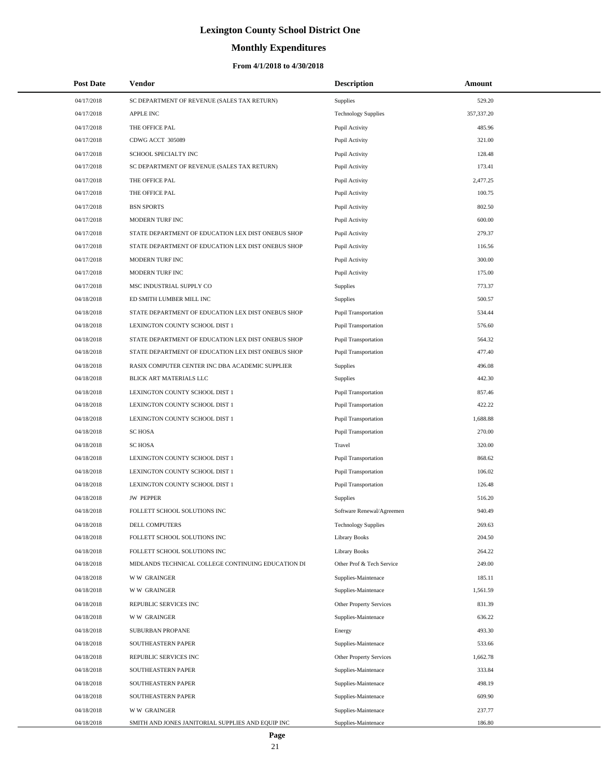# **Monthly Expenditures**

| <b>Post Date</b> | Vendor                                             | <b>Description</b>          | Amount     |
|------------------|----------------------------------------------------|-----------------------------|------------|
| 04/17/2018       | SC DEPARTMENT OF REVENUE (SALES TAX RETURN)        | Supplies                    | 529.20     |
| 04/17/2018       | <b>APPLE INC</b>                                   | <b>Technology Supplies</b>  | 357,337.20 |
| 04/17/2018       | THE OFFICE PAL                                     | Pupil Activity              | 485.96     |
| 04/17/2018       | CDWG ACCT 305089                                   | Pupil Activity              | 321.00     |
| 04/17/2018       | SCHOOL SPECIALTY INC                               | Pupil Activity              | 128.48     |
| 04/17/2018       | SC DEPARTMENT OF REVENUE (SALES TAX RETURN)        | Pupil Activity              | 173.41     |
| 04/17/2018       | THE OFFICE PAL                                     | Pupil Activity              | 2,477.25   |
| 04/17/2018       | THE OFFICE PAL                                     | Pupil Activity              | 100.75     |
| 04/17/2018       | <b>BSN SPORTS</b>                                  | Pupil Activity              | 802.50     |
| 04/17/2018       | MODERN TURF INC                                    | Pupil Activity              | 600.00     |
| 04/17/2018       | STATE DEPARTMENT OF EDUCATION LEX DIST ONEBUS SHOP | Pupil Activity              | 279.37     |
| 04/17/2018       | STATE DEPARTMENT OF EDUCATION LEX DIST ONEBUS SHOP | Pupil Activity              | 116.56     |
| 04/17/2018       | MODERN TURF INC                                    | Pupil Activity              | 300.00     |
| 04/17/2018       | MODERN TURF INC                                    | Pupil Activity              | 175.00     |
| 04/17/2018       | MSC INDUSTRIAL SUPPLY CO                           | Supplies                    | 773.37     |
| 04/18/2018       | ED SMITH LUMBER MILL INC                           | Supplies                    | 500.57     |
| 04/18/2018       | STATE DEPARTMENT OF EDUCATION LEX DIST ONEBUS SHOP | <b>Pupil Transportation</b> | 534.44     |
| 04/18/2018       | LEXINGTON COUNTY SCHOOL DIST 1                     | <b>Pupil Transportation</b> | 576.60     |
| 04/18/2018       | STATE DEPARTMENT OF EDUCATION LEX DIST ONEBUS SHOP | <b>Pupil Transportation</b> | 564.32     |
| 04/18/2018       | STATE DEPARTMENT OF EDUCATION LEX DIST ONEBUS SHOP | <b>Pupil Transportation</b> | 477.40     |
| 04/18/2018       | RASIX COMPUTER CENTER INC DBA ACADEMIC SUPPLIER    | Supplies                    | 496.08     |
| 04/18/2018       | BLICK ART MATERIALS LLC                            | Supplies                    | 442.30     |
| 04/18/2018       | LEXINGTON COUNTY SCHOOL DIST 1                     | <b>Pupil Transportation</b> | 857.46     |
| 04/18/2018       | LEXINGTON COUNTY SCHOOL DIST 1                     | <b>Pupil Transportation</b> | 422.22     |
| 04/18/2018       | LEXINGTON COUNTY SCHOOL DIST 1                     | <b>Pupil Transportation</b> | 1,688.88   |
| 04/18/2018       | <b>SC HOSA</b>                                     | <b>Pupil Transportation</b> | 270.00     |
| 04/18/2018       | <b>SC HOSA</b>                                     | Travel                      | 320.00     |
| 04/18/2018       | LEXINGTON COUNTY SCHOOL DIST 1                     | <b>Pupil Transportation</b> | 868.62     |
| 04/18/2018       | LEXINGTON COUNTY SCHOOL DIST 1                     | <b>Pupil Transportation</b> | 106.02     |
| 04/18/2018       | LEXINGTON COUNTY SCHOOL DIST 1                     | Pupil Transportation        | 126.48     |
| 04/18/2018       | <b>JW PEPPER</b>                                   | Supplies                    | 516.20     |
| 04/18/2018       | FOLLETT SCHOOL SOLUTIONS INC                       | Software Renewal/Agreemen   | 940.49     |
| 04/18/2018       | DELL COMPUTERS                                     | <b>Technology Supplies</b>  | 269.63     |
| 04/18/2018       | FOLLETT SCHOOL SOLUTIONS INC                       | <b>Library Books</b>        | 204.50     |
| 04/18/2018       | FOLLETT SCHOOL SOLUTIONS INC                       | <b>Library Books</b>        | 264.22     |
| 04/18/2018       | MIDLANDS TECHNICAL COLLEGE CONTINUING EDUCATION DI | Other Prof & Tech Service   | 249.00     |
| 04/18/2018       | <b>WW GRAINGER</b>                                 | Supplies-Maintenace         | 185.11     |
| 04/18/2018       | <b>WW GRAINGER</b>                                 | Supplies-Maintenace         | 1,561.59   |
| 04/18/2018       | REPUBLIC SERVICES INC                              | Other Property Services     | 831.39     |
| 04/18/2018       | <b>WW GRAINGER</b>                                 | Supplies-Maintenace         | 636.22     |
| 04/18/2018       | SUBURBAN PROPANE                                   | Energy                      | 493.30     |
| 04/18/2018       | SOUTHEASTERN PAPER                                 | Supplies-Maintenace         | 533.66     |
| 04/18/2018       | REPUBLIC SERVICES INC                              | Other Property Services     | 1,662.78   |
| 04/18/2018       | SOUTHEASTERN PAPER                                 | Supplies-Maintenace         | 333.84     |
| 04/18/2018       | SOUTHEASTERN PAPER                                 | Supplies-Maintenace         | 498.19     |
| 04/18/2018       | SOUTHEASTERN PAPER                                 | Supplies-Maintenace         | 609.90     |
| 04/18/2018       | <b>WW GRAINGER</b>                                 | Supplies-Maintenace         | 237.77     |
| 04/18/2018       | SMITH AND JONES JANITORIAL SUPPLIES AND EQUIP INC  | Supplies-Maintenace         | 186.80     |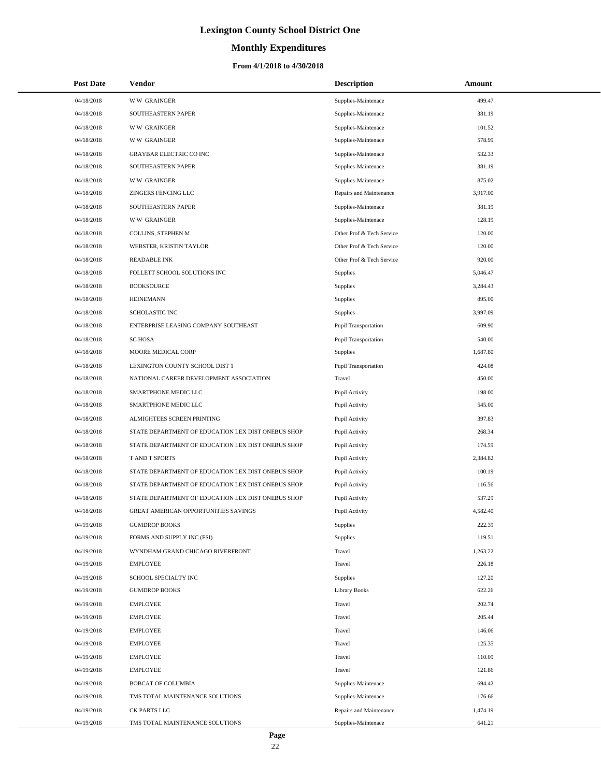# **Monthly Expenditures**

### **From 4/1/2018 to 4/30/2018**

| <b>Post Date</b> | Vendor                                             | <b>Description</b>          | Amount   |
|------------------|----------------------------------------------------|-----------------------------|----------|
| 04/18/2018       | <b>WW GRAINGER</b>                                 | Supplies-Maintenace         | 499.47   |
| 04/18/2018       | SOUTHEASTERN PAPER                                 | Supplies-Maintenace         | 381.19   |
| 04/18/2018       | <b>WW GRAINGER</b>                                 | Supplies-Maintenace         | 101.52   |
| 04/18/2018       | <b>WW GRAINGER</b>                                 | Supplies-Maintenace         | 578.99   |
| 04/18/2018       | GRAYBAR ELECTRIC CO INC                            | Supplies-Maintenace         | 532.33   |
| 04/18/2018       | SOUTHEASTERN PAPER                                 | Supplies-Maintenace         | 381.19   |
| 04/18/2018       | <b>WW GRAINGER</b>                                 | Supplies-Maintenace         | 875.02   |
| 04/18/2018       | ZINGERS FENCING LLC                                | Repairs and Maintenance     | 3,917.00 |
| 04/18/2018       | SOUTHEASTERN PAPER                                 | Supplies-Maintenace         | 381.19   |
| 04/18/2018       | <b>WW GRAINGER</b>                                 | Supplies-Maintenace         | 128.19   |
| 04/18/2018       | COLLINS, STEPHEN M                                 | Other Prof & Tech Service   | 120.00   |
| 04/18/2018       | WEBSTER, KRISTIN TAYLOR                            | Other Prof & Tech Service   | 120.00   |
| 04/18/2018       | <b>READABLE INK</b>                                | Other Prof & Tech Service   | 920.00   |
| 04/18/2018       | FOLLETT SCHOOL SOLUTIONS INC                       | Supplies                    | 5,046.47 |
| 04/18/2018       | <b>BOOKSOURCE</b>                                  | Supplies                    | 3,284.43 |
| 04/18/2018       | <b>HEINEMANN</b>                                   | Supplies                    | 895.00   |
| 04/18/2018       | <b>SCHOLASTIC INC</b>                              | <b>Supplies</b>             | 3,997.09 |
| 04/18/2018       | ENTERPRISE LEASING COMPANY SOUTHEAST               | <b>Pupil Transportation</b> | 609.90   |
| 04/18/2018       | <b>SCHOSA</b>                                      | <b>Pupil Transportation</b> | 540.00   |
| 04/18/2018       | MOORE MEDICAL CORP                                 | Supplies                    | 1,687.80 |
| 04/18/2018       | LEXINGTON COUNTY SCHOOL DIST 1                     | <b>Pupil Transportation</b> | 424.08   |
| 04/18/2018       | NATIONAL CAREER DEVELOPMENT ASSOCIATION            | Travel                      | 450.00   |
| 04/18/2018       | SMARTPHONE MEDIC LLC                               | Pupil Activity              | 198.00   |
| 04/18/2018       | SMARTPHONE MEDIC LLC                               | Pupil Activity              | 545.00   |
| 04/18/2018       | ALMIGHTEES SCREEN PRINTING                         | Pupil Activity              | 397.83   |
| 04/18/2018       | STATE DEPARTMENT OF EDUCATION LEX DIST ONEBUS SHOP | Pupil Activity              | 268.34   |
| 04/18/2018       | STATE DEPARTMENT OF EDUCATION LEX DIST ONEBUS SHOP | Pupil Activity              | 174.59   |
| 04/18/2018       | T AND T SPORTS                                     | Pupil Activity              | 2,384.82 |
| 04/18/2018       | STATE DEPARTMENT OF EDUCATION LEX DIST ONEBUS SHOP | Pupil Activity              | 100.19   |
| 04/18/2018       | STATE DEPARTMENT OF EDUCATION LEX DIST ONEBUS SHOP | Pupil Activity              | 116.56   |
| 04/18/2018       | STATE DEPARTMENT OF EDUCATION LEX DIST ONEBUS SHOP | Pupil Activity              | 537.29   |
| 04/18/2018       | GREAT AMERICAN OPPORTUNITIES SAVINGS               | Pupil Activity              | 4,582.40 |
| 04/19/2018       | <b>GUMDROP BOOKS</b>                               | Supplies                    | 222.39   |
| 04/19/2018       | FORMS AND SUPPLY INC (FSI)                         | Supplies                    | 119.51   |
| 04/19/2018       | WYNDHAM GRAND CHICAGO RIVERFRONT                   | Travel                      | 1,263.22 |
| 04/19/2018       | <b>EMPLOYEE</b>                                    | Travel                      | 226.18   |
| 04/19/2018       | SCHOOL SPECIALTY INC                               | <b>Supplies</b>             | 127.20   |
| 04/19/2018       | <b>GUMDROP BOOKS</b>                               | <b>Library Books</b>        | 622.26   |
| 04/19/2018       | EMPLOYEE                                           | Travel                      | 202.74   |
| 04/19/2018       | <b>EMPLOYEE</b>                                    | Travel                      | 205.44   |
| 04/19/2018       | <b>EMPLOYEE</b>                                    | Travel                      | 146.06   |
| 04/19/2018       | <b>EMPLOYEE</b>                                    | Travel                      | 125.35   |
| 04/19/2018       | <b>EMPLOYEE</b>                                    | Travel                      | 110.09   |
| 04/19/2018       | <b>EMPLOYEE</b>                                    | Travel                      | 121.86   |
| 04/19/2018       | <b>BOBCAT OF COLUMBIA</b>                          | Supplies-Maintenace         | 694.42   |
| 04/19/2018       | TMS TOTAL MAINTENANCE SOLUTIONS                    | Supplies-Maintenace         | 176.66   |
| 04/19/2018       | CK PARTS LLC                                       | Repairs and Maintenance     | 1,474.19 |
| 04/19/2018       | TMS TOTAL MAINTENANCE SOLUTIONS                    | Supplies-Maintenace         | 641.21   |

 $\overline{a}$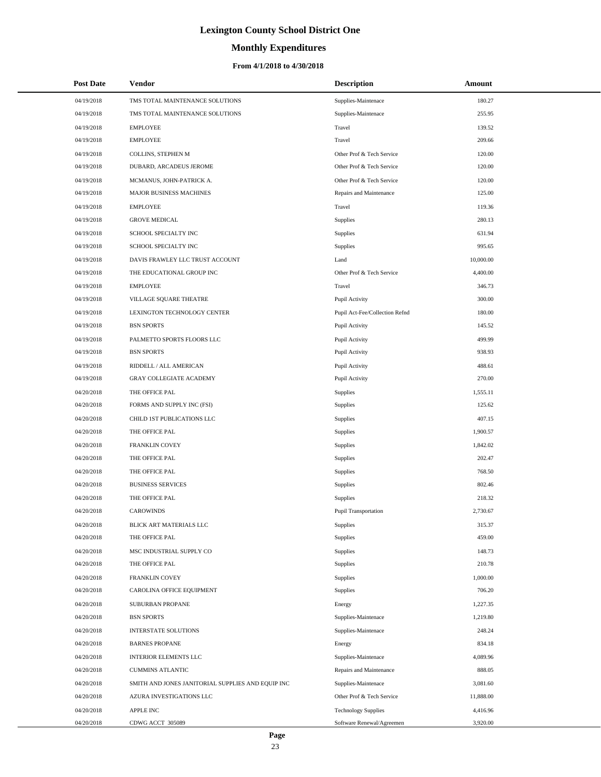# **Monthly Expenditures**

### **From 4/1/2018 to 4/30/2018**

| <b>Post Date</b> | Vendor                                            | <b>Description</b>             | Amount    |  |
|------------------|---------------------------------------------------|--------------------------------|-----------|--|
| 04/19/2018       | TMS TOTAL MAINTENANCE SOLUTIONS                   | Supplies-Maintenace            | 180.27    |  |
| 04/19/2018       | TMS TOTAL MAINTENANCE SOLUTIONS                   | Supplies-Maintenace            | 255.95    |  |
| 04/19/2018       | <b>EMPLOYEE</b>                                   | Travel                         | 139.52    |  |
| 04/19/2018       | <b>EMPLOYEE</b>                                   | Travel                         | 209.66    |  |
| 04/19/2018       | COLLINS, STEPHEN M                                | Other Prof & Tech Service      | 120.00    |  |
| 04/19/2018       | DUBARD, ARCADEUS JEROME                           | Other Prof & Tech Service      | 120.00    |  |
| 04/19/2018       | MCMANUS, JOHN-PATRICK A.                          | Other Prof & Tech Service      | 120.00    |  |
| 04/19/2018       | MAJOR BUSINESS MACHINES                           | Repairs and Maintenance        | 125.00    |  |
| 04/19/2018       | <b>EMPLOYEE</b>                                   | Travel                         | 119.36    |  |
| 04/19/2018       | <b>GROVE MEDICAL</b>                              | Supplies                       | 280.13    |  |
| 04/19/2018       | SCHOOL SPECIALTY INC                              | Supplies                       | 631.94    |  |
| 04/19/2018       | SCHOOL SPECIALTY INC                              | Supplies                       | 995.65    |  |
| 04/19/2018       | DAVIS FRAWLEY LLC TRUST ACCOUNT                   | Land                           | 10,000.00 |  |
| 04/19/2018       | THE EDUCATIONAL GROUP INC                         | Other Prof & Tech Service      | 4,400.00  |  |
| 04/19/2018       | <b>EMPLOYEE</b>                                   | Travel                         | 346.73    |  |
| 04/19/2018       | VILLAGE SQUARE THEATRE                            | Pupil Activity                 | 300.00    |  |
| 04/19/2018       | LEXINGTON TECHNOLOGY CENTER                       | Pupil Act-Fee/Collection Refnd | 180.00    |  |
| 04/19/2018       | <b>BSN SPORTS</b>                                 | Pupil Activity                 | 145.52    |  |
| 04/19/2018       | PALMETTO SPORTS FLOORS LLC                        | Pupil Activity                 | 499.99    |  |
| 04/19/2018       | <b>BSN SPORTS</b>                                 | Pupil Activity                 | 938.93    |  |
| 04/19/2018       | RIDDELL / ALL AMERICAN                            | Pupil Activity                 | 488.61    |  |
| 04/19/2018       | GRAY COLLEGIATE ACADEMY                           | Pupil Activity                 | 270.00    |  |
| 04/20/2018       | THE OFFICE PAL                                    | Supplies                       | 1,555.11  |  |
| 04/20/2018       | FORMS AND SUPPLY INC (FSI)                        | Supplies                       | 125.62    |  |
| 04/20/2018       | CHILD 1ST PUBLICATIONS LLC                        | Supplies                       | 407.15    |  |
| 04/20/2018       | THE OFFICE PAL                                    | Supplies                       | 1,900.57  |  |
| 04/20/2018       | FRANKLIN COVEY                                    | Supplies                       | 1,842.02  |  |
| 04/20/2018       | THE OFFICE PAL                                    | Supplies                       | 202.47    |  |
| 04/20/2018       | THE OFFICE PAL                                    | Supplies                       | 768.50    |  |
| 04/20/2018       | <b>BUSINESS SERVICES</b>                          | Supplies                       | 802.46    |  |
| 04/20/2018       | THE OFFICE PAL                                    | Supplies                       | 218.32    |  |
| 04/20/2018       | <b>CAROWINDS</b>                                  | Pupil Transportation           | 2,730.67  |  |
| 04/20/2018       | BLICK ART MATERIALS LLC                           | Supplies                       | 315.37    |  |
| 04/20/2018       | THE OFFICE PAL                                    | Supplies                       | 459.00    |  |
| 04/20/2018       | MSC INDUSTRIAL SUPPLY CO                          | Supplies                       | 148.73    |  |
| 04/20/2018       | THE OFFICE PAL                                    | Supplies                       | 210.78    |  |
| 04/20/2018       | FRANKLIN COVEY                                    | Supplies                       | 1,000.00  |  |
| 04/20/2018       | CAROLINA OFFICE EQUIPMENT                         | Supplies                       | 706.20    |  |
| 04/20/2018       | SUBURBAN PROPANE                                  | Energy                         | 1,227.35  |  |
| 04/20/2018       | <b>BSN SPORTS</b>                                 | Supplies-Maintenace            | 1,219.80  |  |
| 04/20/2018       | <b>INTERSTATE SOLUTIONS</b>                       | Supplies-Maintenace            | 248.24    |  |
| 04/20/2018       | <b>BARNES PROPANE</b>                             | Energy                         | 834.18    |  |
| 04/20/2018       | <b>INTERIOR ELEMENTS LLC</b>                      | Supplies-Maintenace            | 4,089.96  |  |
| 04/20/2018       | <b>CUMMINS ATLANTIC</b>                           | Repairs and Maintenance        | 888.05    |  |
| 04/20/2018       | SMITH AND JONES JANITORIAL SUPPLIES AND EQUIP INC | Supplies-Maintenace            | 3,081.60  |  |
| 04/20/2018       | AZURA INVESTIGATIONS LLC                          | Other Prof & Tech Service      | 11,888.00 |  |
| 04/20/2018       | APPLE INC                                         | <b>Technology Supplies</b>     | 4,416.96  |  |
| 04/20/2018       | CDWG ACCT 305089                                  | Software Renewal/Agreemen      | 3,920.00  |  |

 $\overline{a}$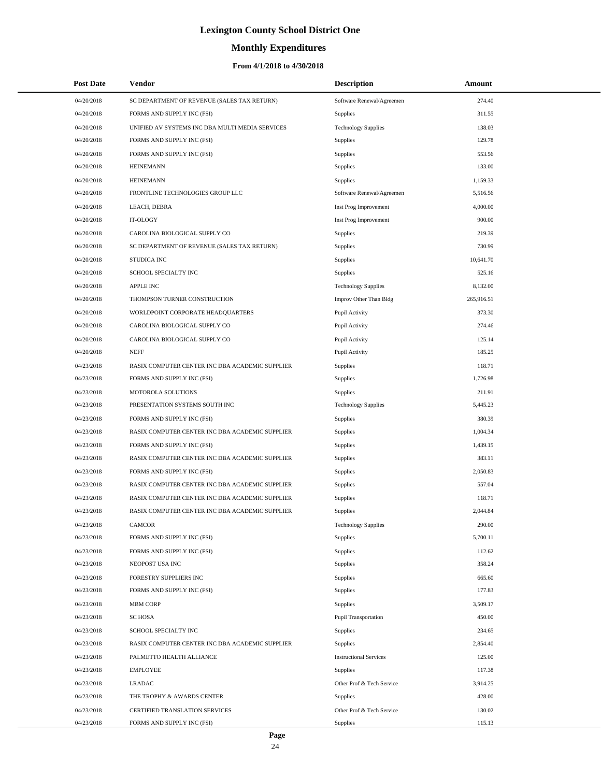# **Monthly Expenditures**

### **From 4/1/2018 to 4/30/2018**

| <b>Post Date</b> | Vendor                                          | <b>Description</b>            | Amount     |  |
|------------------|-------------------------------------------------|-------------------------------|------------|--|
| 04/20/2018       | SC DEPARTMENT OF REVENUE (SALES TAX RETURN)     | Software Renewal/Agreemen     | 274.40     |  |
| 04/20/2018       | FORMS AND SUPPLY INC (FSI)                      | <b>Supplies</b>               | 311.55     |  |
| 04/20/2018       | UNIFIED AV SYSTEMS INC DBA MULTI MEDIA SERVICES | <b>Technology Supplies</b>    | 138.03     |  |
| 04/20/2018       | FORMS AND SUPPLY INC (FSI)                      | Supplies                      | 129.78     |  |
| 04/20/2018       | FORMS AND SUPPLY INC (FSI)                      | Supplies                      | 553.56     |  |
| 04/20/2018       | <b>HEINEMANN</b>                                | Supplies                      | 133.00     |  |
| 04/20/2018       | <b>HEINEMANN</b>                                | Supplies                      | 1,159.33   |  |
| 04/20/2018       | FRONTLINE TECHNOLOGIES GROUP LLC                | Software Renewal/Agreemen     | 5,516.56   |  |
| 04/20/2018       | LEACH, DEBRA                                    | Inst Prog Improvement         | 4,000.00   |  |
| 04/20/2018       | IT-OLOGY                                        | Inst Prog Improvement         | 900.00     |  |
| 04/20/2018       | CAROLINA BIOLOGICAL SUPPLY CO                   | <b>Supplies</b>               | 219.39     |  |
| 04/20/2018       | SC DEPARTMENT OF REVENUE (SALES TAX RETURN)     | Supplies                      | 730.99     |  |
| 04/20/2018       | STUDICA INC                                     | Supplies                      | 10,641.70  |  |
| 04/20/2018       | SCHOOL SPECIALTY INC                            | Supplies                      | 525.16     |  |
| 04/20/2018       | <b>APPLE INC</b>                                | <b>Technology Supplies</b>    | 8,132.00   |  |
| 04/20/2018       | THOMPSON TURNER CONSTRUCTION                    | Improv Other Than Bldg        | 265,916.51 |  |
| 04/20/2018       | WORLDPOINT CORPORATE HEADQUARTERS               | Pupil Activity                | 373.30     |  |
| 04/20/2018       | CAROLINA BIOLOGICAL SUPPLY CO                   | Pupil Activity                | 274.46     |  |
| 04/20/2018       | CAROLINA BIOLOGICAL SUPPLY CO                   | Pupil Activity                | 125.14     |  |
| 04/20/2018       | <b>NEFF</b>                                     | Pupil Activity                | 185.25     |  |
| 04/23/2018       | RASIX COMPUTER CENTER INC DBA ACADEMIC SUPPLIER | Supplies                      | 118.71     |  |
| 04/23/2018       | FORMS AND SUPPLY INC (FSI)                      | Supplies                      | 1,726.98   |  |
| 04/23/2018       | MOTOROLA SOLUTIONS                              | Supplies                      | 211.91     |  |
| 04/23/2018       | PRESENTATION SYSTEMS SOUTH INC                  | <b>Technology Supplies</b>    | 5,445.23   |  |
| 04/23/2018       | FORMS AND SUPPLY INC (FSI)                      | <b>Supplies</b>               | 380.39     |  |
| 04/23/2018       | RASIX COMPUTER CENTER INC DBA ACADEMIC SUPPLIER | Supplies                      | 1,004.34   |  |
| 04/23/2018       | FORMS AND SUPPLY INC (FSI)                      | Supplies                      | 1,439.15   |  |
| 04/23/2018       | RASIX COMPUTER CENTER INC DBA ACADEMIC SUPPLIER | Supplies                      | 383.11     |  |
| 04/23/2018       | FORMS AND SUPPLY INC (FSI)                      | Supplies                      | 2,050.83   |  |
| 04/23/2018       | RASIX COMPUTER CENTER INC DBA ACADEMIC SUPPLIER | Supplies                      | 557.04     |  |
| 04/23/2018       | RASIX COMPUTER CENTER INC DBA ACADEMIC SUPPLIER | Supplies                      | 118.71     |  |
| 04/23/2018       | RASIX COMPUTER CENTER INC DBA ACADEMIC SUPPLIER | Supplies                      | 2,044.84   |  |
| 04/23/2018       | CAMCOR                                          | <b>Technology Supplies</b>    | 290.00     |  |
| 04/23/2018       | FORMS AND SUPPLY INC (FSI)                      | Supplies                      | 5,700.11   |  |
| 04/23/2018       | FORMS AND SUPPLY INC (FSI)                      | Supplies                      | 112.62     |  |
| 04/23/2018       | NEOPOST USA INC                                 | Supplies                      | 358.24     |  |
| 04/23/2018       | FORESTRY SUPPLIERS INC                          | Supplies                      | 665.60     |  |
| 04/23/2018       | FORMS AND SUPPLY INC (FSI)                      | Supplies                      | 177.83     |  |
| 04/23/2018       | <b>MBM CORP</b>                                 | Supplies                      | 3,509.17   |  |
| 04/23/2018       | <b>SC HOSA</b>                                  | <b>Pupil Transportation</b>   | 450.00     |  |
| 04/23/2018       | SCHOOL SPECIALTY INC                            | Supplies                      | 234.65     |  |
| 04/23/2018       | RASIX COMPUTER CENTER INC DBA ACADEMIC SUPPLIER | Supplies                      | 2,854.40   |  |
| 04/23/2018       | PALMETTO HEALTH ALLIANCE                        | <b>Instructional Services</b> | 125.00     |  |
| 04/23/2018       | <b>EMPLOYEE</b>                                 | Supplies                      | 117.38     |  |
| 04/23/2018       | <b>LRADAC</b>                                   | Other Prof & Tech Service     | 3,914.25   |  |
| 04/23/2018       | THE TROPHY & AWARDS CENTER                      | Supplies                      | 428.00     |  |
| 04/23/2018       | CERTIFIED TRANSLATION SERVICES                  | Other Prof & Tech Service     | 130.02     |  |
| 04/23/2018       | FORMS AND SUPPLY INC (FSI)                      | Supplies                      | 115.13     |  |

÷.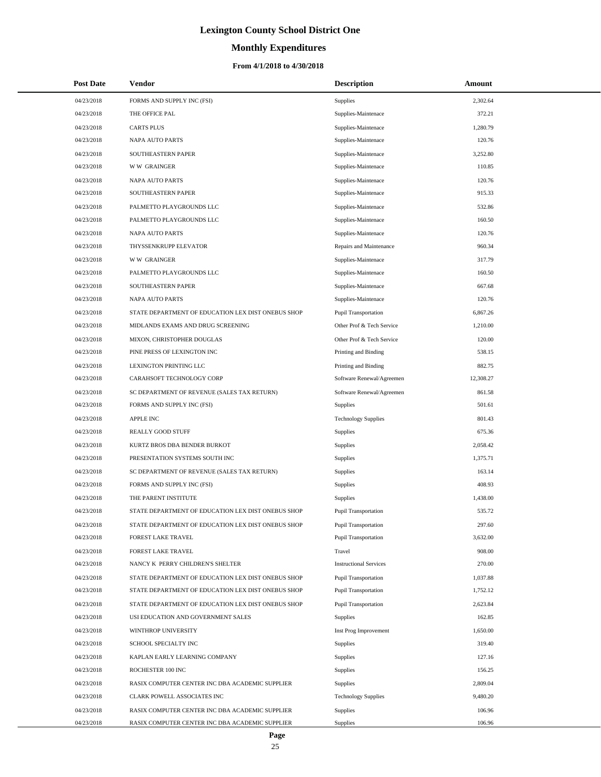# **Monthly Expenditures**

| <b>Post Date</b> | Vendor                                             | <b>Description</b>            | <b>Amount</b> |
|------------------|----------------------------------------------------|-------------------------------|---------------|
| 04/23/2018       | FORMS AND SUPPLY INC (FSI)                         | Supplies                      | 2,302.64      |
| 04/23/2018       | THE OFFICE PAL                                     | Supplies-Maintenace           | 372.21        |
| 04/23/2018       | <b>CARTS PLUS</b>                                  | Supplies-Maintenace           | 1,280.79      |
| 04/23/2018       | <b>NAPA AUTO PARTS</b>                             | Supplies-Maintenace           | 120.76        |
| 04/23/2018       | SOUTHEASTERN PAPER                                 | Supplies-Maintenace           | 3,252.80      |
| 04/23/2018       | <b>WW GRAINGER</b>                                 | Supplies-Maintenace           | 110.85        |
| 04/23/2018       | <b>NAPA AUTO PARTS</b>                             | Supplies-Maintenace           | 120.76        |
| 04/23/2018       | <b>SOUTHEASTERN PAPER</b>                          | Supplies-Maintenace           | 915.33        |
| 04/23/2018       | PALMETTO PLAYGROUNDS LLC                           | Supplies-Maintenace           | 532.86        |
| 04/23/2018       | PALMETTO PLAYGROUNDS LLC                           | Supplies-Maintenace           | 160.50        |
| 04/23/2018       | NAPA AUTO PARTS                                    | Supplies-Maintenace           | 120.76        |
| 04/23/2018       | THYSSENKRUPP ELEVATOR                              | Repairs and Maintenance       | 960.34        |
| 04/23/2018       | <b>WW GRAINGER</b>                                 | Supplies-Maintenace           | 317.79        |
| 04/23/2018       | PALMETTO PLAYGROUNDS LLC                           | Supplies-Maintenace           | 160.50        |
| 04/23/2018       | SOUTHEASTERN PAPER                                 | Supplies-Maintenace           | 667.68        |
| 04/23/2018       | <b>NAPA AUTO PARTS</b>                             | Supplies-Maintenace           | 120.76        |
| 04/23/2018       | STATE DEPARTMENT OF EDUCATION LEX DIST ONEBUS SHOP | Pupil Transportation          | 6,867.26      |
| 04/23/2018       | MIDLANDS EXAMS AND DRUG SCREENING                  | Other Prof & Tech Service     | 1,210.00      |
| 04/23/2018       | MIXON, CHRISTOPHER DOUGLAS                         | Other Prof & Tech Service     | 120.00        |
| 04/23/2018       | PINE PRESS OF LEXINGTON INC                        | Printing and Binding          | 538.15        |
| 04/23/2018       | LEXINGTON PRINTING LLC                             | Printing and Binding          | 882.75        |
| 04/23/2018       | CARAHSOFT TECHNOLOGY CORP                          | Software Renewal/Agreemen     | 12,308.27     |
| 04/23/2018       | SC DEPARTMENT OF REVENUE (SALES TAX RETURN)        | Software Renewal/Agreemen     | 861.58        |
| 04/23/2018       | FORMS AND SUPPLY INC (FSI)                         | Supplies                      | 501.61        |
| 04/23/2018       | <b>APPLE INC</b>                                   | <b>Technology Supplies</b>    | 801.43        |
| 04/23/2018       | REALLY GOOD STUFF                                  | Supplies                      | 675.36        |
| 04/23/2018       | KURTZ BROS DBA BENDER BURKOT                       | Supplies                      | 2,058.42      |
| 04/23/2018       | PRESENTATION SYSTEMS SOUTH INC                     | Supplies                      | 1,375.71      |
| 04/23/2018       | SC DEPARTMENT OF REVENUE (SALES TAX RETURN)        | <b>Supplies</b>               | 163.14        |
| 04/23/2018       | FORMS AND SUPPLY INC (FSI)                         | Supplies                      | 408.93        |
| 04/23/2018       | THE PARENT INSTITUTE                               | Supplies                      | 1,438.00      |
| 04/23/2018       | STATE DEPARTMENT OF EDUCATION LEX DIST ONEBUS SHOP | <b>Pupil Transportation</b>   | 535.72        |
| 04/23/2018       | STATE DEPARTMENT OF EDUCATION LEX DIST ONEBUS SHOP | Pupil Transportation          | 297.60        |
| 04/23/2018       | FOREST LAKE TRAVEL                                 | Pupil Transportation          | 3,632.00      |
| 04/23/2018       | <b>FOREST LAKE TRAVEL</b>                          | Travel                        | 908.00        |
| 04/23/2018       | NANCY K PERRY CHILDREN'S SHELTER                   | <b>Instructional Services</b> | 270.00        |
| 04/23/2018       | STATE DEPARTMENT OF EDUCATION LEX DIST ONEBUS SHOP | Pupil Transportation          | 1,037.88      |
| 04/23/2018       | STATE DEPARTMENT OF EDUCATION LEX DIST ONEBUS SHOP | Pupil Transportation          | 1,752.12      |
| 04/23/2018       | STATE DEPARTMENT OF EDUCATION LEX DIST ONEBUS SHOP | <b>Pupil Transportation</b>   | 2,623.84      |
| 04/23/2018       | USI EDUCATION AND GOVERNMENT SALES                 | <b>Supplies</b>               | 162.85        |
| 04/23/2018       | WINTHROP UNIVERSITY                                | Inst Prog Improvement         | 1,650.00      |
| 04/23/2018       | SCHOOL SPECIALTY INC                               | <b>Supplies</b>               | 319.40        |
| 04/23/2018       | KAPLAN EARLY LEARNING COMPANY                      | Supplies                      | 127.16        |
| 04/23/2018       | ROCHESTER 100 INC                                  | Supplies                      | 156.25        |
| 04/23/2018       | RASIX COMPUTER CENTER INC DBA ACADEMIC SUPPLIER    | <b>Supplies</b>               | 2,809.04      |
| 04/23/2018       | CLARK POWELL ASSOCIATES INC                        | <b>Technology Supplies</b>    | 9,480.20      |
| 04/23/2018       | RASIX COMPUTER CENTER INC DBA ACADEMIC SUPPLIER    | <b>Supplies</b>               | 106.96        |
| 04/23/2018       | RASIX COMPUTER CENTER INC DBA ACADEMIC SUPPLIER    | Supplies                      | 106.96        |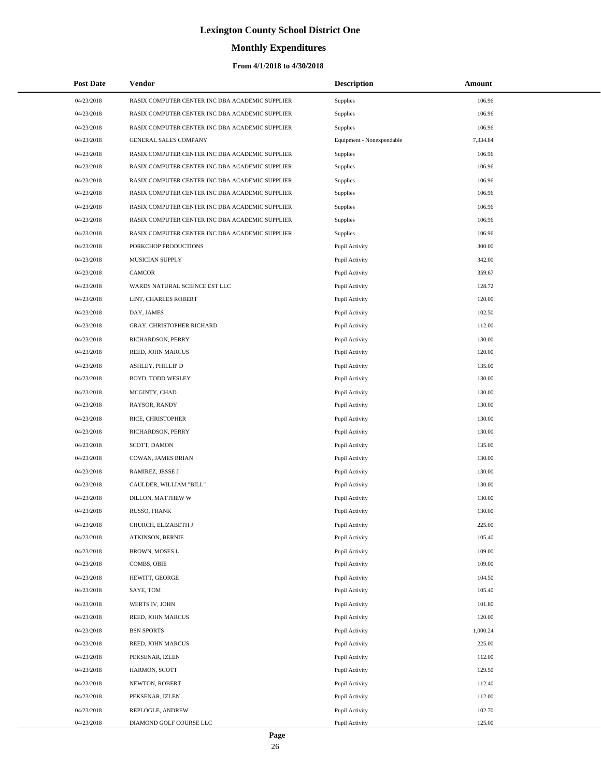# **Monthly Expenditures**

### **From 4/1/2018 to 4/30/2018**

| <b>Post Date</b> | <b>Vendor</b>                                   | <b>Description</b>        | Amount   |
|------------------|-------------------------------------------------|---------------------------|----------|
| 04/23/2018       | RASIX COMPUTER CENTER INC DBA ACADEMIC SUPPLIER | Supplies                  | 106.96   |
| 04/23/2018       | RASIX COMPUTER CENTER INC DBA ACADEMIC SUPPLIER | Supplies                  | 106.96   |
| 04/23/2018       | RASIX COMPUTER CENTER INC DBA ACADEMIC SUPPLIER | Supplies                  | 106.96   |
| 04/23/2018       | <b>GENERAL SALES COMPANY</b>                    | Equipment - Nonexpendable | 7,334.84 |
| 04/23/2018       | RASIX COMPUTER CENTER INC DBA ACADEMIC SUPPLIER | Supplies                  | 106.96   |
| 04/23/2018       | RASIX COMPUTER CENTER INC DBA ACADEMIC SUPPLIER | Supplies                  | 106.96   |
| 04/23/2018       | RASIX COMPUTER CENTER INC DBA ACADEMIC SUPPLIER | Supplies                  | 106.96   |
| 04/23/2018       | RASIX COMPUTER CENTER INC DBA ACADEMIC SUPPLIER | Supplies                  | 106.96   |
| 04/23/2018       | RASIX COMPUTER CENTER INC DBA ACADEMIC SUPPLIER | Supplies                  | 106.96   |
| 04/23/2018       | RASIX COMPUTER CENTER INC DBA ACADEMIC SUPPLIER | Supplies                  | 106.96   |
| 04/23/2018       | RASIX COMPUTER CENTER INC DBA ACADEMIC SUPPLIER | Supplies                  | 106.96   |
| 04/23/2018       | PORKCHOP PRODUCTIONS                            | Pupil Activity            | 300.00   |
| 04/23/2018       | MUSICIAN SUPPLY                                 | Pupil Activity            | 342.00   |
| 04/23/2018       | <b>CAMCOR</b>                                   | Pupil Activity            | 359.67   |
| 04/23/2018       | WARDS NATURAL SCIENCE EST LLC                   | Pupil Activity            | 128.72   |
| 04/23/2018       | LINT, CHARLES ROBERT                            | Pupil Activity            | 120.00   |
| 04/23/2018       | DAY, JAMES                                      | Pupil Activity            | 102.50   |
| 04/23/2018       | GRAY, CHRISTOPHER RICHARD                       | Pupil Activity            | 112.00   |
| 04/23/2018       | RICHARDSON, PERRY                               | Pupil Activity            | 130.00   |
| 04/23/2018       | REED, JOHN MARCUS                               | Pupil Activity            | 120.00   |
| 04/23/2018       | ASHLEY, PHILLIP D                               | Pupil Activity            | 135.00   |
| 04/23/2018       | BOYD, TODD WESLEY                               | Pupil Activity            | 130.00   |
| 04/23/2018       | MCGINTY, CHAD                                   | Pupil Activity            | 130.00   |
| 04/23/2018       | RAYSOR, RANDY                                   | Pupil Activity            | 130.00   |
| 04/23/2018       | RICE, CHRISTOPHER                               | Pupil Activity            | 130.00   |
| 04/23/2018       | RICHARDSON, PERRY                               | Pupil Activity            | 130.00   |
| 04/23/2018       | SCOTT, DAMON                                    | Pupil Activity            | 135.00   |
| 04/23/2018       | COWAN, JAMES BRIAN                              | Pupil Activity            | 130.00   |
| 04/23/2018       | RAMIREZ, JESSE J                                | Pupil Activity            | 130.00   |
| 04/23/2018       | CAULDER, WILLIAM "BILL"                         | Pupil Activity            | 130.00   |
| 04/23/2018       | DILLON, MATTHEW W                               | Pupil Activity            | 130.00   |
| 04/23/2018       | RUSSO, FRANK                                    | Pupil Activity            | 130.00   |
| 04/23/2018       | CHURCH, ELIZABETH J                             | Pupil Activity            | 225.00   |
| 04/23/2018       | ATKINSON, BERNIE                                | Pupil Activity            | 105.40   |
| 04/23/2018       | BROWN, MOSES L                                  | Pupil Activity            | 109.00   |
| 04/23/2018       | COMBS, OBIE                                     | Pupil Activity            | 109.00   |
| 04/23/2018       | HEWITT, GEORGE                                  | Pupil Activity            | 104.50   |
| 04/23/2018       | SAYE, TOM                                       | Pupil Activity            | 105.40   |
| 04/23/2018       | WERTS IV, JOHN                                  | Pupil Activity            | 101.80   |
| 04/23/2018       | REED, JOHN MARCUS                               | Pupil Activity            | 120.00   |
| 04/23/2018       | <b>BSN SPORTS</b>                               | Pupil Activity            | 1,000.24 |
| 04/23/2018       | REED, JOHN MARCUS                               | Pupil Activity            | 225.00   |
| 04/23/2018       | PEKSENAR, IZLEN                                 | Pupil Activity            | 112.00   |
| 04/23/2018       | HARMON, SCOTT                                   | Pupil Activity            | 129.50   |
| 04/23/2018       | NEWTON, ROBERT                                  | Pupil Activity            | 112.40   |
| 04/23/2018       | PEKSENAR, IZLEN                                 | Pupil Activity            | 112.00   |
| 04/23/2018       | REPLOGLE, ANDREW                                | Pupil Activity            | 102.70   |
| 04/23/2018       | DIAMOND GOLF COURSE LLC                         | Pupil Activity            | 125.00   |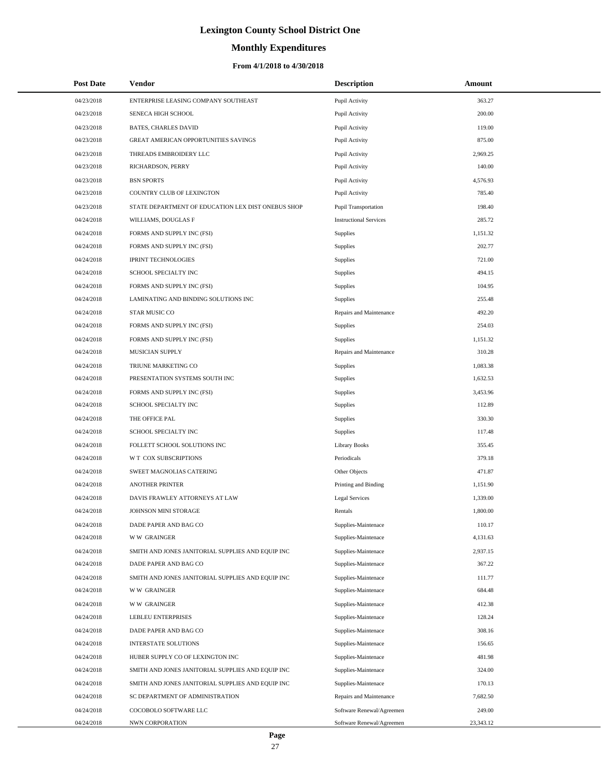# **Monthly Expenditures**

### **From 4/1/2018 to 4/30/2018**

| <b>Post Date</b> | Vendor                                             | <b>Description</b>            | Amount    |
|------------------|----------------------------------------------------|-------------------------------|-----------|
| 04/23/2018       | ENTERPRISE LEASING COMPANY SOUTHEAST               | Pupil Activity                | 363.27    |
| 04/23/2018       | SENECA HIGH SCHOOL                                 | Pupil Activity                | 200.00    |
| 04/23/2018       | <b>BATES, CHARLES DAVID</b>                        | Pupil Activity                | 119.00    |
| 04/23/2018       | <b>GREAT AMERICAN OPPORTUNITIES SAVINGS</b>        | Pupil Activity                | 875.00    |
| 04/23/2018       | THREADS EMBROIDERY LLC                             | Pupil Activity                | 2,969.25  |
| 04/23/2018       | RICHARDSON, PERRY                                  | Pupil Activity                | 140.00    |
| 04/23/2018       | <b>BSN SPORTS</b>                                  | Pupil Activity                | 4,576.93  |
| 04/23/2018       | COUNTRY CLUB OF LEXINGTON                          | Pupil Activity                | 785.40    |
| 04/23/2018       | STATE DEPARTMENT OF EDUCATION LEX DIST ONEBUS SHOP | Pupil Transportation          | 198.40    |
| 04/24/2018       | WILLIAMS, DOUGLAS F                                | <b>Instructional Services</b> | 285.72    |
| 04/24/2018       | FORMS AND SUPPLY INC (FSI)                         | <b>Supplies</b>               | 1,151.32  |
| 04/24/2018       | FORMS AND SUPPLY INC (FSI)                         | Supplies                      | 202.77    |
| 04/24/2018       | <b>IPRINT TECHNOLOGIES</b>                         | Supplies                      | 721.00    |
| 04/24/2018       | SCHOOL SPECIALTY INC                               | Supplies                      | 494.15    |
| 04/24/2018       | FORMS AND SUPPLY INC (FSI)                         | Supplies                      | 104.95    |
| 04/24/2018       | LAMINATING AND BINDING SOLUTIONS INC               | <b>Supplies</b>               | 255.48    |
| 04/24/2018       | STAR MUSIC CO                                      | Repairs and Maintenance       | 492.20    |
| 04/24/2018       | FORMS AND SUPPLY INC (FSI)                         | Supplies                      | 254.03    |
| 04/24/2018       | FORMS AND SUPPLY INC (FSI)                         | Supplies                      | 1,151.32  |
| 04/24/2018       | <b>MUSICIAN SUPPLY</b>                             | Repairs and Maintenance       | 310.28    |
| 04/24/2018       | TRIUNE MARKETING CO                                | <b>Supplies</b>               | 1,083.38  |
| 04/24/2018       | PRESENTATION SYSTEMS SOUTH INC                     | Supplies                      | 1,632.53  |
| 04/24/2018       | FORMS AND SUPPLY INC (FSI)                         | Supplies                      | 3,453.96  |
| 04/24/2018       | SCHOOL SPECIALTY INC                               | Supplies                      | 112.89    |
| 04/24/2018       | THE OFFICE PAL                                     | Supplies                      | 330.30    |
| 04/24/2018       | SCHOOL SPECIALTY INC                               | Supplies                      | 117.48    |
| 04/24/2018       | FOLLETT SCHOOL SOLUTIONS INC                       | <b>Library Books</b>          | 355.45    |
| 04/24/2018       | W T COX SUBSCRIPTIONS                              | Periodicals                   | 379.18    |
| 04/24/2018       | SWEET MAGNOLIAS CATERING                           | Other Objects                 | 471.87    |
| 04/24/2018       | <b>ANOTHER PRINTER</b>                             | Printing and Binding          | 1,151.90  |
| 04/24/2018       | DAVIS FRAWLEY ATTORNEYS AT LAW                     | <b>Legal Services</b>         | 1,339.00  |
| 04/24/2018       | JOHNSON MINI STORAGE                               | Rentals                       | 1,800.00  |
| 04/24/2018       | DADE PAPER AND BAG CO                              | Supplies-Maintenace           | 110.17    |
| 04/24/2018       | <b>WW GRAINGER</b>                                 | Supplies-Maintenace           | 4,131.63  |
| 04/24/2018       | SMITH AND JONES JANITORIAL SUPPLIES AND EQUIP INC  | Supplies-Maintenace           | 2,937.15  |
| 04/24/2018       | DADE PAPER AND BAG CO                              | Supplies-Maintenace           | 367.22    |
| 04/24/2018       | SMITH AND JONES JANITORIAL SUPPLIES AND EQUIP INC  | Supplies-Maintenace           | 111.77    |
| 04/24/2018       | <b>WW GRAINGER</b>                                 | Supplies-Maintenace           | 684.48    |
| 04/24/2018       | <b>WW GRAINGER</b>                                 | Supplies-Maintenace           | 412.38    |
| 04/24/2018       | <b>LEBLEU ENTERPRISES</b>                          | Supplies-Maintenace           | 128.24    |
| 04/24/2018       | DADE PAPER AND BAG CO                              | Supplies-Maintenace           | 308.16    |
| 04/24/2018       | INTERSTATE SOLUTIONS                               | Supplies-Maintenace           | 156.65    |
| 04/24/2018       | HUBER SUPPLY CO OF LEXINGTON INC                   | Supplies-Maintenace           | 481.98    |
| 04/24/2018       | SMITH AND JONES JANITORIAL SUPPLIES AND EQUIP INC  | Supplies-Maintenace           | 324.00    |
| 04/24/2018       | SMITH AND JONES JANITORIAL SUPPLIES AND EQUIP INC  | Supplies-Maintenace           | 170.13    |
| 04/24/2018       | SC DEPARTMENT OF ADMINISTRATION                    | Repairs and Maintenance       | 7,682.50  |
| 04/24/2018       | COCOBOLO SOFTWARE LLC                              | Software Renewal/Agreemen     | 249.00    |
| 04/24/2018       | NWN CORPORATION                                    | Software Renewal/Agreemen     | 23,343.12 |

 $\overline{a}$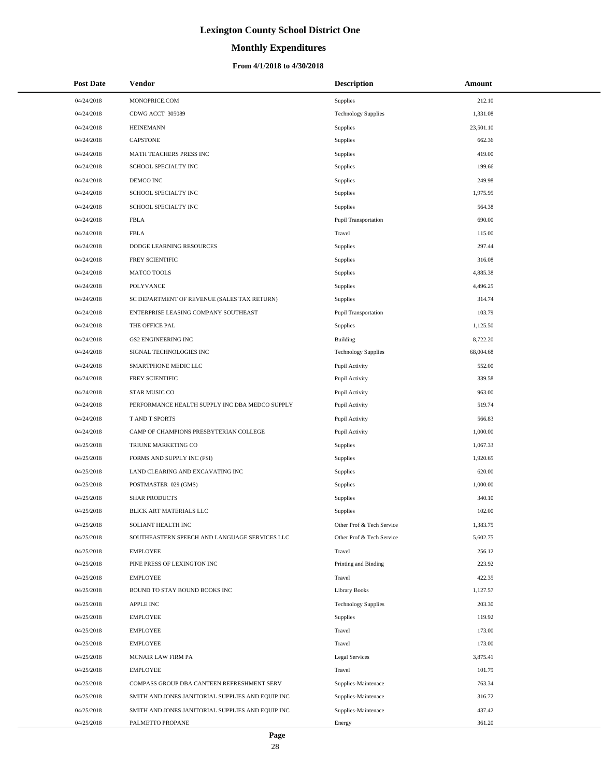# **Monthly Expenditures**

| <b>Post Date</b> | Vendor                                            | <b>Description</b>          | Amount    |
|------------------|---------------------------------------------------|-----------------------------|-----------|
| 04/24/2018       | MONOPRICE.COM                                     | Supplies                    | 212.10    |
| 04/24/2018       | CDWG ACCT 305089                                  | <b>Technology Supplies</b>  | 1,331.08  |
| 04/24/2018       | <b>HEINEMANN</b>                                  | <b>Supplies</b>             | 23,501.10 |
| 04/24/2018       | <b>CAPSTONE</b>                                   | Supplies                    | 662.36    |
| 04/24/2018       | MATH TEACHERS PRESS INC                           | Supplies                    | 419.00    |
| 04/24/2018       | SCHOOL SPECIALTY INC                              | Supplies                    | 199.66    |
| 04/24/2018       | DEMCO INC                                         | Supplies                    | 249.98    |
| 04/24/2018       | SCHOOL SPECIALTY INC                              | Supplies                    | 1,975.95  |
| 04/24/2018       | SCHOOL SPECIALTY INC                              | Supplies                    | 564.38    |
| 04/24/2018       | <b>FBLA</b>                                       | Pupil Transportation        | 690.00    |
| 04/24/2018       | <b>FBLA</b>                                       | Travel                      | 115.00    |
| 04/24/2018       | DODGE LEARNING RESOURCES                          | Supplies                    | 297.44    |
| 04/24/2018       | FREY SCIENTIFIC                                   | Supplies                    | 316.08    |
| 04/24/2018       | <b>MATCO TOOLS</b>                                | Supplies                    | 4,885.38  |
| 04/24/2018       | <b>POLYVANCE</b>                                  | Supplies                    | 4,496.25  |
| 04/24/2018       | SC DEPARTMENT OF REVENUE (SALES TAX RETURN)       | Supplies                    | 314.74    |
| 04/24/2018       | ENTERPRISE LEASING COMPANY SOUTHEAST              | <b>Pupil Transportation</b> | 103.79    |
| 04/24/2018       | THE OFFICE PAL                                    | Supplies                    | 1,125.50  |
| 04/24/2018       | <b>GS2 ENGINEERING INC</b>                        | Building                    | 8,722.20  |
| 04/24/2018       | SIGNAL TECHNOLOGIES INC                           | <b>Technology Supplies</b>  | 68,004.68 |
| 04/24/2018       | SMARTPHONE MEDIC LLC                              | Pupil Activity              | 552.00    |
| 04/24/2018       | FREY SCIENTIFIC                                   | Pupil Activity              | 339.58    |
| 04/24/2018       | STAR MUSIC CO                                     | Pupil Activity              | 963.00    |
| 04/24/2018       | PERFORMANCE HEALTH SUPPLY INC DBA MEDCO SUPPLY    | Pupil Activity              | 519.74    |
| 04/24/2018       | T AND T SPORTS                                    | Pupil Activity              | 566.83    |
| 04/24/2018       | CAMP OF CHAMPIONS PRESBYTERIAN COLLEGE            | Pupil Activity              | 1,000.00  |
| 04/25/2018       | TRIUNE MARKETING CO                               | <b>Supplies</b>             | 1,067.33  |
| 04/25/2018       | FORMS AND SUPPLY INC (FSI)                        | Supplies                    | 1,920.65  |
| 04/25/2018       | LAND CLEARING AND EXCAVATING INC                  | <b>Supplies</b>             | 620.00    |
| 04/25/2018       | POSTMASTER 029 (GMS)                              | Supplies                    | 1,000.00  |
| 04/25/2018       | <b>SHAR PRODUCTS</b>                              | Supplies                    | 340.10    |
| 04/25/2018       | BLICK ART MATERIALS LLC                           | Supplies                    | 102.00    |
| 04/25/2018       | SOLIANT HEALTH INC                                | Other Prof & Tech Service   | 1,383.75  |
| 04/25/2018       | SOUTHEASTERN SPEECH AND LANGUAGE SERVICES LLC     | Other Prof & Tech Service   | 5,602.75  |
| 04/25/2018       | <b>EMPLOYEE</b>                                   | Travel                      | 256.12    |
| 04/25/2018       | PINE PRESS OF LEXINGTON INC                       | Printing and Binding        | 223.92    |
| 04/25/2018       | EMPLOYEE                                          | Travel                      | 422.35    |
| 04/25/2018       | BOUND TO STAY BOUND BOOKS INC                     | Library Books               | 1,127.57  |
| 04/25/2018       | <b>APPLE INC</b>                                  | <b>Technology Supplies</b>  | 203.30    |
| 04/25/2018       | EMPLOYEE                                          | <b>Supplies</b>             | 119.92    |
| 04/25/2018       | EMPLOYEE                                          | Travel                      | 173.00    |
| 04/25/2018       | EMPLOYEE                                          | Travel                      | 173.00    |
| 04/25/2018       | MCNAIR LAW FIRM PA                                | <b>Legal Services</b>       | 3,875.41  |
| 04/25/2018       | EMPLOYEE                                          | Travel                      | 101.79    |
| 04/25/2018       | COMPASS GROUP DBA CANTEEN REFRESHMENT SERV        | Supplies-Maintenace         | 763.34    |
| 04/25/2018       | SMITH AND JONES JANITORIAL SUPPLIES AND EQUIP INC | Supplies-Maintenace         | 316.72    |
| 04/25/2018       | SMITH AND JONES JANITORIAL SUPPLIES AND EQUIP INC | Supplies-Maintenace         | 437.42    |
| 04/25/2018       | PALMETTO PROPANE                                  | Energy                      | 361.20    |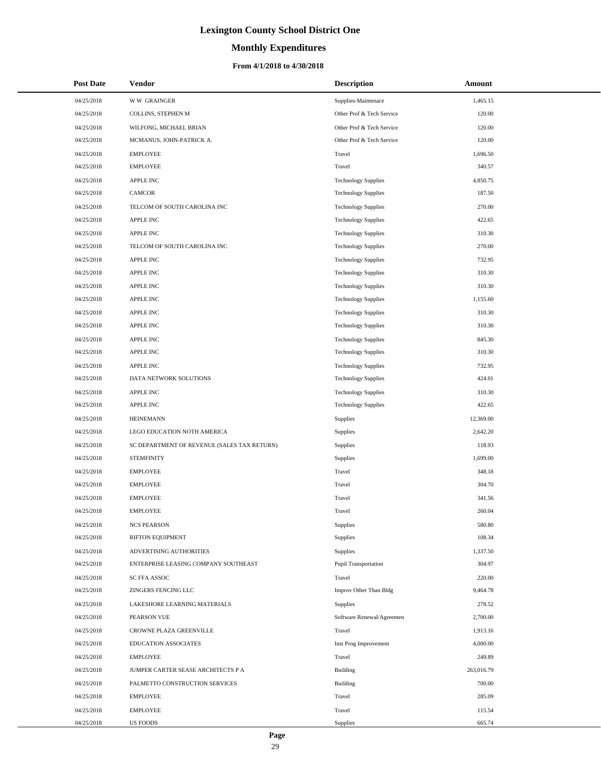# **Monthly Expenditures**

### **From 4/1/2018 to 4/30/2018**

| <b>Post Date</b> | Vendor                                      | <b>Description</b>          | Amount     |
|------------------|---------------------------------------------|-----------------------------|------------|
| 04/25/2018       | <b>WW GRAINGER</b>                          | Supplies-Maintenace         | 1,465.15   |
| 04/25/2018       | COLLINS, STEPHEN M                          | Other Prof & Tech Service   | 120.00     |
| 04/25/2018       | WILFONG, MICHAEL BRIAN                      | Other Prof & Tech Service   | 120.00     |
| 04/25/2018       | MCMANUS, JOHN-PATRICK A.                    | Other Prof & Tech Service   | 120.00     |
| 04/25/2018       | <b>EMPLOYEE</b>                             | Travel                      | 1,696.50   |
| 04/25/2018       | <b>EMPLOYEE</b>                             | Travel                      | 340.57     |
| 04/25/2018       | <b>APPLE INC</b>                            | <b>Technology Supplies</b>  | 4,850.75   |
| 04/25/2018       | <b>CAMCOR</b>                               | <b>Technology Supplies</b>  | 187.50     |
| 04/25/2018       | TELCOM OF SOUTH CAROLINA INC                | <b>Technology Supplies</b>  | 270.00     |
| 04/25/2018       | <b>APPLE INC</b>                            | <b>Technology Supplies</b>  | 422.65     |
| 04/25/2018       | <b>APPLE INC</b>                            | <b>Technology Supplies</b>  | 310.30     |
| 04/25/2018       | TELCOM OF SOUTH CAROLINA INC                | <b>Technology Supplies</b>  | 270.00     |
| 04/25/2018       | <b>APPLE INC</b>                            | <b>Technology Supplies</b>  | 732.95     |
| 04/25/2018       | <b>APPLE INC</b>                            | <b>Technology Supplies</b>  | 310.30     |
| 04/25/2018       | <b>APPLE INC</b>                            | <b>Technology Supplies</b>  | 310.30     |
| 04/25/2018       | <b>APPLE INC</b>                            | <b>Technology Supplies</b>  | 1,155.60   |
| 04/25/2018       | <b>APPLE INC</b>                            | <b>Technology Supplies</b>  | 310.30     |
| 04/25/2018       | <b>APPLE INC</b>                            | <b>Technology Supplies</b>  | 310.30     |
| 04/25/2018       | <b>APPLE INC</b>                            | <b>Technology Supplies</b>  | 845.30     |
| 04/25/2018       | <b>APPLE INC</b>                            | <b>Technology Supplies</b>  | 310.30     |
| 04/25/2018       | <b>APPLE INC</b>                            | <b>Technology Supplies</b>  | 732.95     |
| 04/25/2018       | DATA NETWORK SOLUTIONS                      | <b>Technology Supplies</b>  | 424.01     |
| 04/25/2018       | <b>APPLE INC</b>                            | <b>Technology Supplies</b>  | 310.30     |
| 04/25/2018       | <b>APPLE INC</b>                            | <b>Technology Supplies</b>  | 422.65     |
| 04/25/2018       | <b>HEINEMANN</b>                            | <b>Supplies</b>             | 12,369.00  |
| 04/25/2018       | LEGO EDUCATION NOTH AMERICA                 | Supplies                    | 2,642.20   |
| 04/25/2018       | SC DEPARTMENT OF REVENUE (SALES TAX RETURN) | <b>Supplies</b>             | 118.93     |
| 04/25/2018       | <b>STEMFINITY</b>                           | <b>Supplies</b>             | 1,699.00   |
| 04/25/2018       | <b>EMPLOYEE</b>                             | Travel                      | 348.18     |
| 04/25/2018       | <b>EMPLOYEE</b>                             | Travel                      | 304.70     |
| 04/25/2018       | <b>EMPLOYEE</b>                             | Travel                      | 341.56     |
| 04/25/2018       | <b>EMPLOYEE</b>                             | Travel                      | 260.04     |
| 04/25/2018       | <b>NCS PEARSON</b>                          | Supplies                    | 580.80     |
| 04/25/2018       | RIFTON EQUIPMENT                            | Supplies                    | 108.34     |
| 04/25/2018       | ADVERTISING AUTHORITIES                     | <b>Supplies</b>             | 1,337.50   |
| 04/25/2018       | ENTERPRISE LEASING COMPANY SOUTHEAST        | <b>Pupil Transportation</b> | 304.97     |
| 04/25/2018       | SC FFA ASSOC                                | Travel                      | 220.00     |
| 04/25/2018       | ZINGERS FENCING LLC                         | Improv Other Than Bldg      | 9,464.78   |
| 04/25/2018       | LAKESHORE LEARNING MATERIALS                | <b>Supplies</b>             | 278.52     |
| 04/25/2018       | PEARSON VUE                                 | Software Renewal/Agreemen   | 2,700.00   |
| 04/25/2018       | CROWNE PLAZA GREENVILLE                     | Travel                      | 1,913.16   |
| 04/25/2018       | EDUCATION ASSOCIATES                        | Inst Prog Improvement       | 4,000.00   |
| 04/25/2018       | <b>EMPLOYEE</b>                             | Travel                      | 249.89     |
| 04/25/2018       | JUMPER CARTER SEASE ARCHITECTS P A          | <b>Building</b>             | 263,016.79 |
| 04/25/2018       | PALMETTO CONSTRUCTION SERVICES              | <b>Building</b>             | 700.00     |
| 04/25/2018       | <b>EMPLOYEE</b>                             | Travel                      | 285.09     |
| 04/25/2018       | <b>EMPLOYEE</b>                             | Travel                      | 115.54     |
| 04/25/2018       | <b>US FOODS</b>                             | Supplies                    | 665.74     |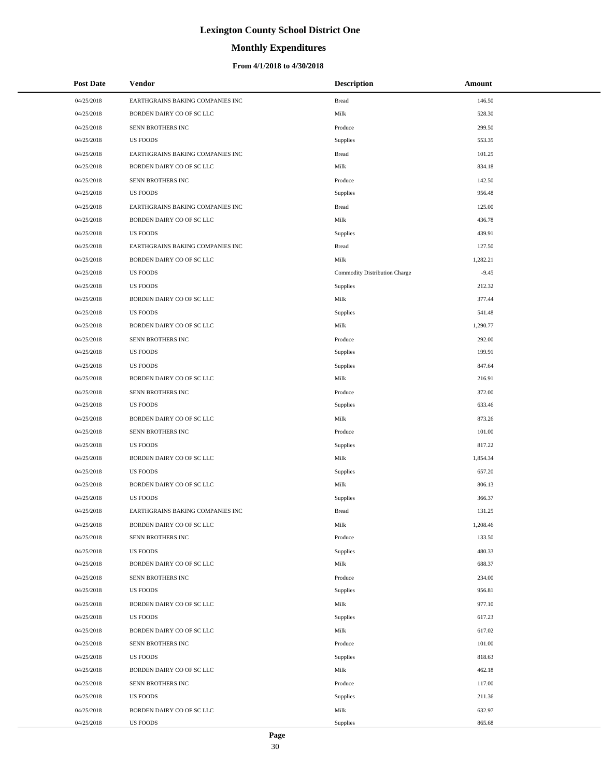# **Monthly Expenditures**

### **From 4/1/2018 to 4/30/2018**

| <b>Post Date</b> | <b>Vendor</b>                    | <b>Description</b>            | Amount   |
|------------------|----------------------------------|-------------------------------|----------|
| 04/25/2018       | EARTHGRAINS BAKING COMPANIES INC | <b>Bread</b>                  | 146.50   |
| 04/25/2018       | BORDEN DAIRY CO OF SC LLC        | Milk                          | 528.30   |
| 04/25/2018       | SENN BROTHERS INC                | Produce                       | 299.50   |
| 04/25/2018       | <b>US FOODS</b>                  | Supplies                      | 553.35   |
| 04/25/2018       | EARTHGRAINS BAKING COMPANIES INC | <b>Bread</b>                  | 101.25   |
| 04/25/2018       | BORDEN DAIRY CO OF SC LLC        | Milk                          | 834.18   |
| 04/25/2018       | SENN BROTHERS INC                | Produce                       | 142.50   |
| 04/25/2018       | <b>US FOODS</b>                  | <b>Supplies</b>               | 956.48   |
| 04/25/2018       | EARTHGRAINS BAKING COMPANIES INC | <b>Bread</b>                  | 125.00   |
| 04/25/2018       | BORDEN DAIRY CO OF SC LLC        | Milk                          | 436.78   |
| 04/25/2018       | <b>US FOODS</b>                  | <b>Supplies</b>               | 439.91   |
| 04/25/2018       | EARTHGRAINS BAKING COMPANIES INC | <b>Bread</b>                  | 127.50   |
| 04/25/2018       | BORDEN DAIRY CO OF SC LLC        | Milk                          | 1,282.21 |
| 04/25/2018       | <b>US FOODS</b>                  | Commodity Distribution Charge | $-9.45$  |
| 04/25/2018       | <b>US FOODS</b>                  | <b>Supplies</b>               | 212.32   |
| 04/25/2018       | BORDEN DAIRY CO OF SC LLC        | Milk                          | 377.44   |
| 04/25/2018       | <b>US FOODS</b>                  | <b>Supplies</b>               | 541.48   |
| 04/25/2018       | BORDEN DAIRY CO OF SC LLC        | Milk                          | 1,290.77 |
| 04/25/2018       | SENN BROTHERS INC                | Produce                       | 292.00   |
| 04/25/2018       | <b>US FOODS</b>                  | Supplies                      | 199.91   |
| 04/25/2018       | <b>US FOODS</b>                  | <b>Supplies</b>               | 847.64   |
| 04/25/2018       | BORDEN DAIRY CO OF SC LLC        | Milk                          | 216.91   |
| 04/25/2018       | SENN BROTHERS INC                | Produce                       | 372.00   |
| 04/25/2018       | <b>US FOODS</b>                  | <b>Supplies</b>               | 633.46   |
| 04/25/2018       | BORDEN DAIRY CO OF SC LLC        | Milk                          | 873.26   |
| 04/25/2018       | SENN BROTHERS INC                | Produce                       | 101.00   |
| 04/25/2018       | <b>US FOODS</b>                  | <b>Supplies</b>               | 817.22   |
| 04/25/2018       | BORDEN DAIRY CO OF SC LLC        | Milk                          | 1,854.34 |
| 04/25/2018       | <b>US FOODS</b>                  | <b>Supplies</b>               | 657.20   |
| 04/25/2018       | BORDEN DAIRY CO OF SC LLC        | Milk                          | 806.13   |
| 04/25/2018       | <b>US FOODS</b>                  | <b>Supplies</b>               | 366.37   |
| 04/25/2018       | EARTHGRAINS BAKING COMPANIES INC | <b>Bread</b>                  | 131.25   |
| 04/25/2018       | BORDEN DAIRY CO OF SC LLC        | Milk                          | 1,208.46 |
| 04/25/2018       | SENN BROTHERS INC                | Produce                       | 133.50   |
| 04/25/2018       | <b>US FOODS</b>                  | Supplies                      | 480.33   |
| 04/25/2018       | BORDEN DAIRY CO OF SC LLC        | Milk                          | 688.37   |
| 04/25/2018       | SENN BROTHERS INC                | Produce                       | 234.00   |
| 04/25/2018       | <b>US FOODS</b>                  | <b>Supplies</b>               | 956.81   |
| 04/25/2018       | BORDEN DAIRY CO OF SC LLC        | Milk                          | 977.10   |
| 04/25/2018       | <b>US FOODS</b>                  | <b>Supplies</b>               | 617.23   |
| 04/25/2018       | BORDEN DAIRY CO OF SC LLC        | Milk                          | 617.02   |
| 04/25/2018       | SENN BROTHERS INC                | Produce                       | 101.00   |
| 04/25/2018       | <b>US FOODS</b>                  | <b>Supplies</b>               | 818.63   |
| 04/25/2018       | BORDEN DAIRY CO OF SC LLC        | Milk                          | 462.18   |
| 04/25/2018       | SENN BROTHERS INC                | Produce                       | 117.00   |
| 04/25/2018       | <b>US FOODS</b>                  | Supplies                      | 211.36   |
| 04/25/2018       | BORDEN DAIRY CO OF SC LLC        | Milk                          | 632.97   |
| 04/25/2018       | <b>US FOODS</b>                  | <b>Supplies</b>               | 865.68   |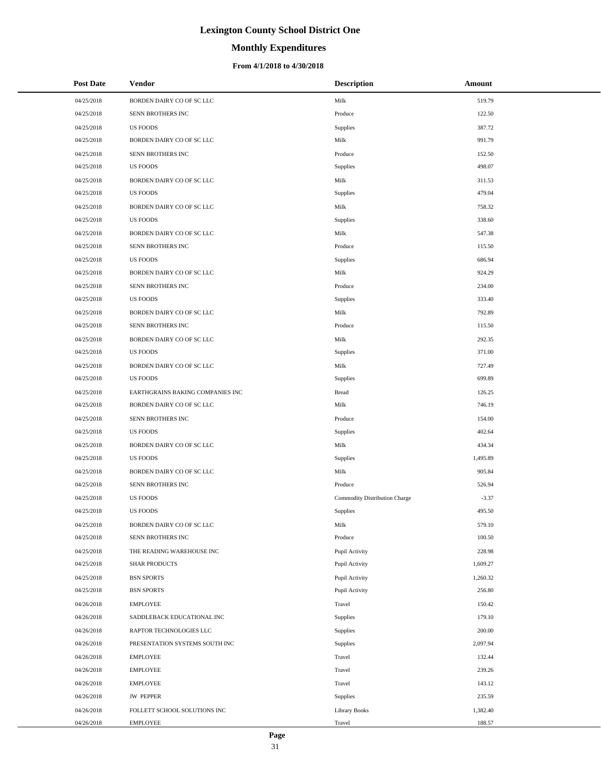# **Monthly Expenditures**

### **From 4/1/2018 to 4/30/2018**

| <b>Post Date</b> | Vendor                           | <b>Description</b>            | Amount   |
|------------------|----------------------------------|-------------------------------|----------|
| 04/25/2018       | BORDEN DAIRY CO OF SC LLC        | Milk                          | 519.79   |
| 04/25/2018       | SENN BROTHERS INC                | Produce                       | 122.50   |
| 04/25/2018       | <b>US FOODS</b>                  | Supplies                      | 387.72   |
| 04/25/2018       | BORDEN DAIRY CO OF SC LLC        | Milk                          | 991.79   |
| 04/25/2018       | SENN BROTHERS INC                | Produce                       | 152.50   |
| 04/25/2018       | <b>US FOODS</b>                  | Supplies                      | 498.07   |
| 04/25/2018       | BORDEN DAIRY CO OF SC LLC        | Milk                          | 311.53   |
| 04/25/2018       | <b>US FOODS</b>                  | Supplies                      | 479.04   |
| 04/25/2018       | BORDEN DAIRY CO OF SC LLC        | Milk                          | 758.32   |
| 04/25/2018       | <b>US FOODS</b>                  | Supplies                      | 338.60   |
| 04/25/2018       | BORDEN DAIRY CO OF SC LLC        | Milk                          | 547.38   |
| 04/25/2018       | SENN BROTHERS INC                | Produce                       | 115.50   |
| 04/25/2018       | <b>US FOODS</b>                  | Supplies                      | 686.94   |
| 04/25/2018       | BORDEN DAIRY CO OF SC LLC        | Milk                          | 924.29   |
| 04/25/2018       | SENN BROTHERS INC                | Produce                       | 234.00   |
| 04/25/2018       | <b>US FOODS</b>                  | Supplies                      | 333.40   |
| 04/25/2018       | BORDEN DAIRY CO OF SC LLC        | Milk                          | 792.89   |
| 04/25/2018       | SENN BROTHERS INC                | Produce                       | 115.50   |
| 04/25/2018       | BORDEN DAIRY CO OF SC LLC        | Milk                          | 292.35   |
| 04/25/2018       | <b>US FOODS</b>                  | Supplies                      | 371.00   |
| 04/25/2018       | BORDEN DAIRY CO OF SC LLC        | Milk                          | 727.49   |
| 04/25/2018       | <b>US FOODS</b>                  | Supplies                      | 699.89   |
| 04/25/2018       | EARTHGRAINS BAKING COMPANIES INC | <b>Bread</b>                  | 126.25   |
| 04/25/2018       | BORDEN DAIRY CO OF SC LLC        | Milk                          | 746.19   |
| 04/25/2018       | SENN BROTHERS INC                | Produce                       | 154.00   |
| 04/25/2018       | <b>US FOODS</b>                  | Supplies                      | 402.64   |
| 04/25/2018       | BORDEN DAIRY CO OF SC LLC        | Milk                          | 434.34   |
| 04/25/2018       | <b>US FOODS</b>                  | Supplies                      | 1,495.89 |
| 04/25/2018       | BORDEN DAIRY CO OF SC LLC        | Milk                          | 905.84   |
| 04/25/2018       | SENN BROTHERS INC                | Produce                       | 526.94   |
| 04/25/2018       | <b>US FOODS</b>                  | Commodity Distribution Charge | $-3.37$  |
| 04/25/2018       | <b>US FOODS</b>                  | Supplies                      | 495.50   |
| 04/25/2018       | BORDEN DAIRY CO OF SC LLC        | Milk                          | 579.10   |
| 04/25/2018       | SENN BROTHERS INC                | Produce                       | 100.50   |
| 04/25/2018       | THE READING WAREHOUSE INC        | Pupil Activity                | 228.98   |
| 04/25/2018       | <b>SHAR PRODUCTS</b>             | Pupil Activity                | 1,609.27 |
| 04/25/2018       | <b>BSN SPORTS</b>                | Pupil Activity                | 1,260.32 |
| 04/25/2018       | <b>BSN SPORTS</b>                | Pupil Activity                | 256.80   |
| 04/26/2018       | <b>EMPLOYEE</b>                  | Travel                        | 150.42   |
| 04/26/2018       | SADDLEBACK EDUCATIONAL INC       | Supplies                      | 179.10   |
| 04/26/2018       | RAPTOR TECHNOLOGIES LLC          | Supplies                      | 200.00   |
| 04/26/2018       | PRESENTATION SYSTEMS SOUTH INC   | Supplies                      | 2,097.94 |
| 04/26/2018       | <b>EMPLOYEE</b>                  | Travel                        | 132.44   |
| 04/26/2018       | <b>EMPLOYEE</b>                  | Travel                        | 239.26   |
| 04/26/2018       | <b>EMPLOYEE</b>                  | Travel                        | 143.12   |
| 04/26/2018       | <b>JW PEPPER</b>                 | Supplies                      | 235.59   |
| 04/26/2018       | FOLLETT SCHOOL SOLUTIONS INC     | <b>Library Books</b>          | 1,382.40 |
| 04/26/2018       | <b>EMPLOYEE</b>                  | Travel                        | 188.57   |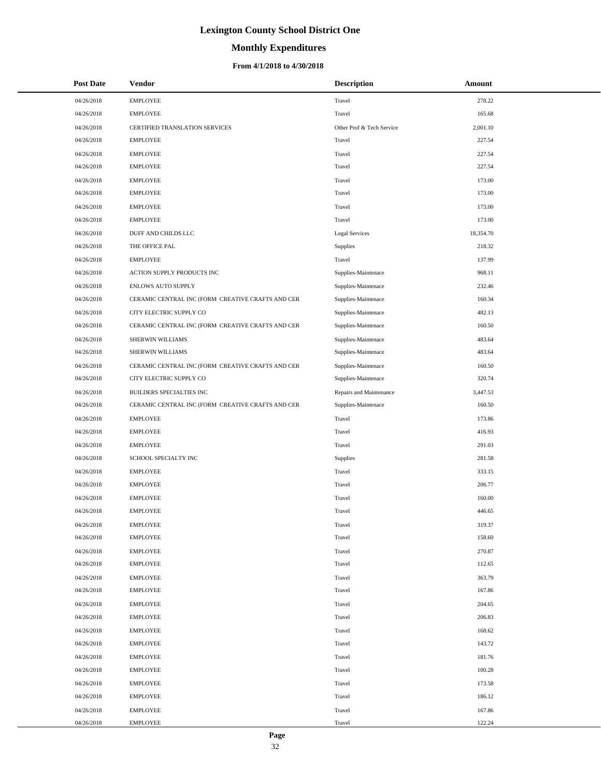# **Monthly Expenditures**

### **From 4/1/2018 to 4/30/2018**

| <b>Post Date</b> | <b>Vendor</b>                                     | <b>Description</b>        | Amount    |
|------------------|---------------------------------------------------|---------------------------|-----------|
| 04/26/2018       | <b>EMPLOYEE</b>                                   | Travel                    | 278.22    |
| 04/26/2018       | <b>EMPLOYEE</b>                                   | Travel                    | 165.68    |
| 04/26/2018       | CERTIFIED TRANSLATION SERVICES                    | Other Prof & Tech Service | 2,001.10  |
| 04/26/2018       | <b>EMPLOYEE</b>                                   | Travel                    | 227.54    |
| 04/26/2018       | <b>EMPLOYEE</b>                                   | Travel                    | 227.54    |
| 04/26/2018       | <b>EMPLOYEE</b>                                   | Travel                    | 227.54    |
| 04/26/2018       | <b>EMPLOYEE</b>                                   | Travel                    | 173.00    |
| 04/26/2018       | <b>EMPLOYEE</b>                                   | Travel                    | 173.00    |
| 04/26/2018       | <b>EMPLOYEE</b>                                   | Travel                    | 173.00    |
| 04/26/2018       | <b>EMPLOYEE</b>                                   | Travel                    | 173.00    |
| 04/26/2018       | DUFF AND CHILDS LLC                               | Legal Services            | 18,354.70 |
| 04/26/2018       | THE OFFICE PAL                                    | Supplies                  | 218.32    |
| 04/26/2018       | <b>EMPLOYEE</b>                                   | Travel                    | 137.99    |
| 04/26/2018       | ACTION SUPPLY PRODUCTS INC                        | Supplies-Maintenace       | 968.11    |
| 04/26/2018       | <b>ENLOWS AUTO SUPPLY</b>                         | Supplies-Maintenace       | 232.46    |
| 04/26/2018       | CERAMIC CENTRAL INC (FORM CREATIVE CRAFTS AND CER | Supplies-Maintenace       | 160.34    |
| 04/26/2018       | CITY ELECTRIC SUPPLY CO                           | Supplies-Maintenace       | 482.13    |
| 04/26/2018       | CERAMIC CENTRAL INC (FORM CREATIVE CRAFTS AND CER | Supplies-Maintenace       | 160.50    |
| 04/26/2018       | SHERWIN WILLIAMS                                  | Supplies-Maintenace       | 483.64    |
| 04/26/2018       | SHERWIN WILLIAMS                                  | Supplies-Maintenace       | 483.64    |
| 04/26/2018       | CERAMIC CENTRAL INC (FORM CREATIVE CRAFTS AND CER | Supplies-Maintenace       | 160.50    |
| 04/26/2018       | CITY ELECTRIC SUPPLY CO                           | Supplies-Maintenace       | 320.74    |
| 04/26/2018       | BUILDERS SPECIALTIES INC                          | Repairs and Maintenance   | 3,447.53  |
| 04/26/2018       | CERAMIC CENTRAL INC (FORM CREATIVE CRAFTS AND CER | Supplies-Maintenace       | 160.50    |
| 04/26/2018       | <b>EMPLOYEE</b>                                   | Travel                    | 173.86    |
| 04/26/2018       | <b>EMPLOYEE</b>                                   | Travel                    | 416.93    |
| 04/26/2018       | <b>EMPLOYEE</b>                                   | Travel                    | 291.03    |
| 04/26/2018       | SCHOOL SPECIALTY INC                              | Supplies                  | 281.58    |
| 04/26/2018       | <b>EMPLOYEE</b>                                   | Travel                    | 333.15    |
| 04/26/2018       | <b>EMPLOYEE</b>                                   | Travel                    | 206.77    |
| 04/26/2018       | <b>EMPLOYEE</b>                                   | Travel                    | 160.00    |
| 04/26/2018       | <b>EMPLOYEE</b>                                   | Travel                    | 446.65    |
| 04/26/2018       | <b>EMPLOYEE</b>                                   | Travel                    | 319.37    |
| 04/26/2018       | <b>EMPLOYEE</b>                                   | Travel                    | 158.60    |
| 04/26/2018       | <b>EMPLOYEE</b>                                   | Travel                    | 270.87    |
| 04/26/2018       | <b>EMPLOYEE</b>                                   | Travel                    | 112.65    |
| 04/26/2018       | <b>EMPLOYEE</b>                                   | Travel                    | 363.79    |
| 04/26/2018       | <b>EMPLOYEE</b>                                   | Travel                    | 167.86    |
| 04/26/2018       | <b>EMPLOYEE</b>                                   | Travel                    | 204.65    |
| 04/26/2018       | <b>EMPLOYEE</b>                                   | Travel                    | 206.83    |
| 04/26/2018       | <b>EMPLOYEE</b>                                   | Travel                    | 168.62    |
| 04/26/2018       | <b>EMPLOYEE</b>                                   | Travel                    | 143.72    |
| 04/26/2018       | <b>EMPLOYEE</b>                                   | Travel                    | 181.76    |
| 04/26/2018       | <b>EMPLOYEE</b>                                   | Travel                    | 100.28    |
| 04/26/2018       | <b>EMPLOYEE</b>                                   | Travel                    | 173.58    |
| 04/26/2018       | <b>EMPLOYEE</b>                                   | Travel                    | 186.12    |
| 04/26/2018       | <b>EMPLOYEE</b>                                   | Travel                    | 167.86    |
| 04/26/2018       | <b>EMPLOYEE</b>                                   | Travel                    | 122.24    |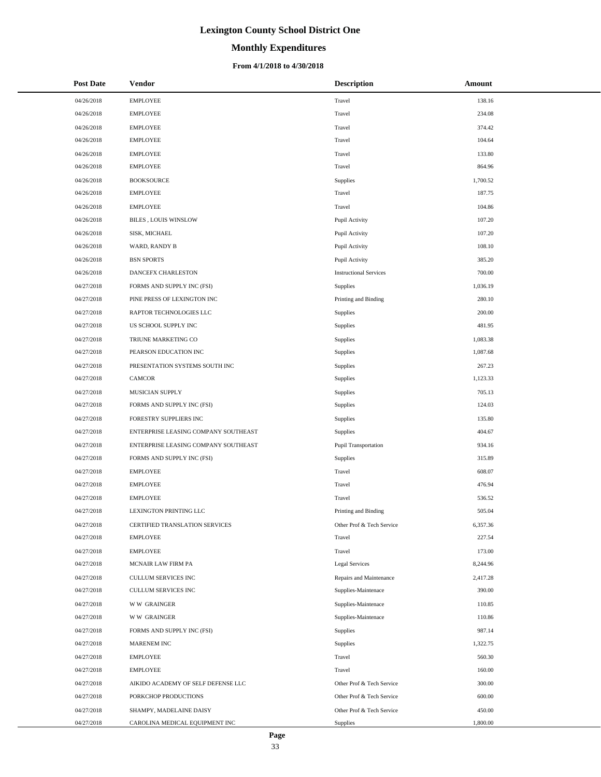# **Monthly Expenditures**

### **From 4/1/2018 to 4/30/2018**

| <b>Post Date</b> | <b>Vendor</b>                        | <b>Description</b>            | Amount   |
|------------------|--------------------------------------|-------------------------------|----------|
| 04/26/2018       | <b>EMPLOYEE</b>                      | Travel                        | 138.16   |
| 04/26/2018       | <b>EMPLOYEE</b>                      | Travel                        | 234.08   |
| 04/26/2018       | <b>EMPLOYEE</b>                      | Travel                        | 374.42   |
| 04/26/2018       | <b>EMPLOYEE</b>                      | Travel                        | 104.64   |
| 04/26/2018       | <b>EMPLOYEE</b>                      | Travel                        | 133.80   |
| 04/26/2018       | <b>EMPLOYEE</b>                      | Travel                        | 864.96   |
| 04/26/2018       | <b>BOOKSOURCE</b>                    | Supplies                      | 1,700.52 |
| 04/26/2018       | <b>EMPLOYEE</b>                      | Travel                        | 187.75   |
| 04/26/2018       | <b>EMPLOYEE</b>                      | Travel                        | 104.86   |
| 04/26/2018       | BILES, LOUIS WINSLOW                 | Pupil Activity                | 107.20   |
| 04/26/2018       | SISK, MICHAEL                        | Pupil Activity                | 107.20   |
| 04/26/2018       | WARD, RANDY B                        | Pupil Activity                | 108.10   |
| 04/26/2018       | <b>BSN SPORTS</b>                    | Pupil Activity                | 385.20   |
| 04/26/2018       | DANCEFX CHARLESTON                   | <b>Instructional Services</b> | 700.00   |
| 04/27/2018       | FORMS AND SUPPLY INC (FSI)           | Supplies                      | 1,036.19 |
| 04/27/2018       | PINE PRESS OF LEXINGTON INC          | Printing and Binding          | 280.10   |
| 04/27/2018       | RAPTOR TECHNOLOGIES LLC              | Supplies                      | 200.00   |
| 04/27/2018       | US SCHOOL SUPPLY INC                 | Supplies                      | 481.95   |
| 04/27/2018       | TRIUNE MARKETING CO                  | Supplies                      | 1,083.38 |
| 04/27/2018       | PEARSON EDUCATION INC                | Supplies                      | 1,087.68 |
| 04/27/2018       | PRESENTATION SYSTEMS SOUTH INC       | Supplies                      | 267.23   |
| 04/27/2018       | CAMCOR                               | Supplies                      | 1,123.33 |
| 04/27/2018       | MUSICIAN SUPPLY                      | Supplies                      | 705.13   |
| 04/27/2018       | FORMS AND SUPPLY INC (FSI)           | Supplies                      | 124.03   |
| 04/27/2018       | FORESTRY SUPPLIERS INC               | Supplies                      | 135.80   |
| 04/27/2018       | ENTERPRISE LEASING COMPANY SOUTHEAST | Supplies                      | 404.67   |
| 04/27/2018       | ENTERPRISE LEASING COMPANY SOUTHEAST | Pupil Transportation          | 934.16   |
| 04/27/2018       | FORMS AND SUPPLY INC (FSI)           | Supplies                      | 315.89   |
| 04/27/2018       | <b>EMPLOYEE</b>                      | Travel                        | 608.07   |
| 04/27/2018       | <b>EMPLOYEE</b>                      | Travel                        | 476.94   |
| 04/27/2018       | <b>EMPLOYEE</b>                      | Travel                        | 536.52   |
| 04/27/2018       | LEXINGTON PRINTING LLC               | Printing and Binding          | 505.04   |
| 04/27/2018       | CERTIFIED TRANSLATION SERVICES       | Other Prof & Tech Service     | 6,357.36 |
| 04/27/2018       | <b>EMPLOYEE</b>                      | Travel                        | 227.54   |
| 04/27/2018       | <b>EMPLOYEE</b>                      | Travel                        | 173.00   |
| 04/27/2018       | MCNAIR LAW FIRM PA                   | <b>Legal Services</b>         | 8,244.96 |
| 04/27/2018       | CULLUM SERVICES INC                  | Repairs and Maintenance       | 2,417.28 |
| 04/27/2018       | CULLUM SERVICES INC                  | Supplies-Maintenace           | 390.00   |
| 04/27/2018       | <b>WW GRAINGER</b>                   | Supplies-Maintenace           | 110.85   |
| 04/27/2018       | <b>WW GRAINGER</b>                   | Supplies-Maintenace           | 110.86   |
| 04/27/2018       | FORMS AND SUPPLY INC (FSI)           | Supplies                      | 987.14   |
| 04/27/2018       | MARENEM INC                          | Supplies                      | 1,322.75 |
| 04/27/2018       | <b>EMPLOYEE</b>                      | Travel                        | 560.30   |
| 04/27/2018       | <b>EMPLOYEE</b>                      | Travel                        | 160.00   |
| 04/27/2018       | AIKIDO ACADEMY OF SELF DEFENSE LLC   | Other Prof & Tech Service     | 300.00   |
| 04/27/2018       | PORKCHOP PRODUCTIONS                 | Other Prof & Tech Service     | 600.00   |
| 04/27/2018       | SHAMPY, MADELAINE DAISY              | Other Prof & Tech Service     | 450.00   |
| 04/27/2018       | CAROLINA MEDICAL EQUIPMENT INC       | <b>Supplies</b>               | 1,800.00 |

÷.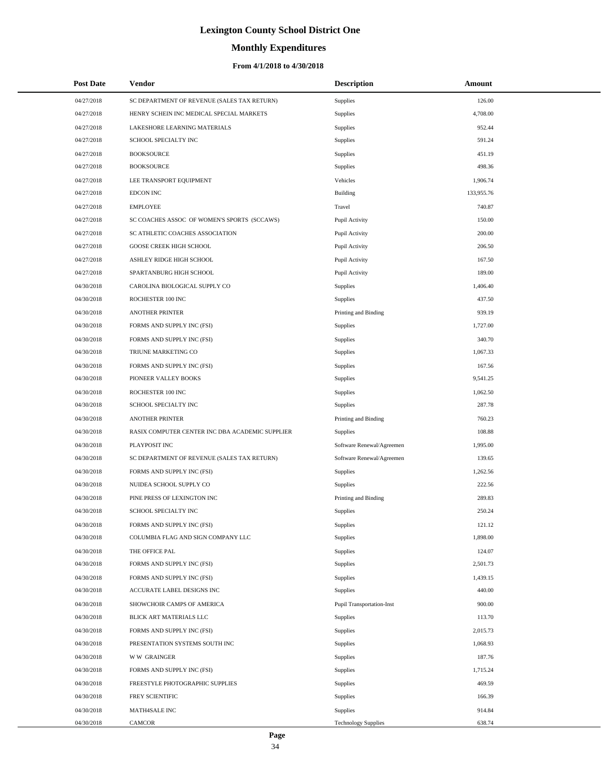# **Monthly Expenditures**

### **From 4/1/2018 to 4/30/2018**

| <b>Post Date</b> | Vendor                                          | <b>Description</b>               | Amount     |
|------------------|-------------------------------------------------|----------------------------------|------------|
| 04/27/2018       | SC DEPARTMENT OF REVENUE (SALES TAX RETURN)     | Supplies                         | 126.00     |
| 04/27/2018       | HENRY SCHEIN INC MEDICAL SPECIAL MARKETS        | Supplies                         | 4,708.00   |
| 04/27/2018       | LAKESHORE LEARNING MATERIALS                    | Supplies                         | 952.44     |
| 04/27/2018       | SCHOOL SPECIALTY INC                            | Supplies                         | 591.24     |
| 04/27/2018       | <b>BOOKSOURCE</b>                               | Supplies                         | 451.19     |
| 04/27/2018       | <b>BOOKSOURCE</b>                               | Supplies                         | 498.36     |
| 04/27/2018       | LEE TRANSPORT EQUIPMENT                         | Vehicles                         | 1,906.74   |
| 04/27/2018       | <b>EDCON INC</b>                                | Building                         | 133,955.76 |
| 04/27/2018       | <b>EMPLOYEE</b>                                 | Travel                           | 740.87     |
| 04/27/2018       | SC COACHES ASSOC OF WOMEN'S SPORTS (SCCAWS)     | Pupil Activity                   | 150.00     |
| 04/27/2018       | SC ATHLETIC COACHES ASSOCIATION                 | Pupil Activity                   | 200.00     |
| 04/27/2018       | GOOSE CREEK HIGH SCHOOL                         | Pupil Activity                   | 206.50     |
| 04/27/2018       | ASHLEY RIDGE HIGH SCHOOL                        | Pupil Activity                   | 167.50     |
| 04/27/2018       | SPARTANBURG HIGH SCHOOL                         | Pupil Activity                   | 189.00     |
| 04/30/2018       | CAROLINA BIOLOGICAL SUPPLY CO                   | Supplies                         | 1,406.40   |
| 04/30/2018       | ROCHESTER 100 INC                               | Supplies                         | 437.50     |
| 04/30/2018       | <b>ANOTHER PRINTER</b>                          | Printing and Binding             | 939.19     |
| 04/30/2018       | FORMS AND SUPPLY INC (FSI)                      | Supplies                         | 1,727.00   |
| 04/30/2018       | FORMS AND SUPPLY INC (FSI)                      | Supplies                         | 340.70     |
| 04/30/2018       | TRIUNE MARKETING CO                             | Supplies                         | 1,067.33   |
| 04/30/2018       | FORMS AND SUPPLY INC (FSI)                      | Supplies                         | 167.56     |
| 04/30/2018       | PIONEER VALLEY BOOKS                            | Supplies                         | 9,541.25   |
| 04/30/2018       | ROCHESTER 100 INC                               | Supplies                         | 1,062.50   |
| 04/30/2018       | SCHOOL SPECIALTY INC                            | Supplies                         | 287.78     |
| 04/30/2018       | <b>ANOTHER PRINTER</b>                          | Printing and Binding             | 760.23     |
| 04/30/2018       | RASIX COMPUTER CENTER INC DBA ACADEMIC SUPPLIER | <b>Supplies</b>                  | 108.88     |
| 04/30/2018       | PLAYPOSIT INC                                   | Software Renewal/Agreemen        | 1,995.00   |
| 04/30/2018       | SC DEPARTMENT OF REVENUE (SALES TAX RETURN)     | Software Renewal/Agreemen        | 139.65     |
| 04/30/2018       | FORMS AND SUPPLY INC (FSI)                      | Supplies                         | 1,262.56   |
| 04/30/2018       | NUIDEA SCHOOL SUPPLY CO                         | Supplies                         | 222.56     |
| 04/30/2018       | PINE PRESS OF LEXINGTON INC                     | Printing and Binding             | 289.83     |
| 04/30/2018       | SCHOOL SPECIALTY INC                            | Supplies                         | 250.24     |
| 04/30/2018       | FORMS AND SUPPLY INC (FSI)                      | Supplies                         | 121.12     |
| 04/30/2018       | COLUMBIA FLAG AND SIGN COMPANY LLC              | Supplies                         | 1,898.00   |
| 04/30/2018       | THE OFFICE PAL                                  | Supplies                         | 124.07     |
| 04/30/2018       | FORMS AND SUPPLY INC (FSI)                      | Supplies                         | 2,501.73   |
| 04/30/2018       | FORMS AND SUPPLY INC (FSI)                      | Supplies                         | 1,439.15   |
| 04/30/2018       | ACCURATE LABEL DESIGNS INC                      | Supplies                         | 440.00     |
| 04/30/2018       | SHOWCHOIR CAMPS OF AMERICA                      | <b>Pupil Transportation-Inst</b> | 900.00     |
| 04/30/2018       | BLICK ART MATERIALS LLC                         | Supplies                         | 113.70     |
| 04/30/2018       | FORMS AND SUPPLY INC (FSI)                      | Supplies                         | 2,015.73   |
| 04/30/2018       | PRESENTATION SYSTEMS SOUTH INC                  | Supplies                         | 1,068.93   |
| 04/30/2018       | <b>WW GRAINGER</b>                              | Supplies                         | 187.76     |
| 04/30/2018       | FORMS AND SUPPLY INC (FSI)                      | Supplies                         | 1,715.24   |
| 04/30/2018       | FREESTYLE PHOTOGRAPHIC SUPPLIES                 | Supplies                         | 469.59     |
| 04/30/2018       | FREY SCIENTIFIC                                 | Supplies                         | 166.39     |
| 04/30/2018       | MATH4SALE INC                                   | <b>Supplies</b>                  | 914.84     |
| 04/30/2018       | CAMCOR                                          | <b>Technology Supplies</b>       | 638.74     |

 $\overline{a}$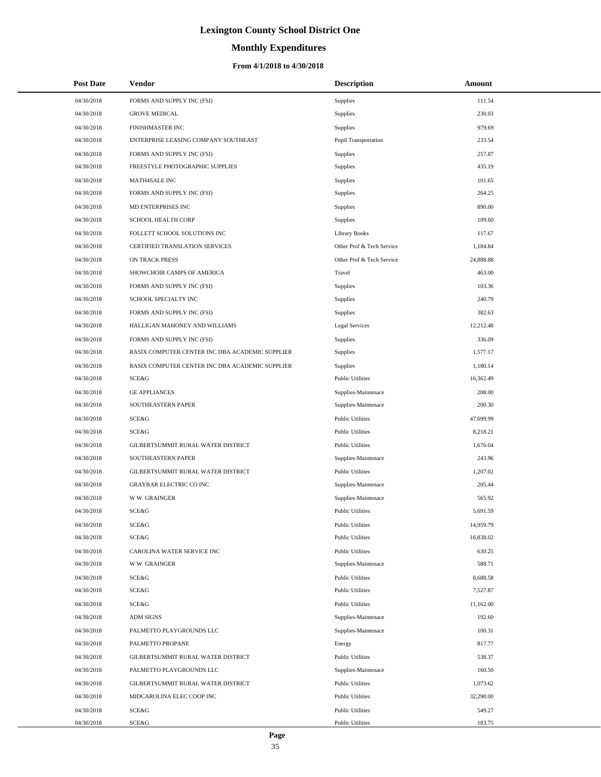# **Monthly Expenditures**

### **From 4/1/2018 to 4/30/2018**

| <b>Post Date</b> | Vendor                                          | <b>Description</b>          | Amount    |
|------------------|-------------------------------------------------|-----------------------------|-----------|
| 04/30/2018       | FORMS AND SUPPLY INC (FSI)                      | <b>Supplies</b>             | 111.54    |
| 04/30/2018       | <b>GROVE MEDICAL</b>                            | <b>Supplies</b>             | 230.03    |
| 04/30/2018       | FINISHMASTER INC                                | <b>Supplies</b>             | 979.69    |
| 04/30/2018       | ENTERPRISE LEASING COMPANY SOUTHEAST            | <b>Pupil Transportation</b> | 233.54    |
| 04/30/2018       | FORMS AND SUPPLY INC (FSI)                      | <b>Supplies</b>             | 257.87    |
| 04/30/2018       | FREESTYLE PHOTOGRAPHIC SUPPLIES                 | <b>Supplies</b>             | 435.19    |
| 04/30/2018       | MATH4SALE INC                                   | <b>Supplies</b>             | 101.65    |
| 04/30/2018       | FORMS AND SUPPLY INC (FSI)                      | <b>Supplies</b>             | 264.25    |
| 04/30/2018       | MD ENTERPRISES INC                              | <b>Supplies</b>             | 890.00    |
| 04/30/2018       | SCHOOL HEALTH CORP                              | <b>Supplies</b>             | 109.60    |
| 04/30/2018       | FOLLETT SCHOOL SOLUTIONS INC                    | <b>Library Books</b>        | 117.67    |
| 04/30/2018       | CERTIFIED TRANSLATION SERVICES                  | Other Prof & Tech Service   | 1,184.84  |
| 04/30/2018       | ON TRACK PRESS                                  | Other Prof & Tech Service   | 24,888.88 |
| 04/30/2018       | SHOWCHOIR CAMPS OF AMERICA                      | Travel                      | 463.00    |
| 04/30/2018       | FORMS AND SUPPLY INC (FSI)                      | <b>Supplies</b>             | 103.36    |
| 04/30/2018       | SCHOOL SPECIALTY INC                            | <b>Supplies</b>             | 240.79    |
| 04/30/2018       | FORMS AND SUPPLY INC (FSI)                      | Supplies                    | 382.63    |
| 04/30/2018       | HALLIGAN MAHONEY AND WILLIAMS                   | Legal Services              | 12,212.48 |
| 04/30/2018       | FORMS AND SUPPLY INC (FSI)                      | <b>Supplies</b>             | 336.09    |
| 04/30/2018       | RASIX COMPUTER CENTER INC DBA ACADEMIC SUPPLIER | <b>Supplies</b>             | 1,577.17  |
| 04/30/2018       | RASIX COMPUTER CENTER INC DBA ACADEMIC SUPPLIER | Supplies                    | 1,180.14  |
| 04/30/2018       | SCE&G                                           | <b>Public Utilities</b>     | 16,362.49 |
| 04/30/2018       | <b>GE APPLIANCES</b>                            | Supplies-Maintenace         | 208.00    |
| 04/30/2018       | SOUTHEASTERN PAPER                              | Supplies-Maintenace         | 200.30    |
| 04/30/2018       | SCE&G                                           | <b>Public Utilities</b>     | 47,699.99 |
| 04/30/2018       | SCE&G                                           | <b>Public Utilities</b>     | 8,218.21  |
| 04/30/2018       | GILBERTSUMMIT RURAL WATER DISTRICT              | <b>Public Utilities</b>     | 1,676.04  |
| 04/30/2018       | SOUTHEASTERN PAPER                              | Supplies-Maintenace         | 243.96    |
| 04/30/2018       | GILBERTSUMMIT RURAL WATER DISTRICT              | <b>Public Utilities</b>     | 1,207.02  |
| 04/30/2018       | <b>GRAYBAR ELECTRIC CO INC</b>                  | Supplies-Maintenace         | 205.44    |
| 04/30/2018       | <b>WW GRAINGER</b>                              | Supplies-Maintenace         | 565.92    |
| 04/30/2018       | SCE&G                                           | <b>Public Utilities</b>     | 5,691.59  |
| 04/30/2018       | SCE&G                                           | <b>Public Utilities</b>     | 14,959.79 |
| 04/30/2018       | SCE&G                                           | <b>Public Utilities</b>     | 16,838.02 |
| 04/30/2018       | CAROLINA WATER SERVICE INC                      | <b>Public Utilities</b>     | 630.25    |
| 04/30/2018       | <b>WW GRAINGER</b>                              | Supplies-Maintenace         | 588.71    |
| 04/30/2018       | SCE&G                                           | <b>Public Utilities</b>     | 8,688.58  |
| 04/30/2018       | SCE&G                                           | <b>Public Utilities</b>     | 7,527.87  |
| 04/30/2018       | SCE&G                                           | <b>Public Utilities</b>     | 11,162.00 |
| 04/30/2018       | <b>ADM SIGNS</b>                                | Supplies-Maintenace         | 192.60    |
| 04/30/2018       | PALMETTO PLAYGROUNDS LLC                        | Supplies-Maintenace         | 100.31    |
| 04/30/2018       | PALMETTO PROPANE                                | Energy                      | 817.77    |
| 04/30/2018       | GILBERTSUMMIT RURAL WATER DISTRICT              | <b>Public Utilities</b>     | 538.37    |
| 04/30/2018       | PALMETTO PLAYGROUNDS LLC                        | Supplies-Maintenace         | 160.50    |
| 04/30/2018       | GILBERTSUMMIT RURAL WATER DISTRICT              | <b>Public Utilities</b>     | 1,073.62  |
| 04/30/2018       | MIDCAROLINA ELEC COOP INC                       | <b>Public Utilities</b>     | 32,290.00 |
| 04/30/2018       | SCE&G                                           | <b>Public Utilities</b>     | 549.27    |
| 04/30/2018       | SCE&G                                           | <b>Public Utilities</b>     | 183.75    |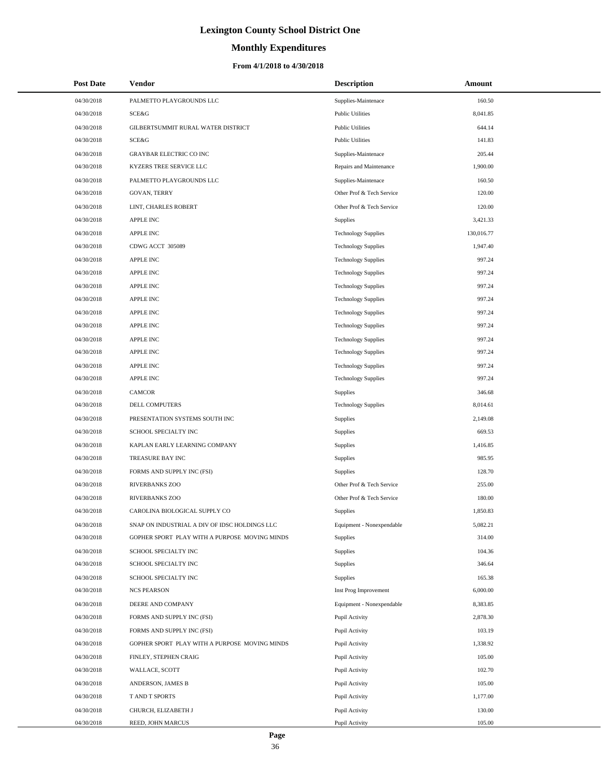# **Monthly Expenditures**

| <b>Post Date</b> | <b>Vendor</b>                                 | <b>Description</b>         | Amount     |
|------------------|-----------------------------------------------|----------------------------|------------|
| 04/30/2018       | PALMETTO PLAYGROUNDS LLC                      | Supplies-Maintenace        | 160.50     |
| 04/30/2018       | SCE&G                                         | <b>Public Utilities</b>    | 8,041.85   |
| 04/30/2018       | GILBERTSUMMIT RURAL WATER DISTRICT            | <b>Public Utilities</b>    | 644.14     |
| 04/30/2018       | SCE&G                                         | <b>Public Utilities</b>    | 141.83     |
| 04/30/2018       | <b>GRAYBAR ELECTRIC CO INC</b>                | Supplies-Maintenace        | 205.44     |
| 04/30/2018       | KYZERS TREE SERVICE LLC                       | Repairs and Maintenance    | 1,900.00   |
| 04/30/2018       | PALMETTO PLAYGROUNDS LLC                      | Supplies-Maintenace        | 160.50     |
| 04/30/2018       | <b>GOVAN, TERRY</b>                           | Other Prof & Tech Service  | 120.00     |
| 04/30/2018       | LINT, CHARLES ROBERT                          | Other Prof & Tech Service  | 120.00     |
| 04/30/2018       | <b>APPLE INC</b>                              | Supplies                   | 3,421.33   |
| 04/30/2018       | <b>APPLE INC</b>                              | <b>Technology Supplies</b> | 130,016.77 |
| 04/30/2018       | CDWG ACCT 305089                              | <b>Technology Supplies</b> | 1,947.40   |
| 04/30/2018       | <b>APPLE INC</b>                              | <b>Technology Supplies</b> | 997.24     |
| 04/30/2018       | <b>APPLE INC</b>                              | <b>Technology Supplies</b> | 997.24     |
| 04/30/2018       | <b>APPLE INC</b>                              | <b>Technology Supplies</b> | 997.24     |
| 04/30/2018       | <b>APPLE INC</b>                              | <b>Technology Supplies</b> | 997.24     |
| 04/30/2018       | <b>APPLE INC</b>                              | <b>Technology Supplies</b> | 997.24     |
| 04/30/2018       | <b>APPLE INC</b>                              | <b>Technology Supplies</b> | 997.24     |
| 04/30/2018       | <b>APPLE INC</b>                              | <b>Technology Supplies</b> | 997.24     |
| 04/30/2018       | APPLE INC                                     | <b>Technology Supplies</b> | 997.24     |
| 04/30/2018       | <b>APPLE INC</b>                              | <b>Technology Supplies</b> | 997.24     |
| 04/30/2018       | APPLE INC                                     | <b>Technology Supplies</b> | 997.24     |
| 04/30/2018       | <b>CAMCOR</b>                                 | Supplies                   | 346.68     |
| 04/30/2018       | DELL COMPUTERS                                | <b>Technology Supplies</b> | 8,014.61   |
| 04/30/2018       | PRESENTATION SYSTEMS SOUTH INC                | Supplies                   | 2,149.08   |
| 04/30/2018       | SCHOOL SPECIALTY INC                          | Supplies                   | 669.53     |
| 04/30/2018       | KAPLAN EARLY LEARNING COMPANY                 | Supplies                   | 1,416.85   |
| 04/30/2018       | TREASURE BAY INC                              | <b>Supplies</b>            | 985.95     |
| 04/30/2018       | FORMS AND SUPPLY INC (FSI)                    | Supplies                   | 128.70     |
| 04/30/2018       | <b>RIVERBANKS ZOO</b>                         | Other Prof & Tech Service  | 255.00     |
| 04/30/2018       | <b>RIVERBANKS ZOO</b>                         | Other Prof & Tech Service  | 180.00     |
| 04/30/2018       | CAROLINA BIOLOGICAL SUPPLY CO                 | Supplies                   | 1,850.83   |
| 04/30/2018       | SNAP ON INDUSTRIAL A DIV OF IDSC HOLDINGS LLC | Equipment - Nonexpendable  | 5,082.21   |
| 04/30/2018       | GOPHER SPORT PLAY WITH A PURPOSE MOVING MINDS | <b>Supplies</b>            | 314.00     |
| 04/30/2018       | SCHOOL SPECIALTY INC                          | Supplies                   | 104.36     |
| 04/30/2018       | SCHOOL SPECIALTY INC                          | <b>Supplies</b>            | 346.64     |
| 04/30/2018       | SCHOOL SPECIALTY INC                          | Supplies                   | 165.38     |
| 04/30/2018       | <b>NCS PEARSON</b>                            | Inst Prog Improvement      | 6,000.00   |
| 04/30/2018       | DEERE AND COMPANY                             | Equipment - Nonexpendable  | 8,383.85   |
| 04/30/2018       | FORMS AND SUPPLY INC (FSI)                    | Pupil Activity             | 2,878.30   |
| 04/30/2018       | FORMS AND SUPPLY INC (FSI)                    | Pupil Activity             | 103.19     |
| 04/30/2018       | GOPHER SPORT PLAY WITH A PURPOSE MOVING MINDS | Pupil Activity             | 1,338.92   |
| 04/30/2018       | FINLEY, STEPHEN CRAIG                         | Pupil Activity             | 105.00     |
| 04/30/2018       | WALLACE, SCOTT                                | Pupil Activity             | 102.70     |
| 04/30/2018       | ANDERSON, JAMES B                             | Pupil Activity             | 105.00     |
| 04/30/2018       | T AND T SPORTS                                | Pupil Activity             | 1,177.00   |
| 04/30/2018       | CHURCH, ELIZABETH J                           | Pupil Activity             | 130.00     |
| 04/30/2018       | REED, JOHN MARCUS                             | Pupil Activity             | 105.00     |